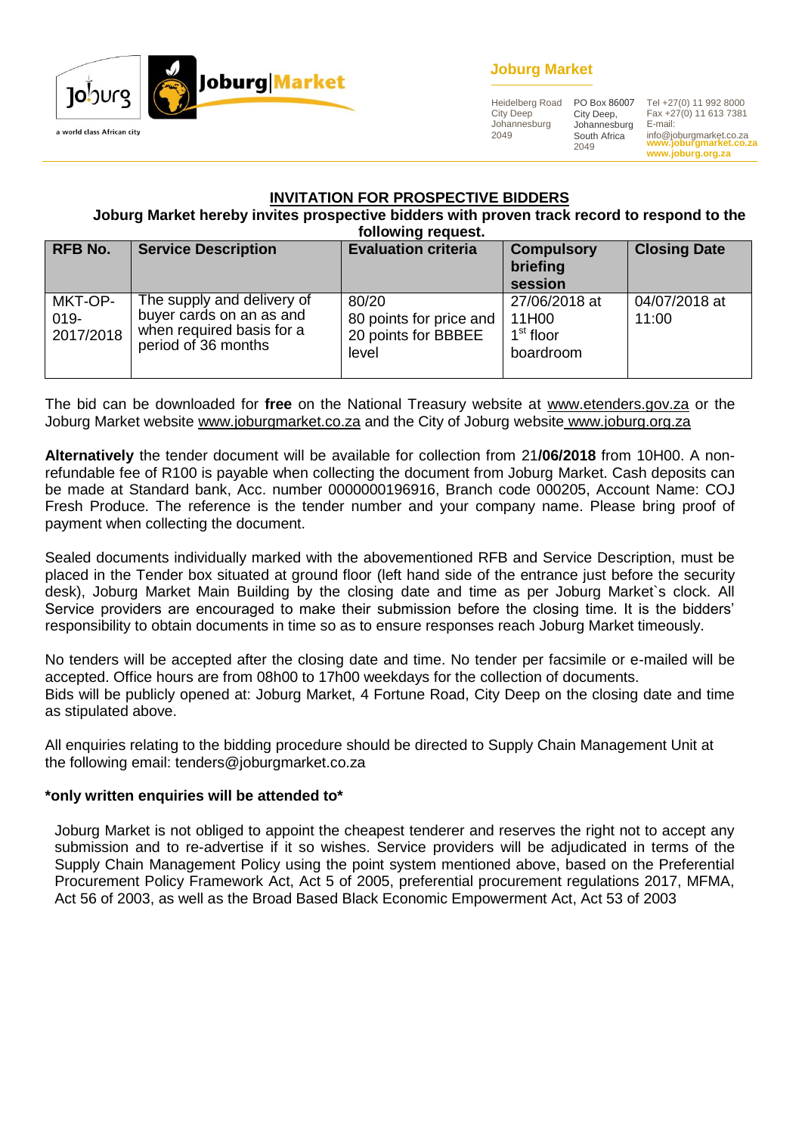

### **Joburg Market**

Heidelberg Road City Deep Johannesburg 2049

City Deep, Johannesburg South Africa 2049

**www.joburgmarket.co.za** info@joburgmarket.co.za PO Box 86007 Tel +27(0) 11 992 8000 Fax +27(0) 11 613 7381 E-mail:

**www.joburg.org.za**

#### **INVITATION FOR PROSPECTIVE BIDDERS**

**Joburg Market hereby invites prospective bidders with proven track record to respond to the following request.**

| <b>RFB No.</b>                  | <b>Service Description</b>                                                                                 | <b>Evaluation criteria</b>                                       | <b>Compulsory</b><br>briefing<br>session                     | <b>Closing Date</b>    |
|---------------------------------|------------------------------------------------------------------------------------------------------------|------------------------------------------------------------------|--------------------------------------------------------------|------------------------|
| MKT-OP-<br>$019 -$<br>2017/2018 | The supply and delivery of<br>buyer cards on an as and<br>when required basis for a<br>period of 36 months | 80/20<br>80 points for price and<br>20 points for BBBEE<br>level | 27/06/2018 at<br>11H00<br>1 <sup>st</sup> floor<br>boardroom | 04/07/2018 at<br>11:00 |

The bid can be downloaded for **free** on the National Treasury website at [www.etenders.gov.za](http://www.etenders.gov.za/) or the Joburg Market website [www.joburgmarket.co.za](http://www.joburgmarket.co.za/) and the City of Joburg website [www.joburg.org.za](http://www.joburg.org.za/)

**Alternatively** the tender document will be available for collection from 21**/06/2018** from 10H00. A nonrefundable fee of R100 is payable when collecting the document from Joburg Market. Cash deposits can be made at Standard bank, Acc. number 0000000196916, Branch code 000205, Account Name: COJ Fresh Produce. The reference is the tender number and your company name. Please bring proof of payment when collecting the document.

Sealed documents individually marked with the abovementioned RFB and Service Description, must be placed in the Tender box situated at ground floor (left hand side of the entrance just before the security desk), Joburg Market Main Building by the closing date and time as per Joburg Market`s clock. All Service providers are encouraged to make their submission before the closing time. It is the bidders' responsibility to obtain documents in time so as to ensure responses reach Joburg Market timeously.

No tenders will be accepted after the closing date and time. No tender per facsimile or e-mailed will be accepted. Office hours are from 08h00 to 17h00 weekdays for the collection of documents. Bids will be publicly opened at: Joburg Market, 4 Fortune Road, City Deep on the closing date and time as stipulated above.

All enquiries relating to the bidding procedure should be directed to Supply Chain Management Unit at the following email: tenders@joburgmarket.co.za

#### **\*only written enquiries will be attended to\***

Joburg Market is not obliged to appoint the cheapest tenderer and reserves the right not to accept any submission and to re-advertise if it so wishes. Service providers will be adjudicated in terms of the Supply Chain Management Policy using the point system mentioned above, based on the Preferential Procurement Policy Framework Act, Act 5 of 2005, preferential procurement regulations 2017, MFMA, Act 56 of 2003, as well as the Broad Based Black Economic Empowerment Act, Act 53 of 2003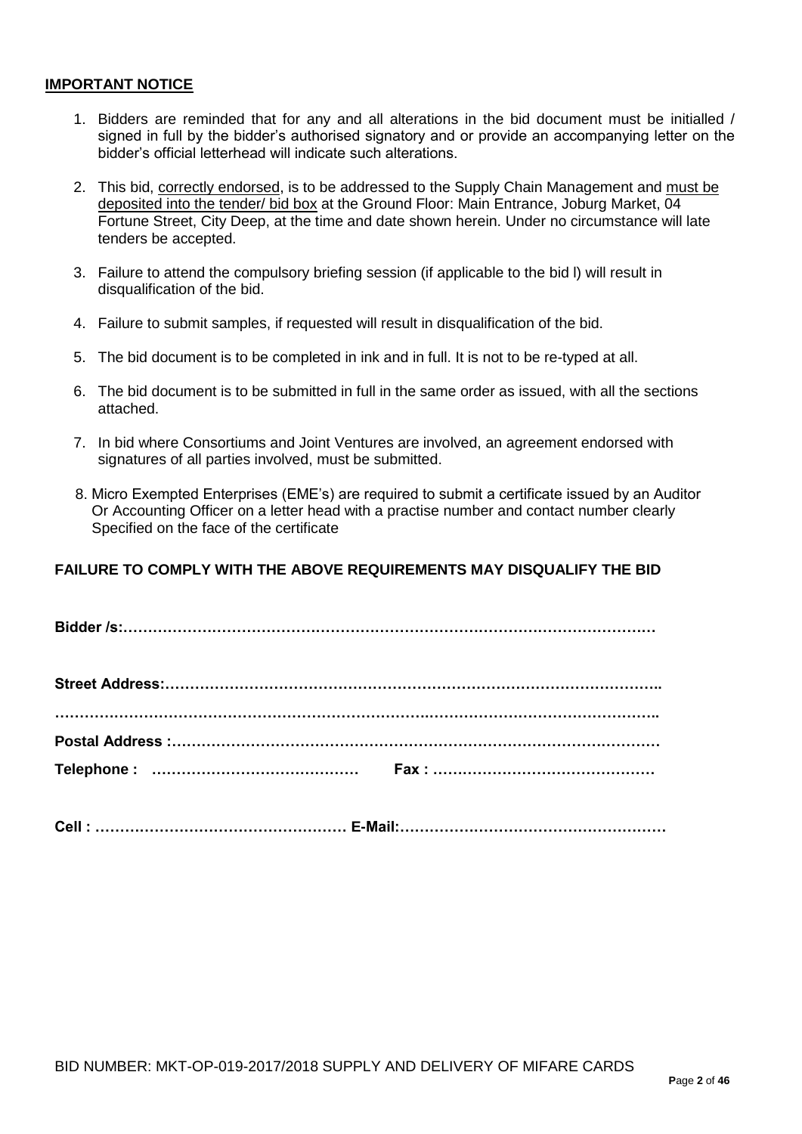#### **IMPORTANT NOTICE**

- 1. Bidders are reminded that for any and all alterations in the bid document must be initialled / signed in full by the bidder's authorised signatory and or provide an accompanying letter on the bidder's official letterhead will indicate such alterations.
- 2. This bid, correctly endorsed, is to be addressed to the Supply Chain Management and must be deposited into the tender/ bid box at the Ground Floor: Main Entrance, Joburg Market, 04 Fortune Street, City Deep, at the time and date shown herein. Under no circumstance will late tenders be accepted.
- 3. Failure to attend the compulsory briefing session (if applicable to the bid l) will result in disqualification of the bid.
- 4. Failure to submit samples, if requested will result in disqualification of the bid.
- 5. The bid document is to be completed in ink and in full. It is not to be re-typed at all.
- 6. The bid document is to be submitted in full in the same order as issued, with all the sections attached.
- 7. In bid where Consortiums and Joint Ventures are involved, an agreement endorsed with signatures of all parties involved, must be submitted.
- 8. Micro Exempted Enterprises (EME's) are required to submit a certificate issued by an Auditor Or Accounting Officer on a letter head with a practise number and contact number clearly Specified on the face of the certificate

### **FAILURE TO COMPLY WITH THE ABOVE REQUIREMENTS MAY DISQUALIFY THE BID**

**Cell : …………………………………………… E-Mail:………………………………………………**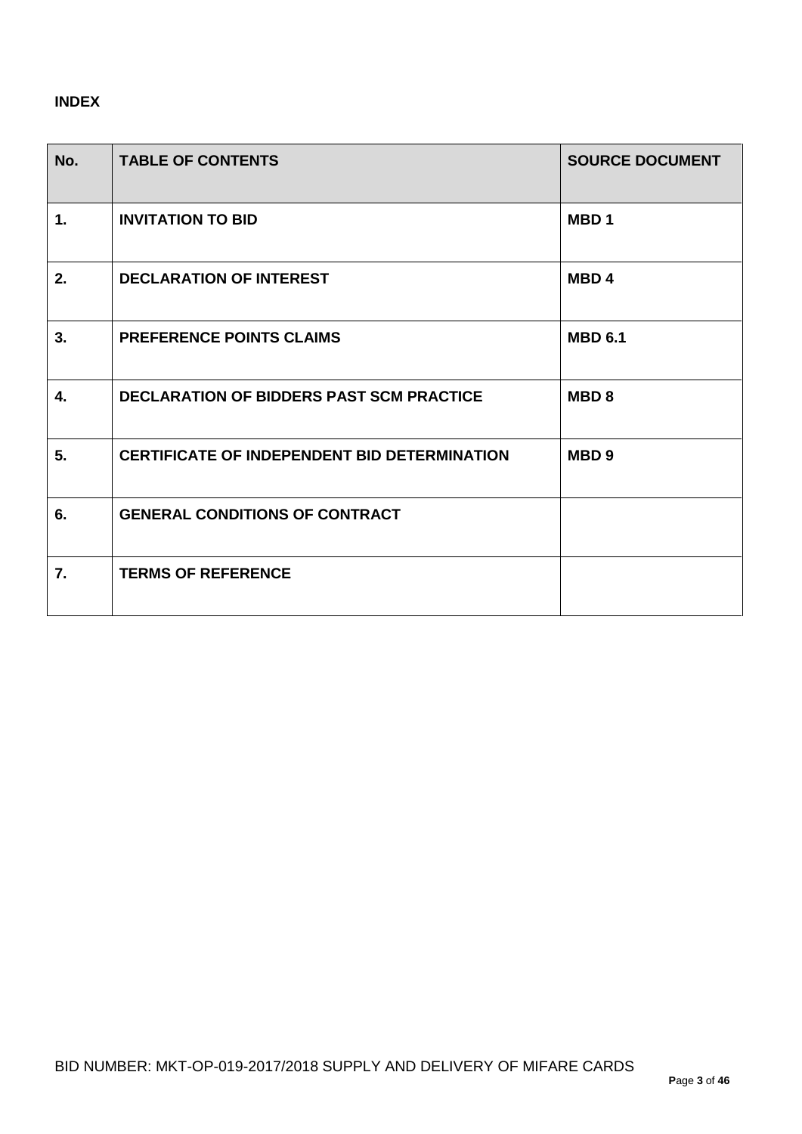## **INDEX**

| No.            | <b>TABLE OF CONTENTS</b>                            | <b>SOURCE DOCUMENT</b> |
|----------------|-----------------------------------------------------|------------------------|
| $\mathbf{1}$ . | <b>INVITATION TO BID</b>                            | MBD <sub>1</sub>       |
| 2.             | <b>DECLARATION OF INTEREST</b>                      | MBD <sub>4</sub>       |
| 3.             | PREFERENCE POINTS CLAIMS                            | <b>MBD 6.1</b>         |
| 4.             | <b>DECLARATION OF BIDDERS PAST SCM PRACTICE</b>     | MBD <sub>8</sub>       |
| 5.             | <b>CERTIFICATE OF INDEPENDENT BID DETERMINATION</b> | MBD <sub>9</sub>       |
| 6.             | <b>GENERAL CONDITIONS OF CONTRACT</b>               |                        |
| 7.             | <b>TERMS OF REFERENCE</b>                           |                        |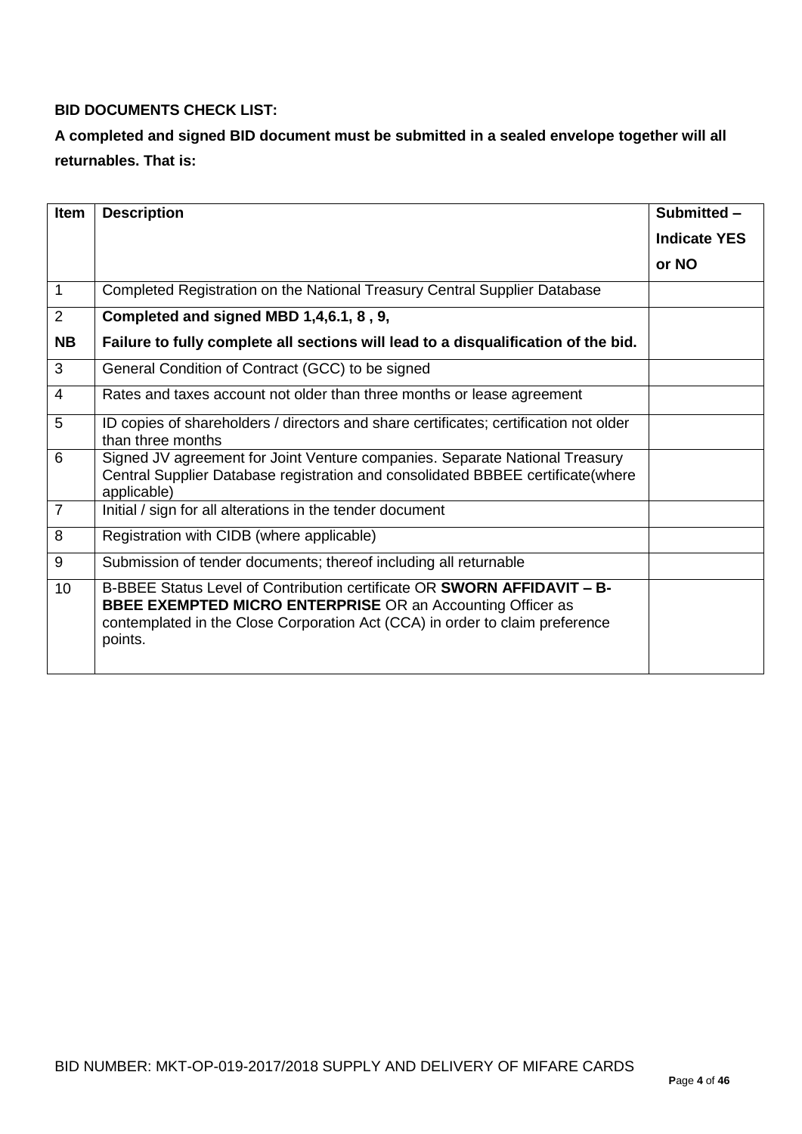### **BID DOCUMENTS CHECK LIST:**

# **A completed and signed BID document must be submitted in a sealed envelope together will all returnables. That is:**

| <b>Item</b>    | <b>Description</b>                                                                                                                                                                                                                      | Submitted -         |
|----------------|-----------------------------------------------------------------------------------------------------------------------------------------------------------------------------------------------------------------------------------------|---------------------|
|                |                                                                                                                                                                                                                                         | <b>Indicate YES</b> |
|                |                                                                                                                                                                                                                                         | or NO               |
| $\mathbf{1}$   | Completed Registration on the National Treasury Central Supplier Database                                                                                                                                                               |                     |
| 2              | Completed and signed MBD 1,4,6.1, 8, 9,                                                                                                                                                                                                 |                     |
| <b>NB</b>      | Failure to fully complete all sections will lead to a disqualification of the bid.                                                                                                                                                      |                     |
| 3              | General Condition of Contract (GCC) to be signed                                                                                                                                                                                        |                     |
| $\overline{4}$ | Rates and taxes account not older than three months or lease agreement                                                                                                                                                                  |                     |
| 5              | ID copies of shareholders / directors and share certificates; certification not older<br>than three months                                                                                                                              |                     |
| 6              | Signed JV agreement for Joint Venture companies. Separate National Treasury<br>Central Supplier Database registration and consolidated BBBEE certificate(where<br>applicable)                                                           |                     |
| $\overline{7}$ | Initial / sign for all alterations in the tender document                                                                                                                                                                               |                     |
| 8              | Registration with CIDB (where applicable)                                                                                                                                                                                               |                     |
| 9              | Submission of tender documents; thereof including all returnable                                                                                                                                                                        |                     |
| 10             | B-BBEE Status Level of Contribution certificate OR SWORN AFFIDAVIT - B-<br><b>BBEE EXEMPTED MICRO ENTERPRISE OR an Accounting Officer as</b><br>contemplated in the Close Corporation Act (CCA) in order to claim preference<br>points. |                     |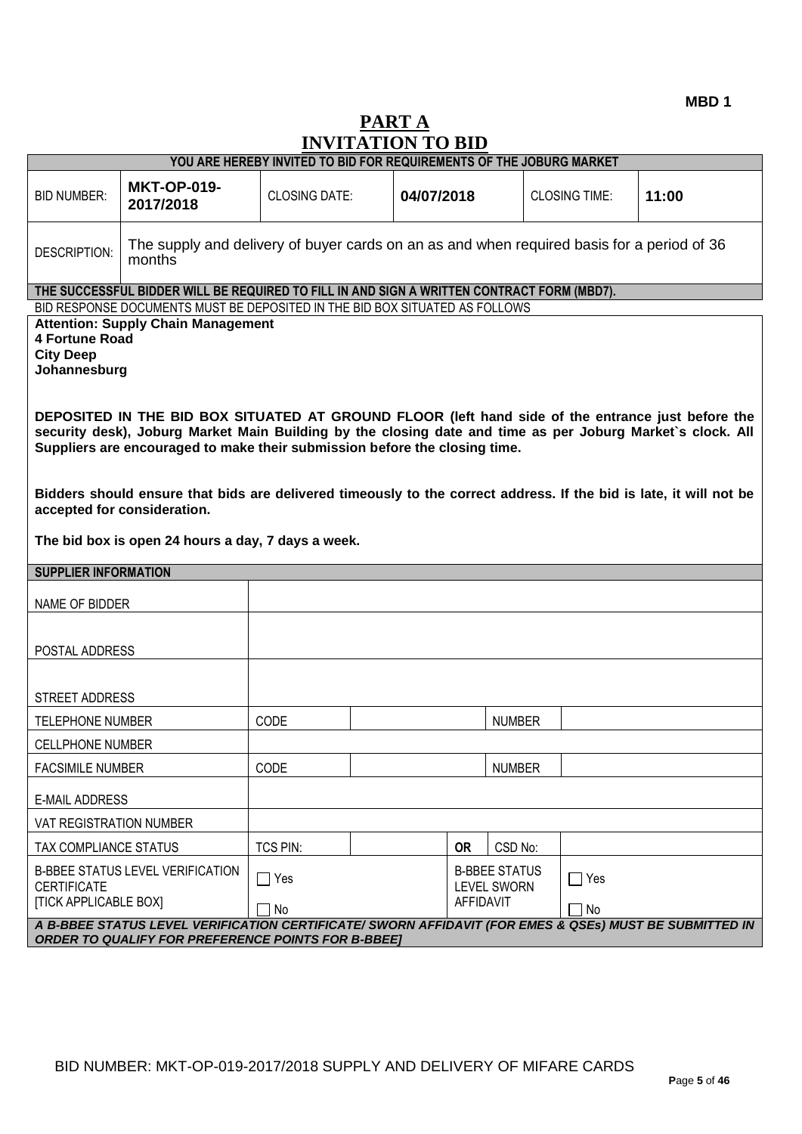# **PART A INVITATION TO BID**

|                                                                                                                                                                                                         | . <i>.</i><br>YOU ARE HEREBY INVITED TO BID FOR REQUIREMENTS OF THE JOBURG MARKET                                                                                                                                                                                                                                                                                                   |                                                                                                 |            |               |                      |       |
|---------------------------------------------------------------------------------------------------------------------------------------------------------------------------------------------------------|-------------------------------------------------------------------------------------------------------------------------------------------------------------------------------------------------------------------------------------------------------------------------------------------------------------------------------------------------------------------------------------|-------------------------------------------------------------------------------------------------|------------|---------------|----------------------|-------|
| <b>BID NUMBER:</b>                                                                                                                                                                                      | <b>MKT-OP-019-</b><br>2017/2018                                                                                                                                                                                                                                                                                                                                                     | <b>CLOSING DATE:</b>                                                                            | 04/07/2018 |               | <b>CLOSING TIME:</b> | 11:00 |
| <b>DESCRIPTION:</b>                                                                                                                                                                                     | The supply and delivery of buyer cards on an as and when required basis for a period of 36<br>months                                                                                                                                                                                                                                                                                |                                                                                                 |            |               |                      |       |
|                                                                                                                                                                                                         | THE SUCCESSFUL BIDDER WILL BE REQUIRED TO FILL IN AND SIGN A WRITTEN CONTRACT FORM (MBD7).                                                                                                                                                                                                                                                                                          |                                                                                                 |            |               |                      |       |
|                                                                                                                                                                                                         | BID RESPONSE DOCUMENTS MUST BE DEPOSITED IN THE BID BOX SITUATED AS FOLLOWS                                                                                                                                                                                                                                                                                                         |                                                                                                 |            |               |                      |       |
| <b>City Deep</b>                                                                                                                                                                                        | <b>Attention: Supply Chain Management</b><br><b>4 Fortune Road</b><br>Johannesburg<br>DEPOSITED IN THE BID BOX SITUATED AT GROUND FLOOR (left hand side of the entrance just before the<br>security desk), Joburg Market Main Building by the closing date and time as per Joburg Market's clock. All<br>Suppliers are encouraged to make their submission before the closing time. |                                                                                                 |            |               |                      |       |
| Bidders should ensure that bids are delivered timeously to the correct address. If the bid is late, it will not be<br>accepted for consideration.<br>The bid box is open 24 hours a day, 7 days a week. |                                                                                                                                                                                                                                                                                                                                                                                     |                                                                                                 |            |               |                      |       |
| <b>SUPPLIER INFORMATION</b>                                                                                                                                                                             |                                                                                                                                                                                                                                                                                                                                                                                     |                                                                                                 |            |               |                      |       |
| NAME OF BIDDER                                                                                                                                                                                          |                                                                                                                                                                                                                                                                                                                                                                                     |                                                                                                 |            |               |                      |       |
|                                                                                                                                                                                                         | POSTAL ADDRESS                                                                                                                                                                                                                                                                                                                                                                      |                                                                                                 |            |               |                      |       |
| STREET ADDRESS                                                                                                                                                                                          |                                                                                                                                                                                                                                                                                                                                                                                     |                                                                                                 |            |               |                      |       |
| <b>TELEPHONE NUMBER</b>                                                                                                                                                                                 |                                                                                                                                                                                                                                                                                                                                                                                     | CODE                                                                                            |            | <b>NUMBER</b> |                      |       |
|                                                                                                                                                                                                         |                                                                                                                                                                                                                                                                                                                                                                                     |                                                                                                 |            |               |                      |       |
| <b>CELLPHONE NUMBER</b>                                                                                                                                                                                 |                                                                                                                                                                                                                                                                                                                                                                                     |                                                                                                 |            |               |                      |       |
| <b>FACSIMILE NUMBER</b>                                                                                                                                                                                 |                                                                                                                                                                                                                                                                                                                                                                                     | CODE                                                                                            |            | <b>NUMBER</b> |                      |       |
| <b>E-MAIL ADDRESS</b>                                                                                                                                                                                   |                                                                                                                                                                                                                                                                                                                                                                                     |                                                                                                 |            |               |                      |       |
| VAT REGISTRATION NUMBER                                                                                                                                                                                 |                                                                                                                                                                                                                                                                                                                                                                                     |                                                                                                 |            |               |                      |       |
| TAX COMPLIANCE STATUS                                                                                                                                                                                   |                                                                                                                                                                                                                                                                                                                                                                                     | TCS PIN:                                                                                        | <b>OR</b>  | CSD No:       |                      |       |
| <b>CERTIFICATE</b><br><b>[TICK APPLICABLE BOX]</b>                                                                                                                                                      | <b>B-BBEE STATUS LEVEL VERIFICATION</b>                                                                                                                                                                                                                                                                                                                                             | <b>B-BBEE STATUS</b><br>$\Box$ Yes<br>$\sqsupset$ Yes<br><b>LEVEL SWORN</b><br><b>AFFIDAVIT</b> |            |               |                      |       |
|                                                                                                                                                                                                         | A B-BBEE STATUS LEVEL VERIFICATION CERTIFICATE/ SWORN AFFIDAVIT (FOR EMES & QSEs) MUST BE SUBMITTED IN<br><b>ORDER TO QUALIFY FOR PREFERENCE POINTS FOR B-BBEE]</b>                                                                                                                                                                                                                 | $\Box$ No                                                                                       |            |               | No                   |       |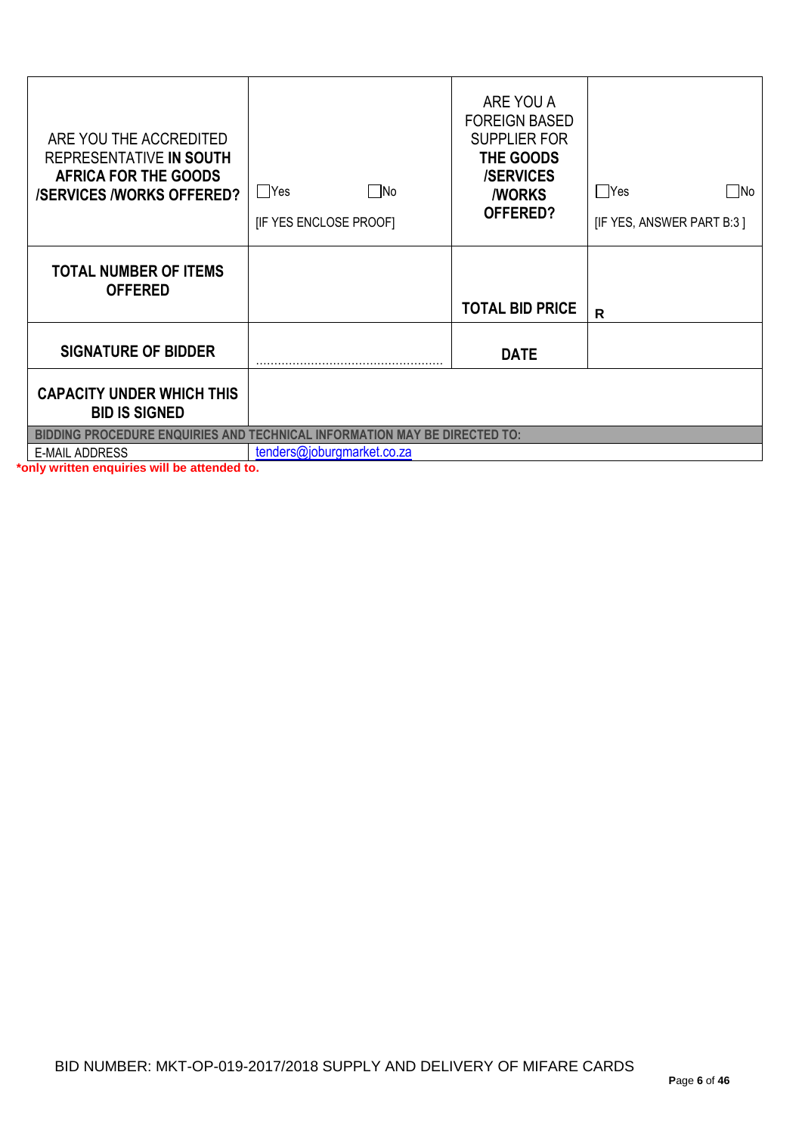| ARE YOU THE ACCREDITED<br>REPRESENTATIVE IN SOUTH<br><b>AFRICA FOR THE GOODS</b><br><b>/SERVICES /WORKS OFFERED?</b> | ∏No<br>∣ Yes<br>[IF YES ENCLOSE PROOF] | ARE YOU A<br><b>FOREIGN BASED</b><br><b>SUPPLIER FOR</b><br>THE GOODS<br><b>/SERVICES</b><br><b><i>NORKS</i></b><br>OFFERED? | Yes<br>   No<br>[IF YES, ANSWER PART B:3] |
|----------------------------------------------------------------------------------------------------------------------|----------------------------------------|------------------------------------------------------------------------------------------------------------------------------|-------------------------------------------|
| <b>TOTAL NUMBER OF ITEMS</b><br><b>OFFERED</b>                                                                       |                                        | <b>TOTAL BID PRICE</b>                                                                                                       | $\mathsf{R}$                              |
| <b>SIGNATURE OF BIDDER</b>                                                                                           |                                        | <b>DATE</b>                                                                                                                  |                                           |
| <b>CAPACITY UNDER WHICH THIS</b><br><b>BID IS SIGNED</b>                                                             |                                        |                                                                                                                              |                                           |
| <b>BIDDING PROCEDURE ENQUIRIES AND TECHNICAL INFORMATION MAY BE DIRECTED TO:</b>                                     |                                        |                                                                                                                              |                                           |
| <b>E-MAIL ADDRESS</b>                                                                                                | tenders@joburgmarket.co.za             |                                                                                                                              |                                           |

**\*only written enquiries will be attended to.**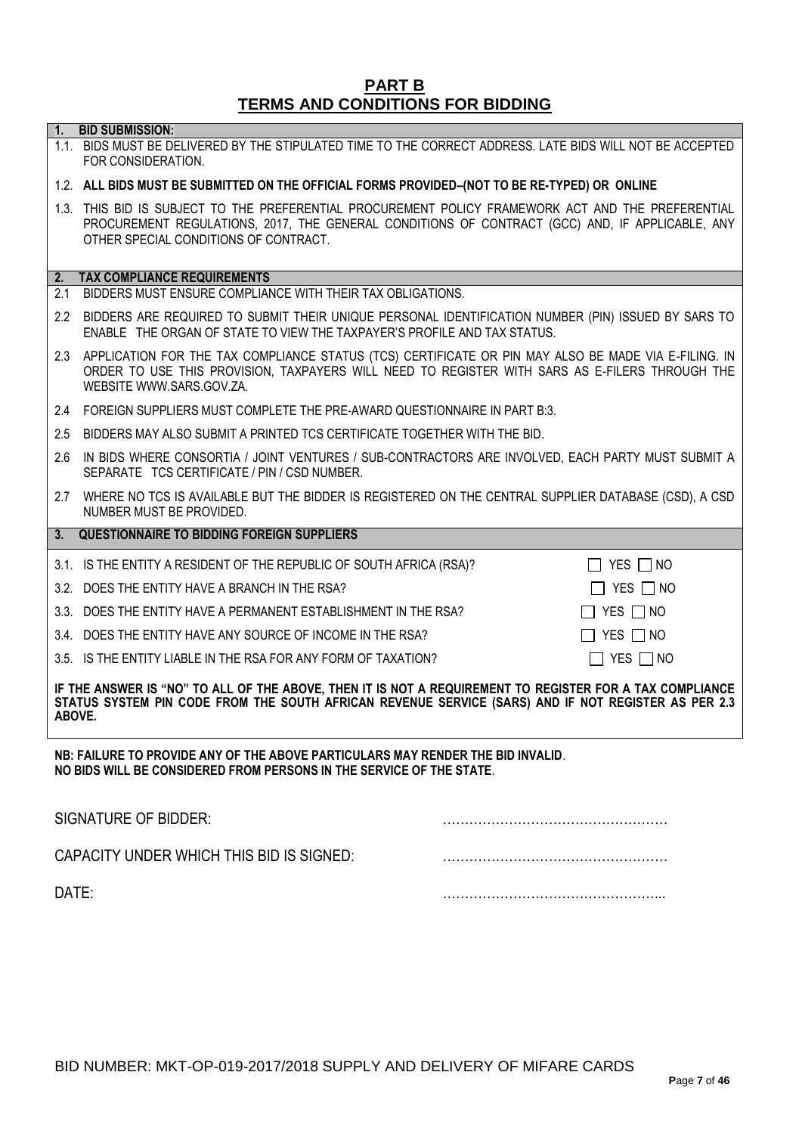#### **PART B TERMS AND CONDITIONS FOR BIDDING**

**1. BID SUBMISSION:**

## 1.1. BIDS MUST BE DELIVERED BY THE STIPULATED TIME TO THE CORRECT ADDRESS. LATE BIDS WILL NOT BE ACCEPTED FOR CONSIDERATION. 1.2. **ALL BIDS MUST BE SUBMITTED ON THE OFFICIAL FORMS PROVIDED–(NOT TO BE RE-TYPED) OR ONLINE** 1.3. THIS BID IS SUBJECT TO THE PREFERENTIAL PROCUREMENT POLICY FRAMEWORK ACT AND THE PREFERENTIAL PROCUREMENT REGULATIONS, 2017, THE GENERAL CONDITIONS OF CONTRACT (GCC) AND, IF APPLICABLE, ANY OTHER SPECIAL CONDITIONS OF CONTRACT. **2. TAX COMPLIANCE REQUIREMENTS** 2.1 BIDDERS MUST ENSURE COMPLIANCE WITH THEIR TAX OBLIGATIONS. 2.2 BIDDERS ARE REQUIRED TO SUBMIT THEIR UNIQUE PERSONAL IDENTIFICATION NUMBER (PIN) ISSUED BY SARS TO ENABLE THE ORGAN OF STATE TO VIEW THE TAXPAYER'S PROFILE AND TAX STATUS. 2.3 APPLICATION FOR THE TAX COMPLIANCE STATUS (TCS) CERTIFICATE OR PIN MAY ALSO BE MADE VIA E-FILING. IN ORDER TO USE THIS PROVISION, TAXPAYERS WILL NEED TO REGISTER WITH SARS AS E-FILERS THROUGH THE WEBSITE [WWW.SARS.GOV.ZA.](http://www.sars.gov.za/) 2.4 FOREIGN SUPPLIERS MUST COMPLETE THE PRE-AWARD QUESTIONNAIRE IN PART B:3. 2.5 BIDDERS MAY ALSO SUBMIT A PRINTED TCS CERTIFICATE TOGETHER WITH THE BID. 2.6 IN BIDS WHERE CONSORTIA / JOINT VENTURES / SUB-CONTRACTORS ARE INVOLVED, EACH PARTY MUST SUBMIT A SEPARATE TCS CERTIFICATE / PIN / CSD NUMBER. 2.7 WHERE NO TCS IS AVAILABLE BUT THE BIDDER IS REGISTERED ON THE CENTRAL SUPPLIER DATABASE (CSD), A CSD NUMBER MUST BE PROVIDED. **3. QUESTIONNAIRE TO BIDDING FOREIGN SUPPLIERS** 3.1. IS THE ENTITY A RESIDENT OF THE REPUBLIC OF SOUTH AFRICA (RSA)?  $\Box$  YES  $\Box$  NO 3.2. DOES THE ENTITY HAVE A BRANCH IN THE RSA?  $\Box$  YES  $\Box$  NO 3.3. DOES THE ENTITY HAVE A PERMANENT ESTABLISHMENT IN THE RSA?  $\Box$  YES  $\Box$  NO 3.4. DOES THE ENTITY HAVE ANY SOURCE OF INCOME IN THE RSA?  $\Box$  YES  $\Box$  NO 3.5. IS THE ENTITY LIABLE IN THE RSA FOR ANY FORM OF TAXATION?  $\Box$  YES  $\Box$  NO **IF THE ANSWER IS "NO" TO ALL OF THE ABOVE, THEN IT IS NOT A REQUIREMENT TO REGISTER FOR A TAX COMPLIANCE STATUS SYSTEM PIN CODE FROM THE SOUTH AFRICAN REVENUE SERVICE (SARS) AND IF NOT REGISTER AS PER 2.3 ABOVE. NB: FAILURE TO PROVIDE ANY OF THE ABOVE PARTICULARS MAY RENDER THE BID INVALID**.

**NO BIDS WILL BE CONSIDERED FROM PERSONS IN THE SERVICE OF THE STATE**.

| SIGNATURE OF BIDDER:                     |  |
|------------------------------------------|--|
| CAPACITY UNDER WHICH THIS BID IS SIGNED: |  |
| DATE:                                    |  |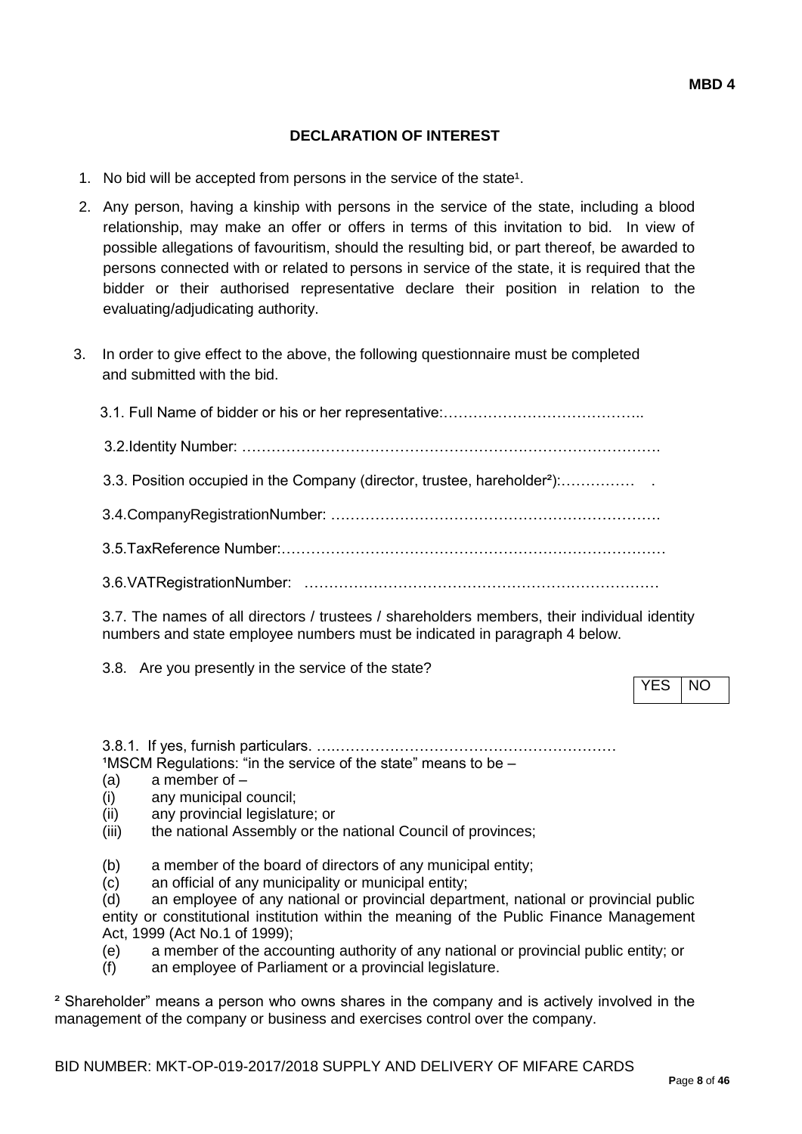### **DECLARATION OF INTEREST**

- 1. No bid will be accepted from persons in the service of the state<sup>1</sup>.
- 2. Any person, having a kinship with persons in the service of the state, including a blood relationship, may make an offer or offers in terms of this invitation to bid. In view of possible allegations of favouritism, should the resulting bid, or part thereof, be awarded to persons connected with or related to persons in service of the state, it is required that the bidder or their authorised representative declare their position in relation to the evaluating/adjudicating authority.
- 3. In order to give effect to the above, the following questionnaire must be completed and submitted with the bid.

| 3.3. Position occupied in the Company (director, trustee, hareholder <sup>2</sup> ): |
|--------------------------------------------------------------------------------------|
|                                                                                      |
|                                                                                      |
|                                                                                      |

3.7. The names of all directors / trustees / shareholders members, their individual identity numbers and state employee numbers must be indicated in paragraph 4 below.

3.8. Are you presently in the service of the state?

YES NO

3.8.1. If yes, furnish particulars. ….…………………………………………………  $1$ MSCM Regulations: "in the service of the state" means to be  $-$ 

- (a) a member of –
- (i) any municipal council;
- (ii) any provincial legislature; or
- (iii) the national Assembly or the national Council of provinces;
- (b) a member of the board of directors of any municipal entity;
- (c) an official of any municipality or municipal entity;

(d) an employee of any national or provincial department, national or provincial public entity or constitutional institution within the meaning of the Public Finance Management Act, 1999 (Act No.1 of 1999);

(e) a member of the accounting authority of any national or provincial public entity; or

(f) an employee of Parliament or a provincial legislature.

² Shareholder" means a person who owns shares in the company and is actively involved in the management of the company or business and exercises control over the company.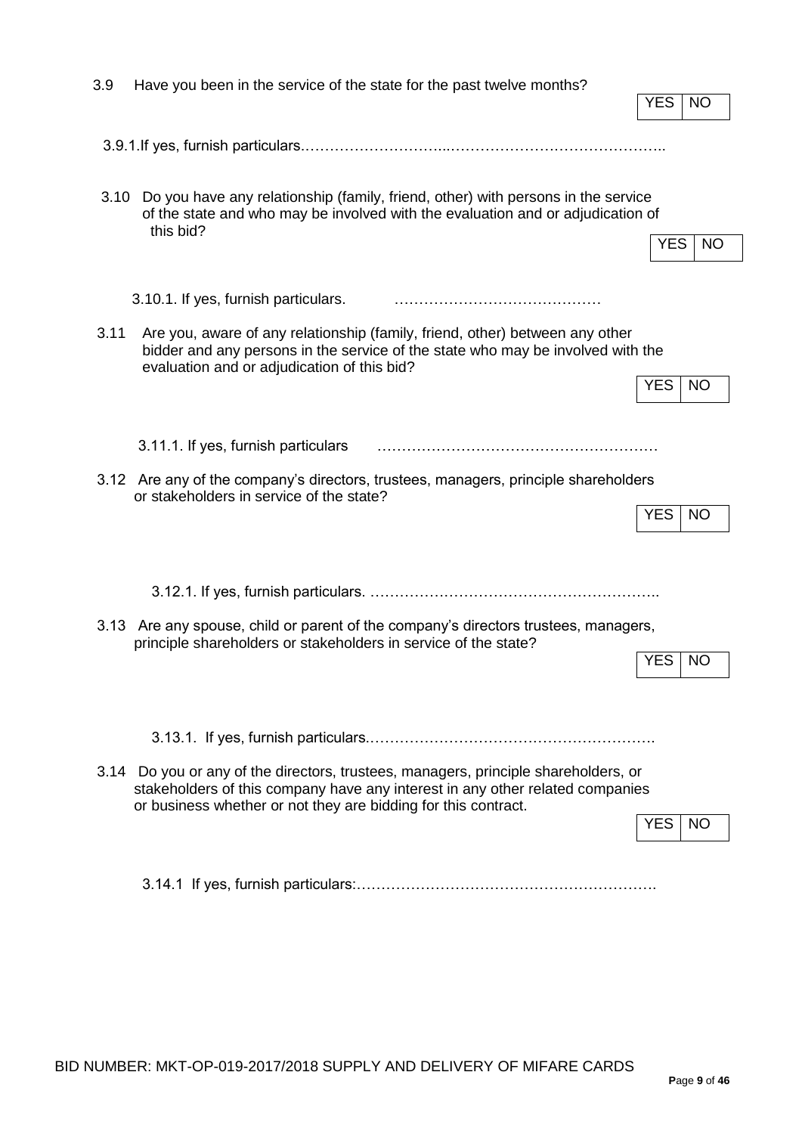| 3.9  | Have you been in the service of the state for the past twelve months?                                                                                                                                                                  |            |           |
|------|----------------------------------------------------------------------------------------------------------------------------------------------------------------------------------------------------------------------------------------|------------|-----------|
|      |                                                                                                                                                                                                                                        | <b>YES</b> | NO        |
|      |                                                                                                                                                                                                                                        |            |           |
| 3.10 | Do you have any relationship (family, friend, other) with persons in the service<br>of the state and who may be involved with the evaluation and or adjudication of<br>this bid?                                                       |            |           |
|      |                                                                                                                                                                                                                                        | <b>YES</b> | NO.       |
|      | 3.10.1. If yes, furnish particulars.                                                                                                                                                                                                   |            |           |
| 3.11 | Are you, aware of any relationship (family, friend, other) between any other<br>bidder and any persons in the service of the state who may be involved with the<br>evaluation and or adjudication of this bid?                         |            |           |
|      |                                                                                                                                                                                                                                        | <b>YES</b> | <b>NO</b> |
|      | 3.11.1. If yes, furnish particulars                                                                                                                                                                                                    |            |           |
|      | 3.12 Are any of the company's directors, trustees, managers, principle shareholders<br>or stakeholders in service of the state?                                                                                                        |            |           |
|      |                                                                                                                                                                                                                                        | <b>YES</b> | <b>NO</b> |
|      |                                                                                                                                                                                                                                        |            |           |
|      | 3.13 Are any spouse, child or parent of the company's directors trustees, managers,                                                                                                                                                    |            |           |
|      | principle shareholders or stakeholders in service of the state?                                                                                                                                                                        | <b>YES</b> | NO        |
|      |                                                                                                                                                                                                                                        |            |           |
|      |                                                                                                                                                                                                                                        |            |           |
|      | 3.14 Do you or any of the directors, trustees, managers, principle shareholders, or<br>stakeholders of this company have any interest in any other related companies<br>or business whether or not they are bidding for this contract. |            |           |
|      |                                                                                                                                                                                                                                        | <b>YES</b> | <b>NO</b> |
|      |                                                                                                                                                                                                                                        |            |           |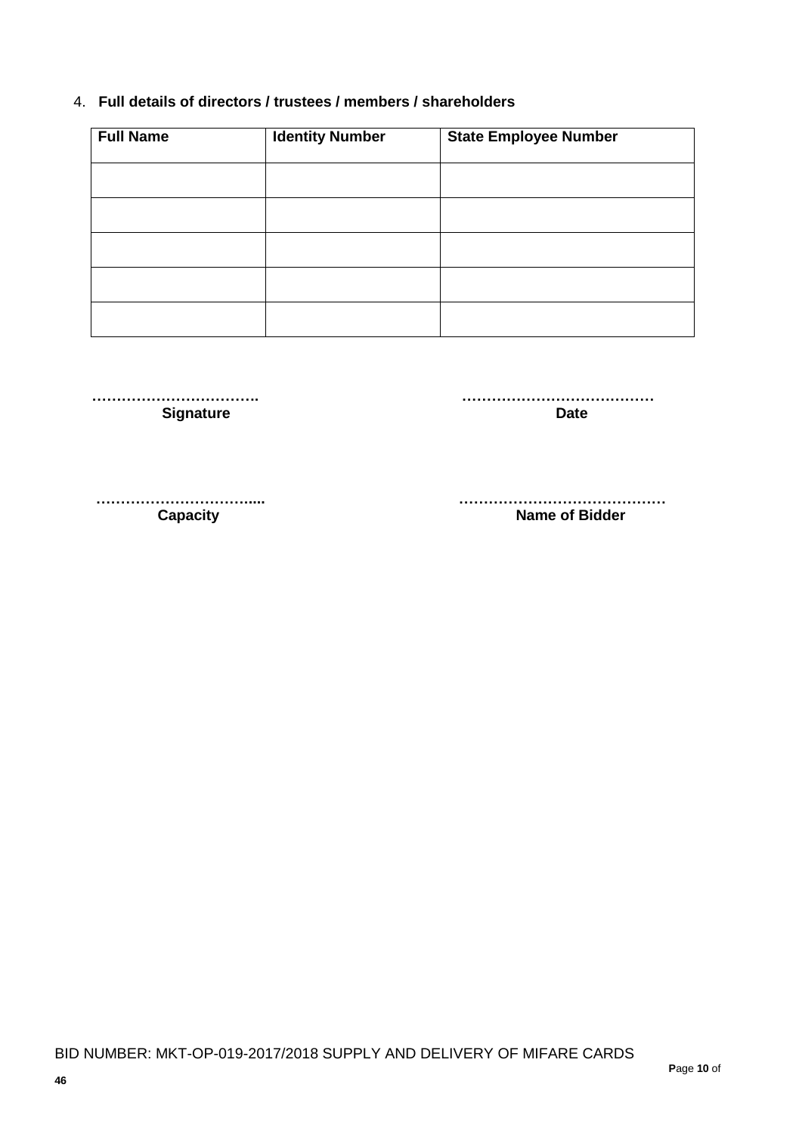### 4. **Full details of directors / trustees / members / shareholders**

| <b>Full Name</b> | <b>Identity Number</b> | <b>State Employee Number</b> |
|------------------|------------------------|------------------------------|
|                  |                        |                              |
|                  |                        |                              |
|                  |                        |                              |
|                  |                        |                              |
|                  |                        |                              |

**Signature Date** 

 **……………………………. …………………………………**

**Capacity Capacity Capacity Capacity Name of Bidder** 

 **…………………………..... ……………………………………**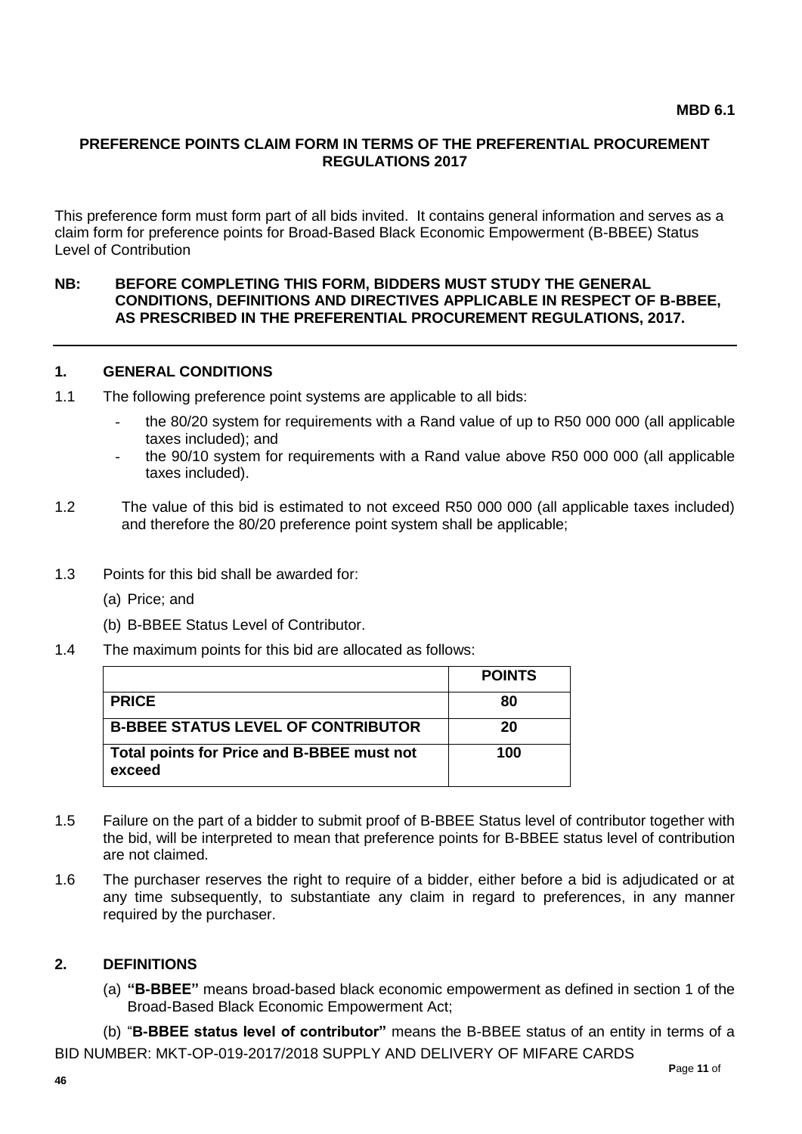#### **PREFERENCE POINTS CLAIM FORM IN TERMS OF THE PREFERENTIAL PROCUREMENT REGULATIONS 2017**

This preference form must form part of all bids invited. It contains general information and serves as a claim form for preference points for Broad-Based Black Economic Empowerment (B-BBEE) Status Level of Contribution

#### **NB: BEFORE COMPLETING THIS FORM, BIDDERS MUST STUDY THE GENERAL CONDITIONS, DEFINITIONS AND DIRECTIVES APPLICABLE IN RESPECT OF B-BBEE, AS PRESCRIBED IN THE PREFERENTIAL PROCUREMENT REGULATIONS, 2017.**

#### **1. GENERAL CONDITIONS**

- 1.1 The following preference point systems are applicable to all bids:
	- the 80/20 system for requirements with a Rand value of up to R50 000 000 (all applicable taxes included); and
	- the 90/10 system for requirements with a Rand value above R50 000 000 (all applicable taxes included).
- 1.2 The value of this bid is estimated to not exceed R50 000 000 (all applicable taxes included) and therefore the 80/20 preference point system shall be applicable;
- 1.3 Points for this bid shall be awarded for:
	- (a) Price; and
	- (b) B-BBEE Status Level of Contributor.
- 1.4 The maximum points for this bid are allocated as follows:

|                                                      | <b>POINTS</b> |
|------------------------------------------------------|---------------|
| <b>PRICE</b>                                         | 80            |
| <b>B-BBEE STATUS LEVEL OF CONTRIBUTOR</b>            | 20            |
| Total points for Price and B-BBEE must not<br>exceed | 100           |

- 1.5 Failure on the part of a bidder to submit proof of B-BBEE Status level of contributor together with the bid, will be interpreted to mean that preference points for B-BBEE status level of contribution are not claimed.
- 1.6 The purchaser reserves the right to require of a bidder, either before a bid is adjudicated or at any time subsequently, to substantiate any claim in regard to preferences, in any manner required by the purchaser.

#### **2. DEFINITIONS**

(a) **"B-BBEE"** means broad-based black economic empowerment as defined in section 1 of the Broad-Based Black Economic Empowerment Act;

BID NUMBER: MKT-OP-019-2017/2018 SUPPLY AND DELIVERY OF MIFARE CARDS (b) "**B-BBEE status level of contributor"** means the B-BBEE status of an entity in terms of a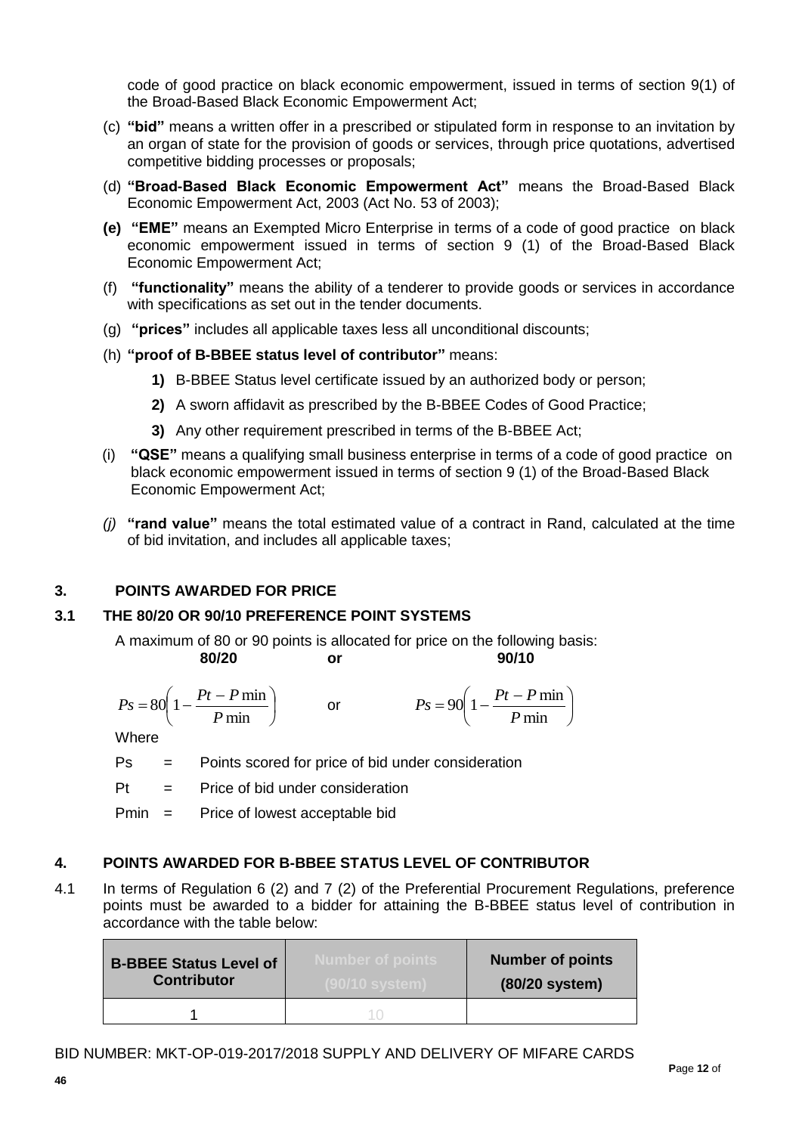code of good practice on black economic empowerment, issued in terms of section 9(1) of the Broad-Based Black Economic Empowerment Act;

- (c) **"bid"** means a written offer in a prescribed or stipulated form in response to an invitation by an organ of state for the provision of goods or services, through price quotations, advertised competitive bidding processes or proposals;
- (d) **"Broad-Based Black Economic Empowerment Act"** means the Broad-Based Black Economic Empowerment Act, 2003 (Act No. 53 of 2003);
- **(e) "EME"** means an Exempted Micro Enterprise in terms of a code of good practice on black economic empowerment issued in terms of section 9 (1) of the Broad-Based Black Economic Empowerment Act;
- (f) **"functionality"** means the ability of a tenderer to provide goods or services in accordance with specifications as set out in the tender documents.
- (g) **"prices"** includes all applicable taxes less all unconditional discounts;
- (h) **"proof of B-BBEE status level of contributor"** means:
	- **1)** B-BBEE Status level certificate issued by an authorized body or person;
	- **2)** A sworn affidavit as prescribed by the B-BBEE Codes of Good Practice;
	- **3)** Any other requirement prescribed in terms of the B-BBEE Act;
- (i) **"QSE"** means a qualifying small business enterprise in terms of a code of good practice on black economic empowerment issued in terms of section 9 (1) of the Broad-Based Black Economic Empowerment Act;
- *(j)* **"rand value"** means the total estimated value of a contract in Rand, calculated at the time of bid invitation, and includes all applicable taxes;

### **3. POINTS AWARDED FOR PRICE**

### **3.1 THE 80/20 OR 90/10 PREFERENCE POINT SYSTEMS**

A maximum of 80 or 90 points is allocated for price on the following basis: **80/20 or 90/10**

$$
Ps = 80\left(1 - \frac{Pt - P \min}{P \min}\right) \qquad \text{or} \qquad \qquad Ps = 90\left(1 - \frac{Pt - P \min}{P \min}\right)
$$

**Where** 

- Ps = Points scored for price of bid under consideration
- $Pt =$  Price of bid under consideration

Pmin = Price of lowest acceptable bid

### **4. POINTS AWARDED FOR B-BBEE STATUS LEVEL OF CONTRIBUTOR**

4.1 In terms of Regulation 6 (2) and 7 (2) of the Preferential Procurement Regulations, preference points must be awarded to a bidder for attaining the B-BBEE status level of contribution in accordance with the table below:

| <b>B-BBEE Status Level of</b><br><b>Contributor</b> | Number of points. | <b>Number of points</b><br>(80/20 system) |
|-----------------------------------------------------|-------------------|-------------------------------------------|
|                                                     |                   |                                           |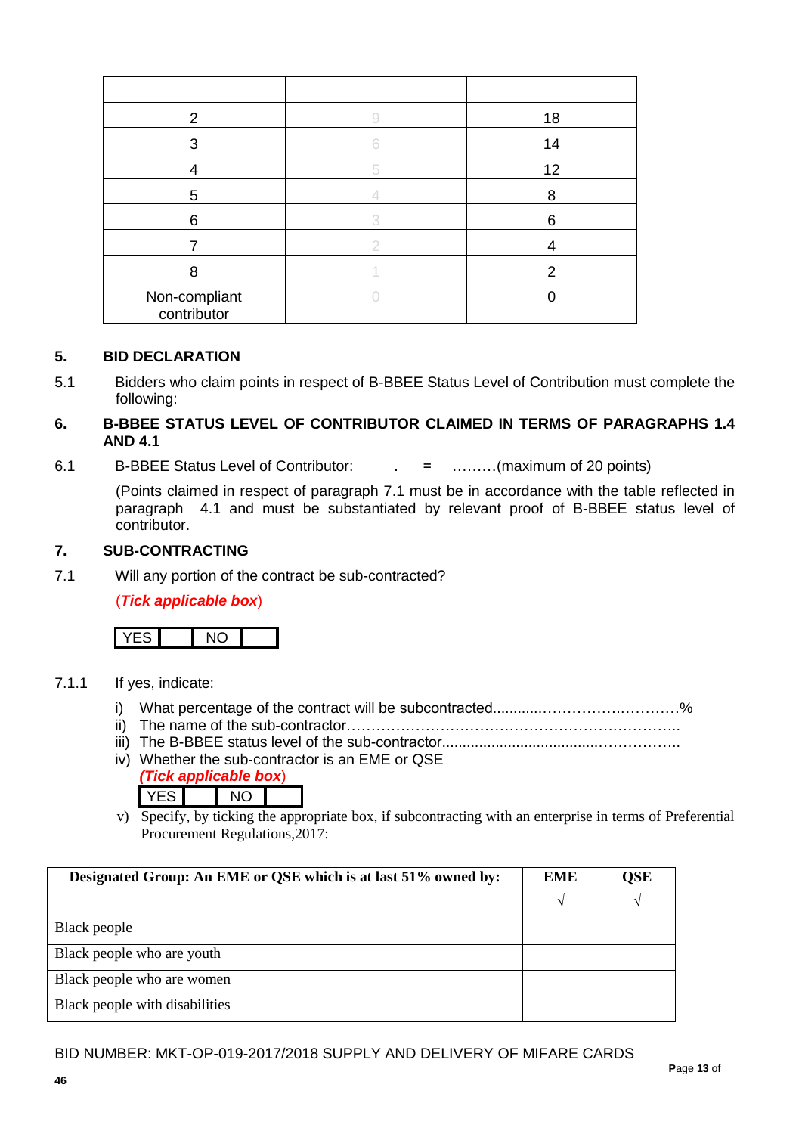| 2                            | 18 |
|------------------------------|----|
| 3                            | 14 |
|                              | 12 |
| 5                            | 8  |
| 6                            | 6  |
|                              |    |
| 8                            | 2  |
| Non-compliant<br>contributor |    |

#### **5. BID DECLARATION**

5.1 Bidders who claim points in respect of B-BBEE Status Level of Contribution must complete the following:

#### **6. B-BBEE STATUS LEVEL OF CONTRIBUTOR CLAIMED IN TERMS OF PARAGRAPHS 1.4 AND 4.1**

6.1 B-BBEE Status Level of Contributor: . = ………(maximum of 20 points)

(Points claimed in respect of paragraph 7.1 must be in accordance with the table reflected in paragraph 4.1 and must be substantiated by relevant proof of B-BBEE status level of contributor.

#### **7. SUB-CONTRACTING**

7.1 Will any portion of the contract be sub-contracted?

#### (*Tick applicable box*)



#### 7.1.1 If yes, indicate:

- i) What percentage of the contract will be subcontracted............…………….…………%
- ii) The name of the sub-contractor…………………………………………………………..
- iii) The B-BBEE status level of the sub-contractor......................................……………..
- iv) Whether the sub-contractor is an EME or QSE *(Tick applicable box*)

| ------ |  |  |  |
|--------|--|--|--|
|        |  |  |  |
|        |  |  |  |

v) Specify, by ticking the appropriate box, if subcontracting with an enterprise in terms of Preferential Procurement Regulations,2017:

| Designated Group: An EME or QSE which is at last 51% owned by: | <b>EME</b> | OSE |
|----------------------------------------------------------------|------------|-----|
|                                                                | N          |     |
| Black people                                                   |            |     |
| Black people who are youth                                     |            |     |
| Black people who are women                                     |            |     |
| Black people with disabilities                                 |            |     |

#### BID NUMBER: MKT-OP-019-2017/2018 SUPPLY AND DELIVERY OF MIFARE CARDS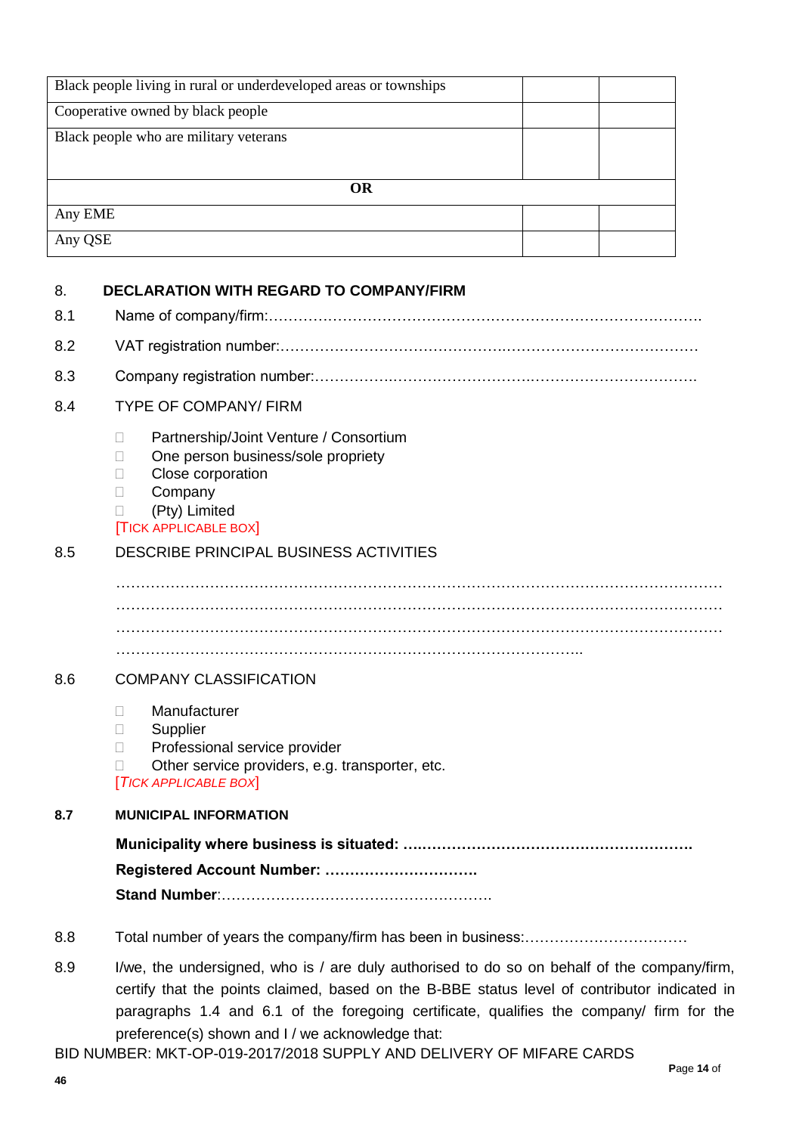|         | Black people living in rural or underdeveloped areas or townships |  |
|---------|-------------------------------------------------------------------|--|
|         | Cooperative owned by black people                                 |  |
|         | Black people who are military veterans                            |  |
|         |                                                                   |  |
|         | <b>OR</b>                                                         |  |
| Any EME |                                                                   |  |
| Any QSE |                                                                   |  |
|         |                                                                   |  |
| 8.      | <b>DECLARATION WITH REGARD TO COMPANY/FIRM</b>                    |  |
| 8.1     |                                                                   |  |
| 8.2     |                                                                   |  |
| 8.3     |                                                                   |  |

8.4 TYPE OF COMPANY/ FIRM

- □ Partnership/Joint Venture / Consortium
- □ One person business/sole propriety
- **Close corporation**
- D Company
- (Pty) Limited

#### [TICK APPLICABLE BOX]

### 8.5 DESCRIBE PRINCIPAL BUSINESS ACTIVITIES

. The contract of the contract of the contract of the contract of the contract of the contract of the contract of the contract of the contract of the contract of the contract of the contract of the contract of the contrac . The contract of the contract of the contract of the contract of the contract of the contract of the contract of the contract of the contract of the contract of the contract of the contract of the contract of the contrac …………………………………………………………………………………..

#### 8.6 COMPANY CLASSIFICATION

- Manufacturer
- **Supplier**
- D Professional service provider
- $\Box$  Other service providers, e.g. transporter, etc.

[*TICK APPLICABLE BOX*]

### **8.7 MUNICIPAL INFORMATION**

**Municipality where business is situated: ….………………………………………………. Registered Account Number: ………………………….**

**Stand Number**:……………………………………………….

- 8.8 Total number of years the company/firm has been in business:……………………………
- 8.9 I/we, the undersigned, who is / are duly authorised to do so on behalf of the company/firm, certify that the points claimed, based on the B-BBE status level of contributor indicated in paragraphs 1.4 and 6.1 of the foregoing certificate, qualifies the company/ firm for the preference(s) shown and I / we acknowledge that:

BID NUMBER: MKT-OP-019-2017/2018 SUPPLY AND DELIVERY OF MIFARE CARDS **P**age **14** of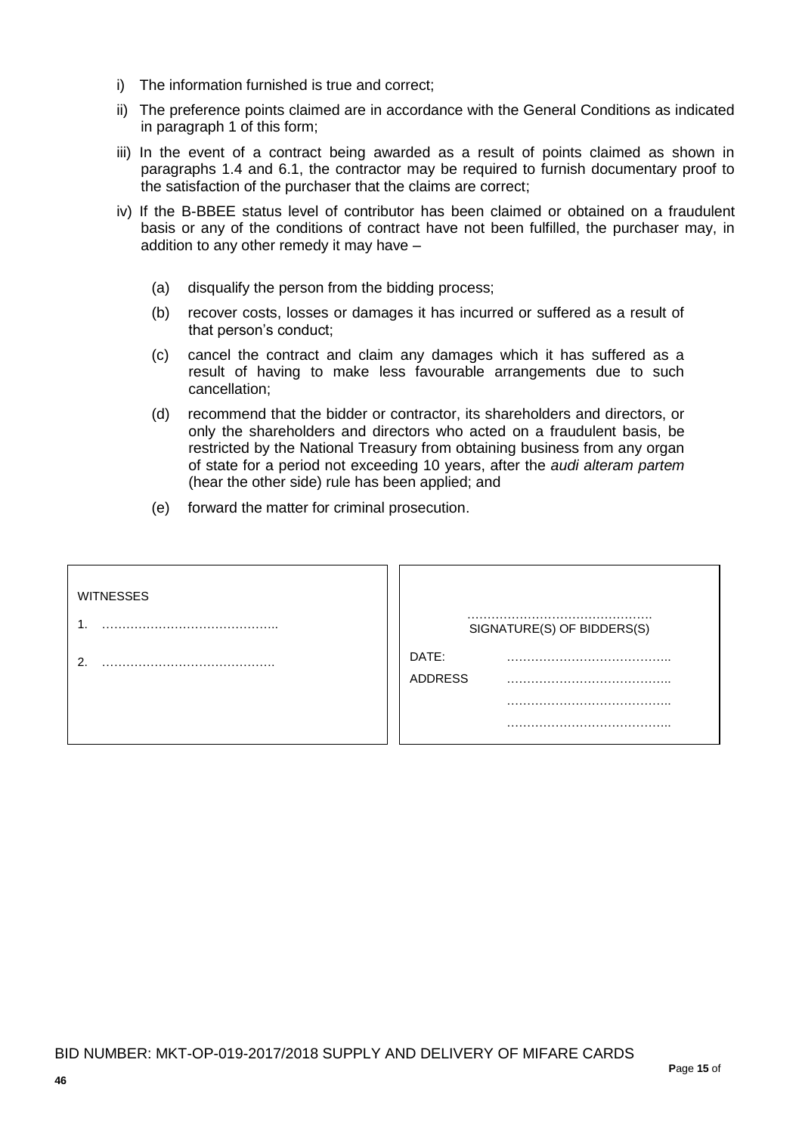- i) The information furnished is true and correct;
- ii) The preference points claimed are in accordance with the General Conditions as indicated in paragraph 1 of this form;
- iii) In the event of a contract being awarded as a result of points claimed as shown in paragraphs 1.4 and 6.1, the contractor may be required to furnish documentary proof to the satisfaction of the purchaser that the claims are correct;
- iv) If the B-BBEE status level of contributor has been claimed or obtained on a fraudulent basis or any of the conditions of contract have not been fulfilled, the purchaser may, in addition to any other remedy it may have –
	- (a) disqualify the person from the bidding process;
	- (b) recover costs, losses or damages it has incurred or suffered as a result of that person's conduct;
	- (c) cancel the contract and claim any damages which it has suffered as a result of having to make less favourable arrangements due to such cancellation;
	- (d) recommend that the bidder or contractor, its shareholders and directors, or only the shareholders and directors who acted on a fraudulent basis, be restricted by the National Treasury from obtaining business from any organ of state for a period not exceeding 10 years, after the *audi alteram partem* (hear the other side) rule has been applied; and
	- (e) forward the matter for criminal prosecution.

| <b>WITNESSES</b> |                         | SIGNATURE(S) OF BIDDERS(S) |
|------------------|-------------------------|----------------------------|
| ົ                | DATE:<br><b>ADDRESS</b> |                            |
|                  |                         |                            |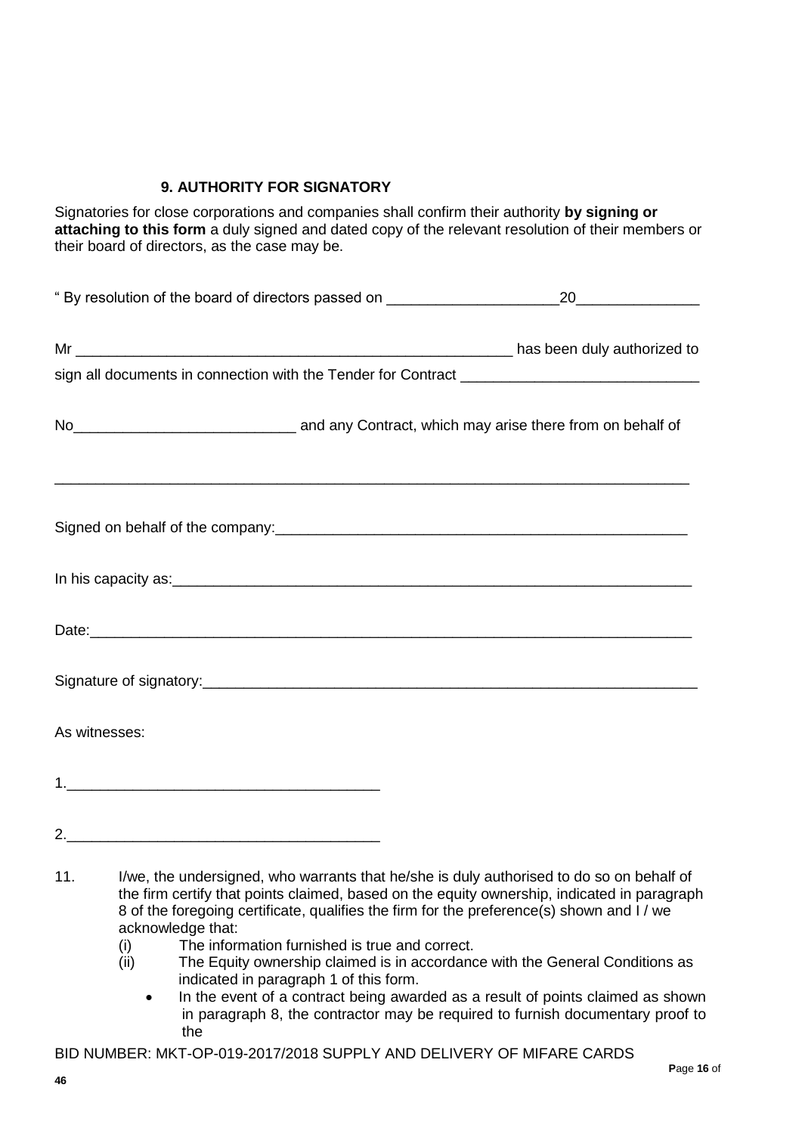### **9. AUTHORITY FOR SIGNATORY**

Signatories for close corporations and companies shall confirm their authority **by signing or attaching to this form** a duly signed and dated copy of the relevant resolution of their members or their board of directors, as the case may be.

| "By resolution of the board of directors passed on _____________________________ | 20                                                                                                          |
|----------------------------------------------------------------------------------|-------------------------------------------------------------------------------------------------------------|
|                                                                                  |                                                                                                             |
|                                                                                  |                                                                                                             |
|                                                                                  | No <sub>___________________________________</sub> and any Contract, which may arise there from on behalf of |
|                                                                                  |                                                                                                             |
|                                                                                  |                                                                                                             |
|                                                                                  |                                                                                                             |
|                                                                                  |                                                                                                             |
| As witnesses:                                                                    |                                                                                                             |
|                                                                                  |                                                                                                             |
|                                                                                  |                                                                                                             |

- 11. I/we, the undersigned, who warrants that he/she is duly authorised to do so on behalf of the firm certify that points claimed, based on the equity ownership, indicated in paragraph 8 of the foregoing certificate, qualifies the firm for the preference(s) shown and I / we acknowledge that:
	- (i) The information furnished is true and correct.
	- (ii) The Equity ownership claimed is in accordance with the General Conditions as indicated in paragraph 1 of this form.
		- In the event of a contract being awarded as a result of points claimed as shown in paragraph 8, the contractor may be required to furnish documentary proof to the

BID NUMBER: MKT-OP-019-2017/2018 SUPPLY AND DELIVERY OF MIFARE CARDS **P**age **16** of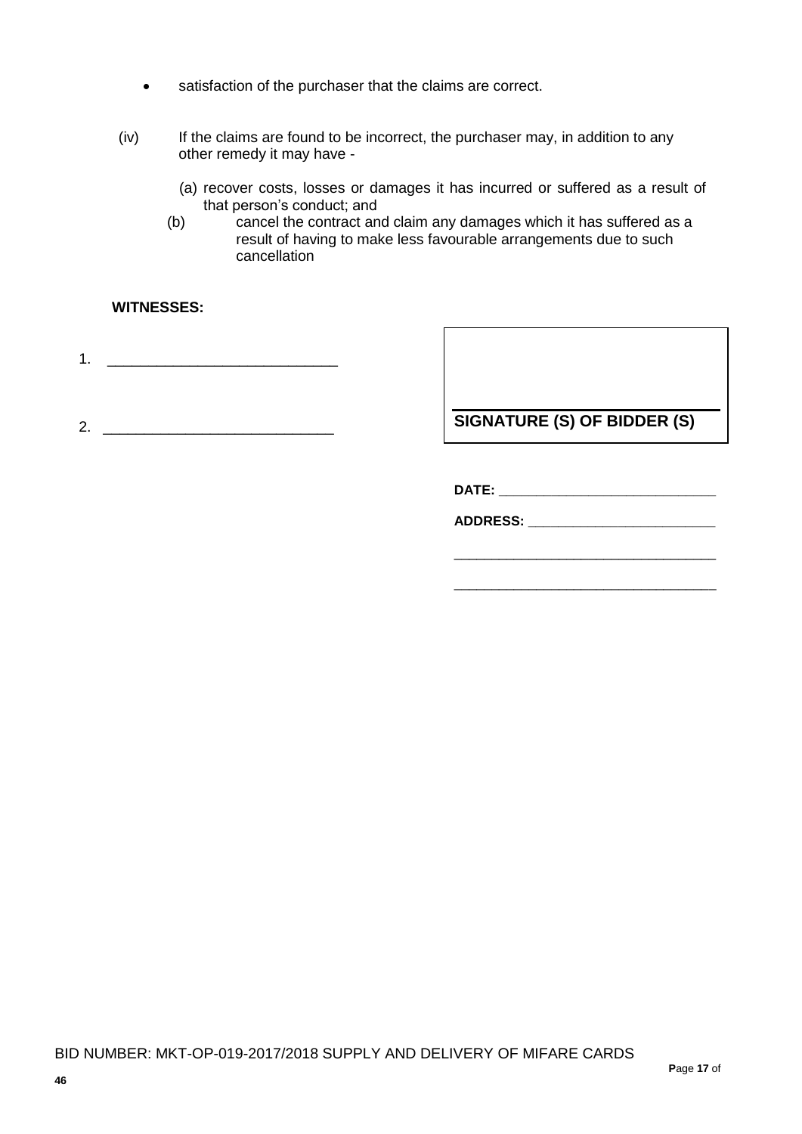- satisfaction of the purchaser that the claims are correct.
- (iv) If the claims are found to be incorrect, the purchaser may, in addition to any other remedy it may have -
	- (a) recover costs, losses or damages it has incurred or suffered as a result of that person's conduct; and
	- (b) cancel the contract and claim any damages which it has suffered as a result of having to make less favourable arrangements due to such cancellation

### **WITNESSES:**

1. \_\_\_\_\_\_\_\_\_\_\_\_\_\_\_\_\_\_\_\_\_\_\_\_\_\_\_\_

2. \_\_\_\_\_\_\_\_\_\_\_\_\_\_\_\_\_\_\_\_\_\_\_\_\_\_\_\_

**SIGNATURE (S) OF BIDDER (S)**

**DATE: \_\_\_\_\_\_\_\_\_\_\_\_\_\_\_\_\_\_\_\_\_\_\_\_\_\_\_\_\_**

**ADDRESS: \_\_\_\_\_\_\_\_\_\_\_\_\_\_\_\_\_\_\_\_\_\_\_\_\_**

\_\_\_\_\_\_\_\_\_\_\_\_\_\_\_\_\_\_\_\_\_\_\_\_\_\_\_\_\_\_\_\_\_\_\_

\_\_\_\_\_\_\_\_\_\_\_\_\_\_\_\_\_\_\_\_\_\_\_\_\_\_\_\_\_\_\_\_\_\_\_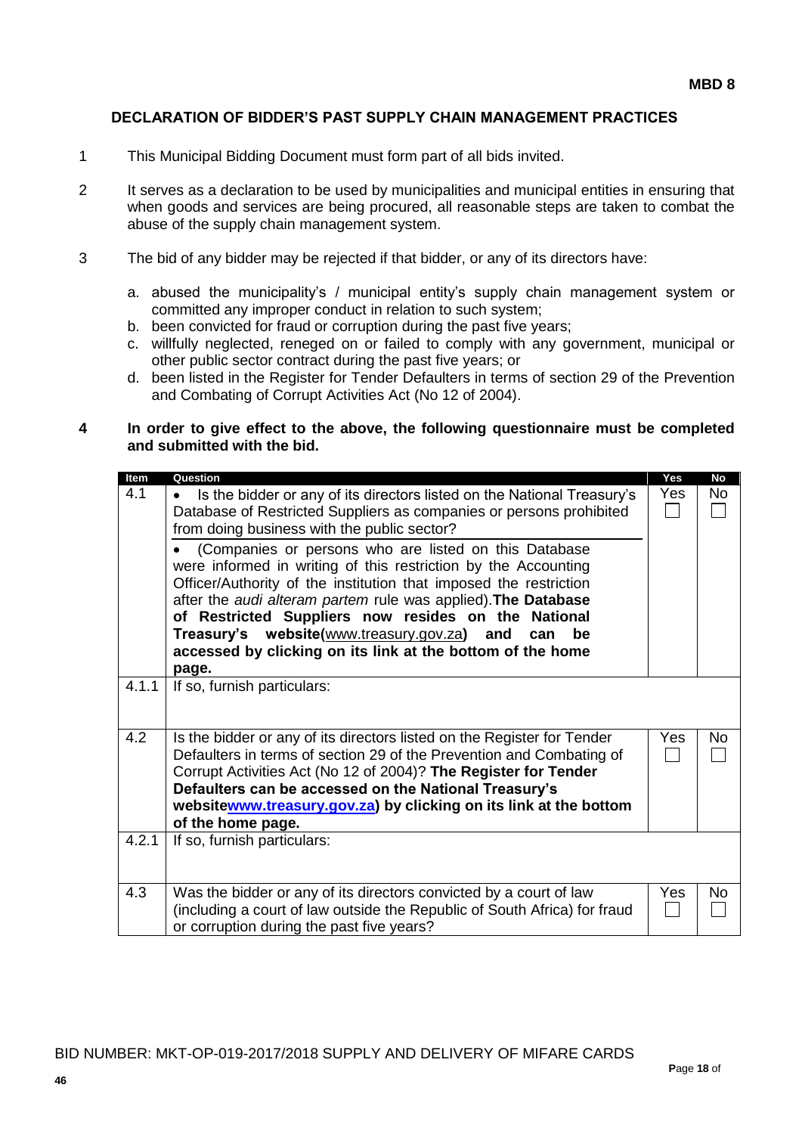#### **DECLARATION OF BIDDER'S PAST SUPPLY CHAIN MANAGEMENT PRACTICES**

- 1 This Municipal Bidding Document must form part of all bids invited.
- 2 It serves as a declaration to be used by municipalities and municipal entities in ensuring that when goods and services are being procured, all reasonable steps are taken to combat the abuse of the supply chain management system.
- 3 The bid of any bidder may be rejected if that bidder, or any of its directors have:
	- a. abused the municipality's / municipal entity's supply chain management system or committed any improper conduct in relation to such system;
	- b. been convicted for fraud or corruption during the past five years;
	- c. willfully neglected, reneged on or failed to comply with any government, municipal or other public sector contract during the past five years; or
	- d. been listed in the Register for Tender Defaulters in terms of section 29 of the Prevention and Combating of Corrupt Activities Act (No 12 of 2004).

#### **4 In order to give effect to the above, the following questionnaire must be completed and submitted with the bid.**

| Item  | Question                                                                                                                            | Yes | <b>No</b> |
|-------|-------------------------------------------------------------------------------------------------------------------------------------|-----|-----------|
| 4.1   | Is the bidder or any of its directors listed on the National Treasury's<br>$\bullet$                                                | Yes | No        |
|       | Database of Restricted Suppliers as companies or persons prohibited                                                                 |     |           |
|       | from doing business with the public sector?                                                                                         |     |           |
|       | (Companies or persons who are listed on this Database                                                                               |     |           |
|       | were informed in writing of this restriction by the Accounting<br>Officer/Authority of the institution that imposed the restriction |     |           |
|       | after the audi alteram partem rule was applied). The Database                                                                       |     |           |
|       | of Restricted Suppliers now resides on the National                                                                                 |     |           |
|       | Treasury's website(www.treasury.gov.za) and<br>be<br>can                                                                            |     |           |
|       | accessed by clicking on its link at the bottom of the home                                                                          |     |           |
|       | page.                                                                                                                               |     |           |
| 4.1.1 | If so, furnish particulars:                                                                                                         |     |           |
|       |                                                                                                                                     |     |           |
|       |                                                                                                                                     |     |           |
| 4.2   | Is the bidder or any of its directors listed on the Register for Tender                                                             | Yes | <b>No</b> |
|       | Defaulters in terms of section 29 of the Prevention and Combating of                                                                |     |           |
|       | Corrupt Activities Act (No 12 of 2004)? The Register for Tender<br>Defaulters can be accessed on the National Treasury's            |     |           |
|       | websitewww.treasury.gov.za) by clicking on its link at the bottom                                                                   |     |           |
|       | of the home page.                                                                                                                   |     |           |
| 4.2.1 | If so, furnish particulars:                                                                                                         |     |           |
|       |                                                                                                                                     |     |           |
|       |                                                                                                                                     |     |           |
| 4.3   | Was the bidder or any of its directors convicted by a court of law                                                                  | Yes | No        |
|       | (including a court of law outside the Republic of South Africa) for fraud                                                           |     |           |
|       | or corruption during the past five years?                                                                                           |     |           |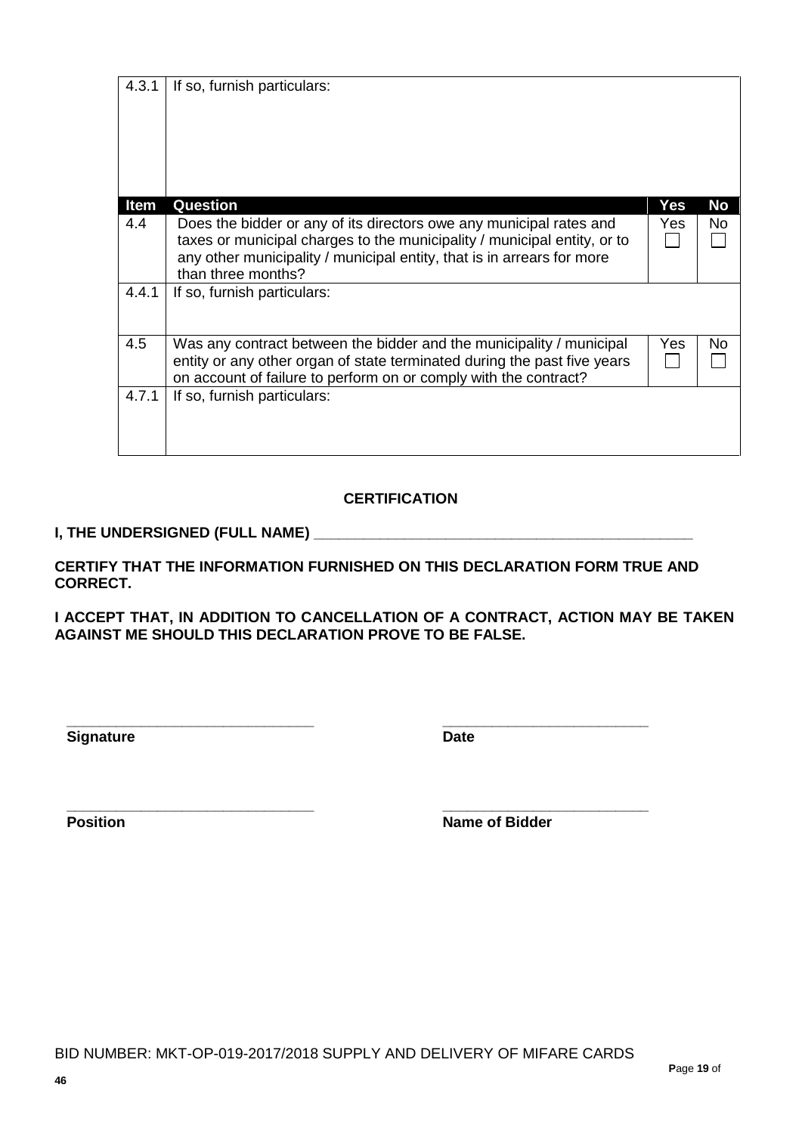| If so, furnish particulars:                                                                                                                                                                                                                     |          |          |
|-------------------------------------------------------------------------------------------------------------------------------------------------------------------------------------------------------------------------------------------------|----------|----------|
|                                                                                                                                                                                                                                                 |          |          |
| Does the bidder or any of its directors owe any municipal rates and<br>taxes or municipal charges to the municipality / municipal entity, or to<br>any other municipality / municipal entity, that is in arrears for more<br>than three months? | Yes.     | No<br>No |
| If so, furnish particulars:                                                                                                                                                                                                                     |          |          |
| Was any contract between the bidder and the municipality / municipal<br>entity or any other organ of state terminated during the past five years<br>on account of failure to perform on or comply with the contract?                            | Yes      | No       |
| If so, furnish particulars:                                                                                                                                                                                                                     |          |          |
|                                                                                                                                                                                                                                                 | Question | Yes      |

### **CERTIFICATION**

### **I, THE UNDERSIGNED (FULL NAME) \_\_\_\_\_\_\_\_\_\_\_\_\_\_\_\_\_\_\_\_\_\_\_\_\_\_\_\_\_\_\_\_\_\_\_\_\_\_\_\_\_\_\_\_\_\_**

**CERTIFY THAT THE INFORMATION FURNISHED ON THIS DECLARATION FORM TRUE AND CORRECT.**

**I ACCEPT THAT, IN ADDITION TO CANCELLATION OF A CONTRACT, ACTION MAY BE TAKEN AGAINST ME SHOULD THIS DECLARATION PROVE TO BE FALSE.**

**Signature Date** 

**\_\_\_\_\_\_\_\_\_\_\_\_\_\_\_\_\_\_\_\_\_\_\_\_\_\_\_\_\_\_ \_\_\_\_\_\_\_\_\_\_\_\_\_\_\_\_\_\_\_\_\_\_\_\_\_**

**\_\_\_\_\_\_\_\_\_\_\_\_\_\_\_\_\_\_\_\_\_\_\_\_\_\_\_\_\_\_ \_\_\_\_\_\_\_\_\_\_\_\_\_\_\_\_\_\_\_\_\_\_\_\_\_ Position Name of Bidder**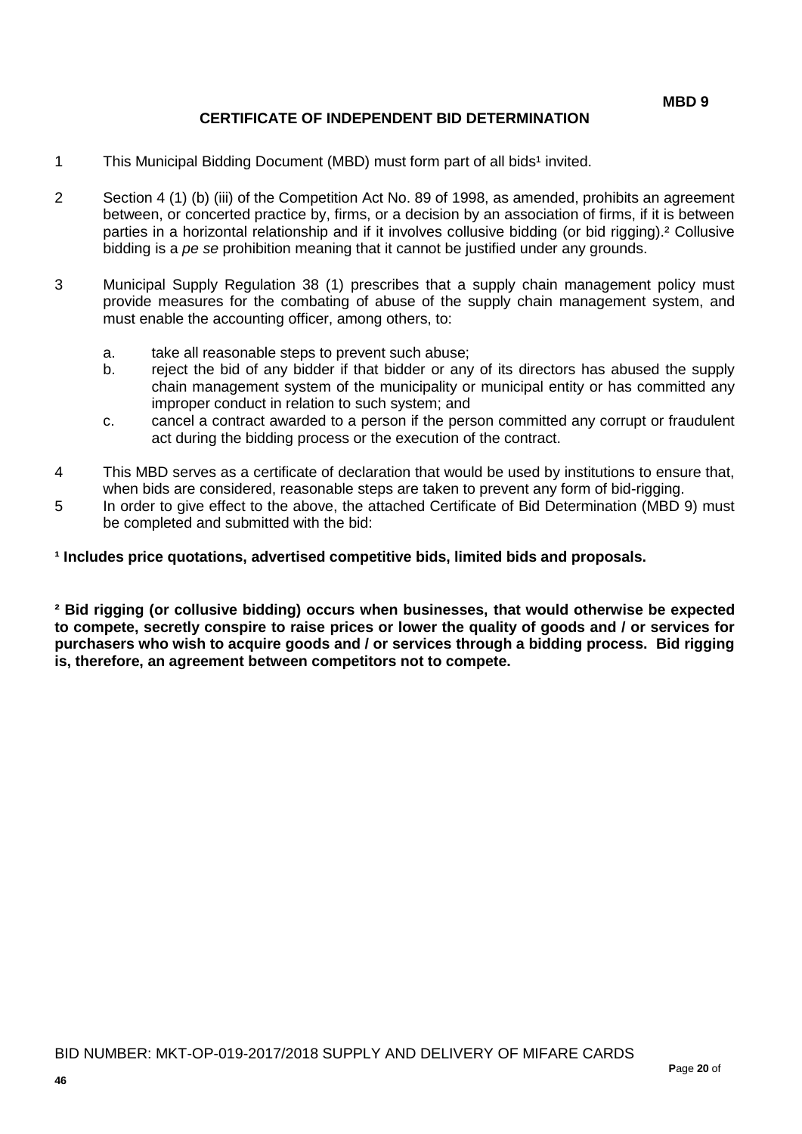### **CERTIFICATE OF INDEPENDENT BID DETERMINATION**

- 1 This Municipal Bidding Document (MBD) must form part of all bids<sup>1</sup> invited.
- 2 Section 4 (1) (b) (iii) of the Competition Act No. 89 of 1998, as amended, prohibits an agreement between, or concerted practice by, firms, or a decision by an association of firms, if it is between parties in a horizontal relationship and if it involves collusive bidding (or bid rigging).² Collusive bidding is a *pe se* prohibition meaning that it cannot be justified under any grounds.
- 3 Municipal Supply Regulation 38 (1) prescribes that a supply chain management policy must provide measures for the combating of abuse of the supply chain management system, and must enable the accounting officer, among others, to:
	- a. take all reasonable steps to prevent such abuse;
	- b. reject the bid of any bidder if that bidder or any of its directors has abused the supply chain management system of the municipality or municipal entity or has committed any improper conduct in relation to such system; and
	- c. cancel a contract awarded to a person if the person committed any corrupt or fraudulent act during the bidding process or the execution of the contract.
- 4 This MBD serves as a certificate of declaration that would be used by institutions to ensure that, when bids are considered, reasonable steps are taken to prevent any form of bid-rigging.
- 5 In order to give effect to the above, the attached Certificate of Bid Determination (MBD 9) must be completed and submitted with the bid:

**¹ Includes price quotations, advertised competitive bids, limited bids and proposals.**

**² Bid rigging (or collusive bidding) occurs when businesses, that would otherwise be expected to compete, secretly conspire to raise prices or lower the quality of goods and / or services for purchasers who wish to acquire goods and / or services through a bidding process. Bid rigging is, therefore, an agreement between competitors not to compete.**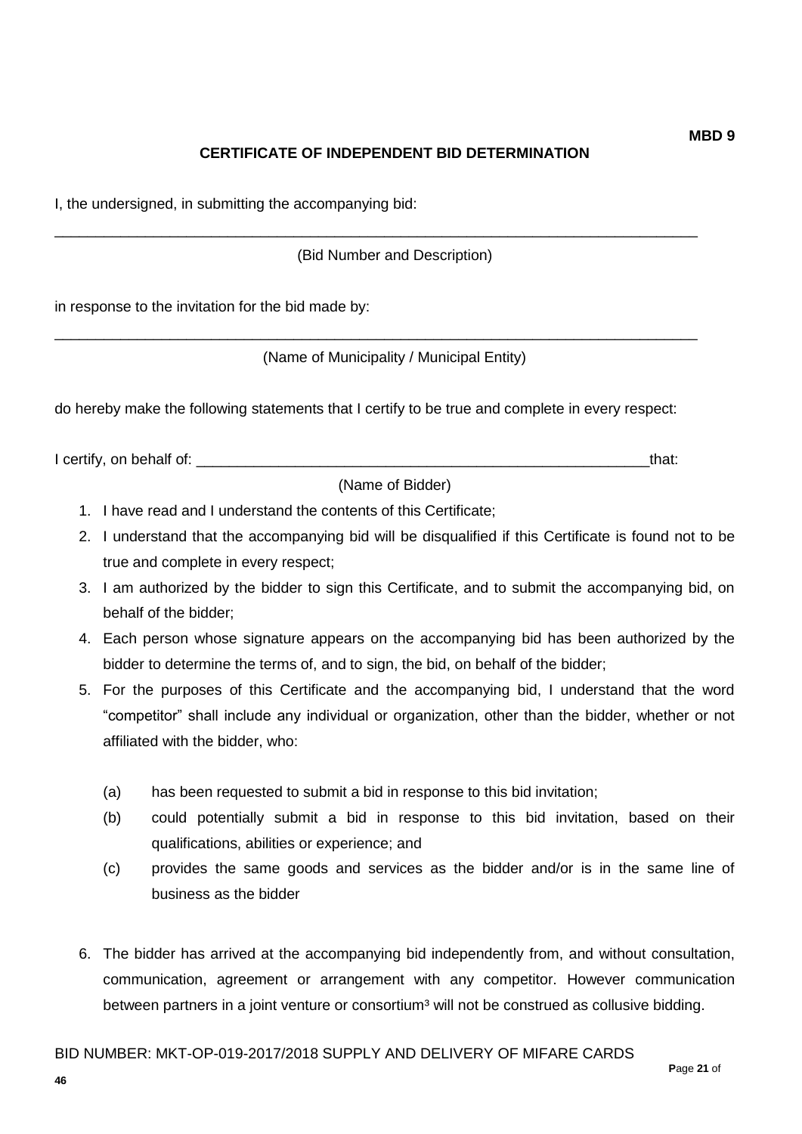## **CERTIFICATE OF INDEPENDENT BID DETERMINATION**

I, the undersigned, in submitting the accompanying bid:

(Bid Number and Description)

\_\_\_\_\_\_\_\_\_\_\_\_\_\_\_\_\_\_\_\_\_\_\_\_\_\_\_\_\_\_\_\_\_\_\_\_\_\_\_\_\_\_\_\_\_\_\_\_\_\_\_\_\_\_\_\_\_\_\_\_\_\_\_\_\_\_\_\_\_\_\_\_\_\_\_\_\_\_

\_\_\_\_\_\_\_\_\_\_\_\_\_\_\_\_\_\_\_\_\_\_\_\_\_\_\_\_\_\_\_\_\_\_\_\_\_\_\_\_\_\_\_\_\_\_\_\_\_\_\_\_\_\_\_\_\_\_\_\_\_\_\_\_\_\_\_\_\_\_\_\_\_\_\_\_\_\_

in response to the invitation for the bid made by:

(Name of Municipality / Municipal Entity)

do hereby make the following statements that I certify to be true and complete in every respect:

I certify, on behalf of: the state of the state of the state of the state of the state of the state of the state of the state of the state of the state of the state of the state of the state of the state of the state of th

(Name of Bidder)

- 1. I have read and I understand the contents of this Certificate;
- 2. I understand that the accompanying bid will be disqualified if this Certificate is found not to be true and complete in every respect;
- 3. I am authorized by the bidder to sign this Certificate, and to submit the accompanying bid, on behalf of the bidder;
- 4. Each person whose signature appears on the accompanying bid has been authorized by the bidder to determine the terms of, and to sign, the bid, on behalf of the bidder;
- 5. For the purposes of this Certificate and the accompanying bid, I understand that the word "competitor" shall include any individual or organization, other than the bidder, whether or not affiliated with the bidder, who:
	- (a) has been requested to submit a bid in response to this bid invitation;
	- (b) could potentially submit a bid in response to this bid invitation, based on their qualifications, abilities or experience; and
	- (c) provides the same goods and services as the bidder and/or is in the same line of business as the bidder
- 6. The bidder has arrived at the accompanying bid independently from, and without consultation, communication, agreement or arrangement with any competitor. However communication between partners in a joint venture or consortium<sup>3</sup> will not be construed as collusive bidding.

**46**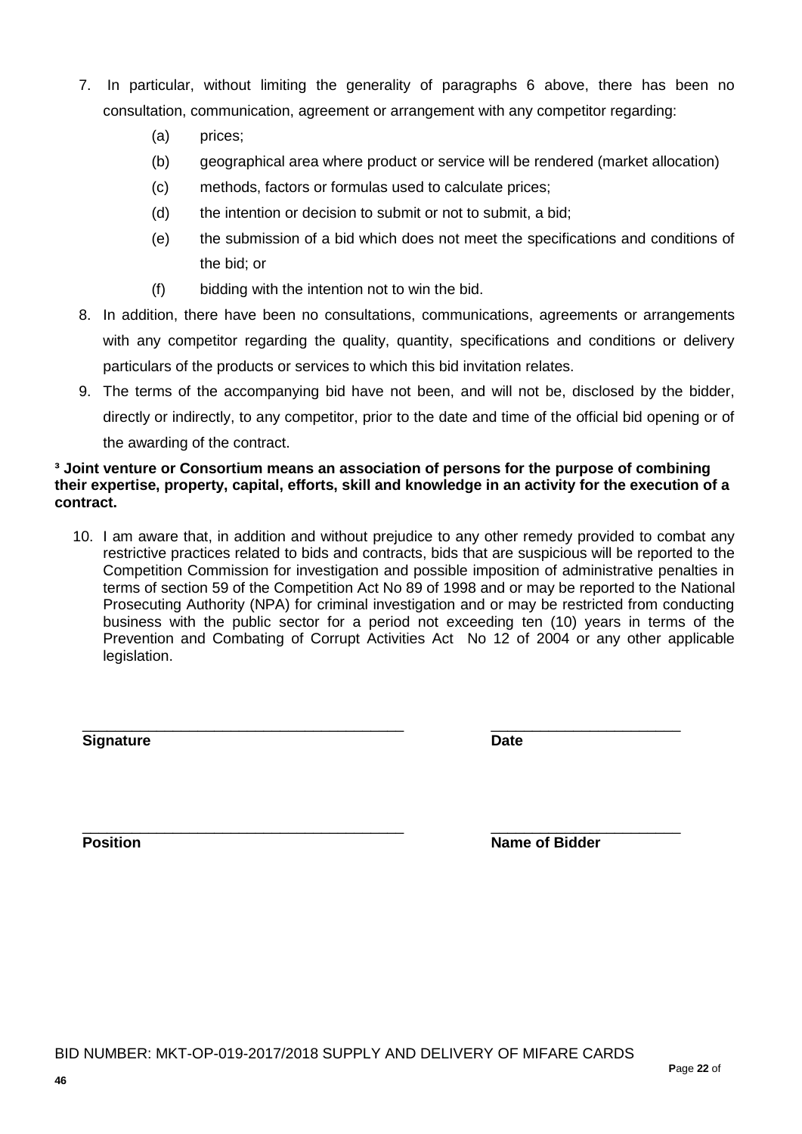- 7. In particular, without limiting the generality of paragraphs 6 above, there has been no consultation, communication, agreement or arrangement with any competitor regarding:
	- (a) prices;
	- (b) geographical area where product or service will be rendered (market allocation)
	- (c) methods, factors or formulas used to calculate prices;
	- (d) the intention or decision to submit or not to submit, a bid;
	- (e) the submission of a bid which does not meet the specifications and conditions of the bid; or
	- (f) bidding with the intention not to win the bid.
- 8. In addition, there have been no consultations, communications, agreements or arrangements with any competitor regarding the quality, quantity, specifications and conditions or delivery particulars of the products or services to which this bid invitation relates.
- 9. The terms of the accompanying bid have not been, and will not be, disclosed by the bidder, directly or indirectly, to any competitor, prior to the date and time of the official bid opening or of the awarding of the contract.

#### **³ Joint venture or Consortium means an association of persons for the purpose of combining their expertise, property, capital, efforts, skill and knowledge in an activity for the execution of a contract.**

10. I am aware that, in addition and without prejudice to any other remedy provided to combat any restrictive practices related to bids and contracts, bids that are suspicious will be reported to the Competition Commission for investigation and possible imposition of administrative penalties in terms of section 59 of the Competition Act No 89 of 1998 and or may be reported to the National Prosecuting Authority (NPA) for criminal investigation and or may be restricted from conducting business with the public sector for a period not exceeding ten (10) years in terms of the Prevention and Combating of Corrupt Activities Act No 12 of 2004 or any other applicable legislation.

**Signature Date**

\_\_\_\_\_\_\_\_\_\_\_\_\_\_\_\_\_\_\_\_\_\_\_\_\_\_\_\_\_\_\_\_\_\_\_\_\_\_\_ \_\_\_\_\_\_\_\_\_\_\_\_\_\_\_\_\_\_\_\_\_\_\_

\_\_\_\_\_\_\_\_\_\_\_\_\_\_\_\_\_\_\_\_\_\_\_\_\_\_\_\_\_\_\_\_\_\_\_\_\_\_\_ \_\_\_\_\_\_\_\_\_\_\_\_\_\_\_\_\_\_\_\_\_\_\_ **Position Position Name of Bidder**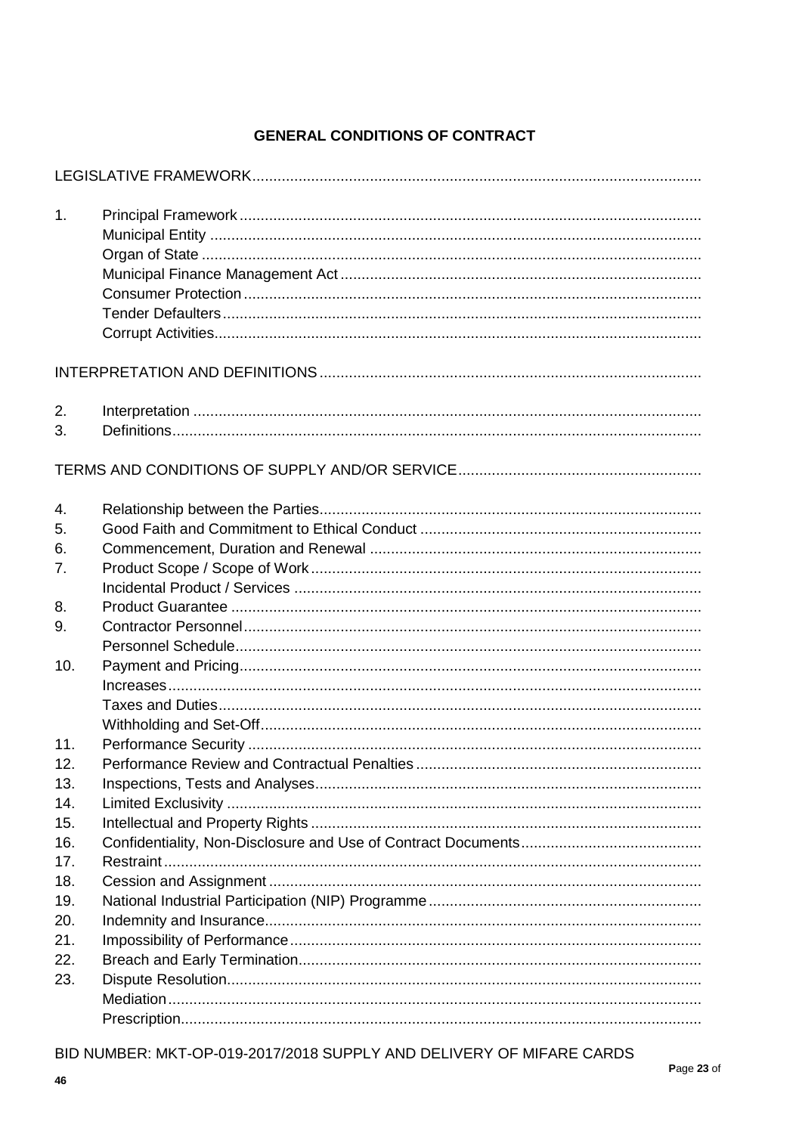## **GENERAL CONDITIONS OF CONTRACT**

| 1.       |  |
|----------|--|
|          |  |
| 2.<br>3. |  |
|          |  |
| 4.       |  |
| 5.       |  |
| 6.       |  |
| 7.       |  |
|          |  |
| 8.       |  |
| 9.       |  |
|          |  |
| 10.      |  |
|          |  |
|          |  |
|          |  |
| 11.      |  |
| 12.      |  |
| 13.      |  |
| 14.      |  |
| 15.      |  |
| 16.      |  |
| 17.      |  |
| 18.      |  |
| 19.      |  |
| 20.      |  |
| 21.      |  |
| 22.      |  |
| 23.      |  |
|          |  |
|          |  |

BID NUMBER: MKT-OP-019-2017/2018 SUPPLY AND DELIVERY OF MIFARE CARDS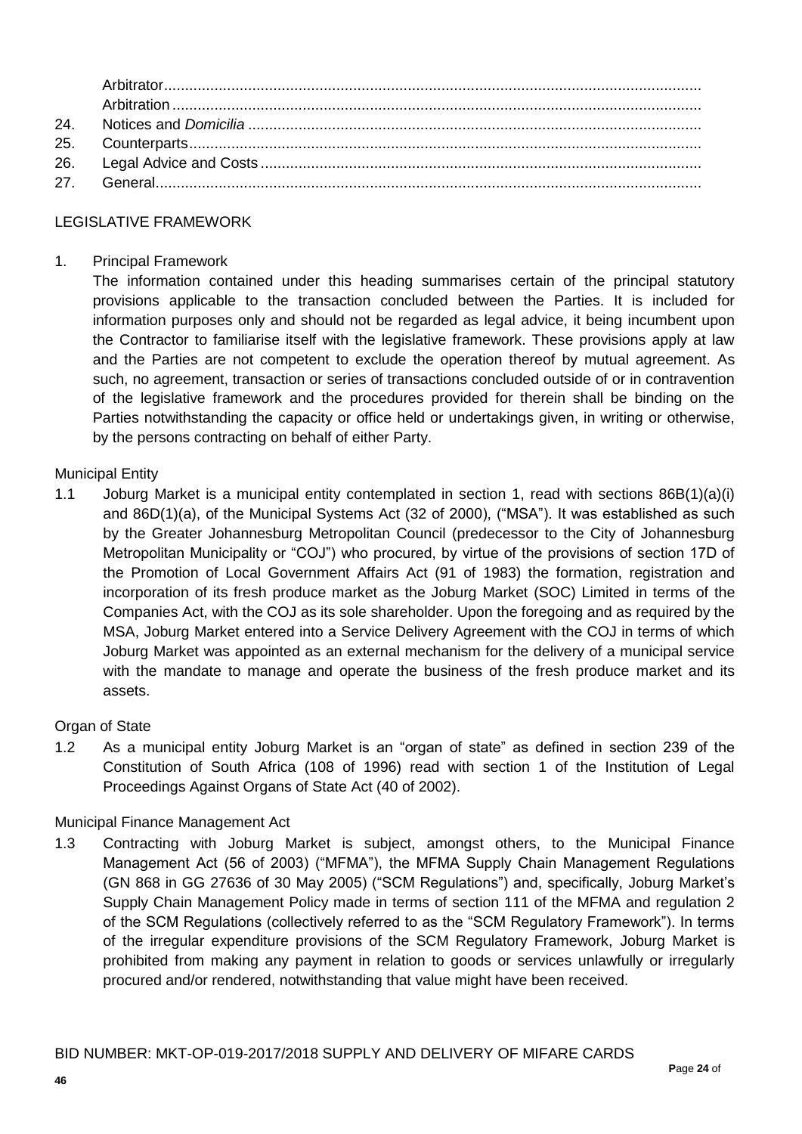| 24. |  |
|-----|--|
|     |  |
|     |  |
|     |  |

### LEGISLATIVE FRAMEWORK

### 1. Principal Framework

The information contained under this heading summarises certain of the principal statutory provisions applicable to the transaction concluded between the Parties. It is included for information purposes only and should not be regarded as legal advice, it being incumbent upon the Contractor to familiarise itself with the legislative framework. These provisions apply at law and the Parties are not competent to exclude the operation thereof by mutual agreement. As such, no agreement, transaction or series of transactions concluded outside of or in contravention of the legislative framework and the procedures provided for therein shall be binding on the Parties notwithstanding the capacity or office held or undertakings given, in writing or otherwise, by the persons contracting on behalf of either Party.

#### Municipal Entity

1.1 Joburg Market is a municipal entity contemplated in section 1, read with sections 86B(1)(a)(i) and 86D(1)(a), of the Municipal Systems Act (32 of 2000), ("MSA"). It was established as such by the Greater Johannesburg Metropolitan Council (predecessor to the City of Johannesburg Metropolitan Municipality or "COJ") who procured, by virtue of the provisions of section 17D of the Promotion of Local Government Affairs Act (91 of 1983) the formation, registration and incorporation of its fresh produce market as the Joburg Market (SOC) Limited in terms of the Companies Act, with the COJ as its sole shareholder. Upon the foregoing and as required by the MSA, Joburg Market entered into a Service Delivery Agreement with the COJ in terms of which Joburg Market was appointed as an external mechanism for the delivery of a municipal service with the mandate to manage and operate the business of the fresh produce market and its assets.

#### Organ of State

1.2 As a municipal entity Joburg Market is an "organ of state" as defined in section 239 of the Constitution of South Africa (108 of 1996) read with section 1 of the Institution of Legal Proceedings Against Organs of State Act (40 of 2002).

### Municipal Finance Management Act

1.3 Contracting with Joburg Market is subject, amongst others, to the Municipal Finance Management Act (56 of 2003) ("MFMA"), the MFMA Supply Chain Management Regulations (GN 868 in GG 27636 of 30 May 2005) ("SCM Regulations") and, specifically, Joburg Market's Supply Chain Management Policy made in terms of section 111 of the MFMA and regulation 2 of the SCM Regulations (collectively referred to as the "SCM Regulatory Framework"). In terms of the irregular expenditure provisions of the SCM Regulatory Framework, Joburg Market is prohibited from making any payment in relation to goods or services unlawfully or irregularly procured and/or rendered, notwithstanding that value might have been received.

#### BID NUMBER: MKT-OP-019-2017/2018 SUPPLY AND DELIVERY OF MIFARE CARDS **P**age **24** of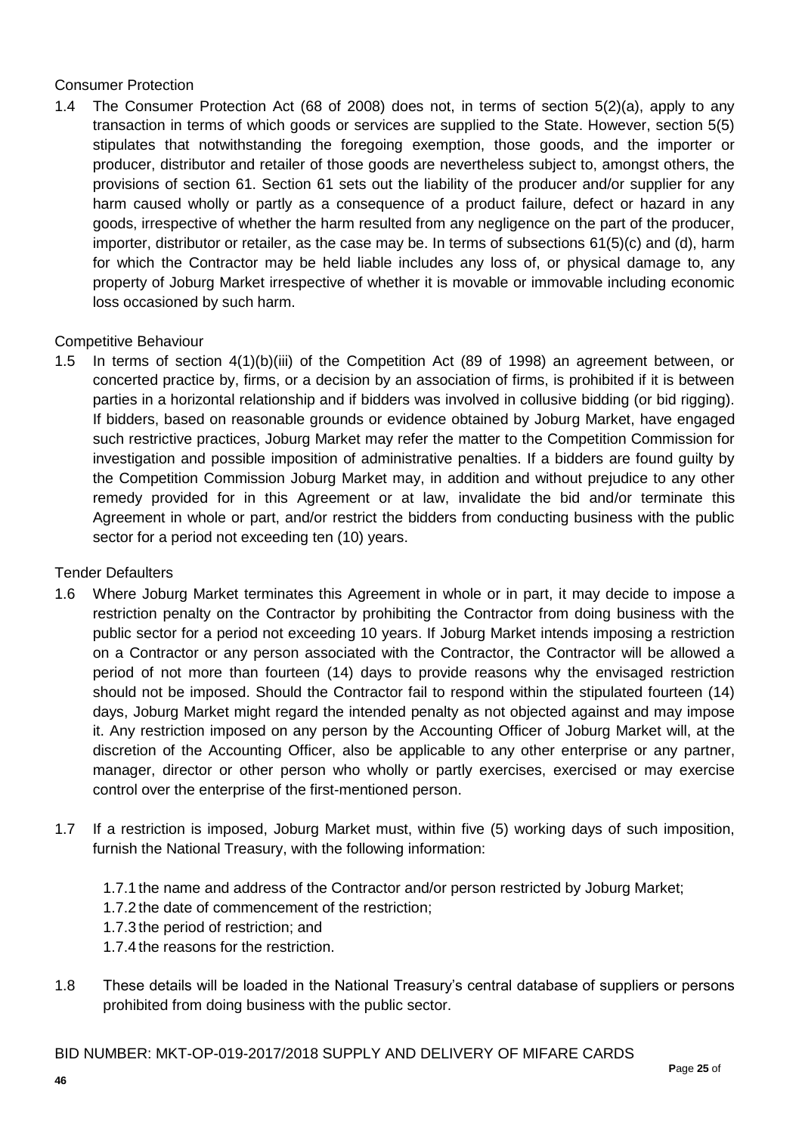### Consumer Protection

1.4 The Consumer Protection Act (68 of 2008) does not, in terms of section 5(2)(a), apply to any transaction in terms of which goods or services are supplied to the State. However, section 5(5) stipulates that notwithstanding the foregoing exemption, those goods, and the importer or producer, distributor and retailer of those goods are nevertheless subject to, amongst others, the provisions of section 61. Section 61 sets out the liability of the producer and/or supplier for any harm caused wholly or partly as a consequence of a product failure, defect or hazard in any goods, irrespective of whether the harm resulted from any negligence on the part of the producer, importer, distributor or retailer, as the case may be. In terms of subsections 61(5)(c) and (d), harm for which the Contractor may be held liable includes any loss of, or physical damage to, any property of Joburg Market irrespective of whether it is movable or immovable including economic loss occasioned by such harm.

### Competitive Behaviour

1.5 In terms of section 4(1)(b)(iii) of the Competition Act (89 of 1998) an agreement between, or concerted practice by, firms, or a decision by an association of firms, is prohibited if it is between parties in a horizontal relationship and if bidders was involved in collusive bidding (or bid rigging). If bidders, based on reasonable grounds or evidence obtained by Joburg Market, have engaged such restrictive practices, Joburg Market may refer the matter to the Competition Commission for investigation and possible imposition of administrative penalties. If a bidders are found guilty by the Competition Commission Joburg Market may, in addition and without prejudice to any other remedy provided for in this Agreement or at law, invalidate the bid and/or terminate this Agreement in whole or part, and/or restrict the bidders from conducting business with the public sector for a period not exceeding ten (10) years.

#### Tender Defaulters

- 1.6 Where Joburg Market terminates this Agreement in whole or in part, it may decide to impose a restriction penalty on the Contractor by prohibiting the Contractor from doing business with the public sector for a period not exceeding 10 years. If Joburg Market intends imposing a restriction on a Contractor or any person associated with the Contractor, the Contractor will be allowed a period of not more than fourteen (14) days to provide reasons why the envisaged restriction should not be imposed. Should the Contractor fail to respond within the stipulated fourteen (14) days, Joburg Market might regard the intended penalty as not objected against and may impose it. Any restriction imposed on any person by the Accounting Officer of Joburg Market will, at the discretion of the Accounting Officer, also be applicable to any other enterprise or any partner, manager, director or other person who wholly or partly exercises, exercised or may exercise control over the enterprise of the first-mentioned person.
- 1.7 If a restriction is imposed, Joburg Market must, within five (5) working days of such imposition, furnish the National Treasury, with the following information:
	- 1.7.1 the name and address of the Contractor and/or person restricted by Joburg Market;
	- 1.7.2 the date of commencement of the restriction;
	- 1.7.3 the period of restriction; and
	- 1.7.4 the reasons for the restriction.
- 1.8 These details will be loaded in the National Treasury's central database of suppliers or persons prohibited from doing business with the public sector.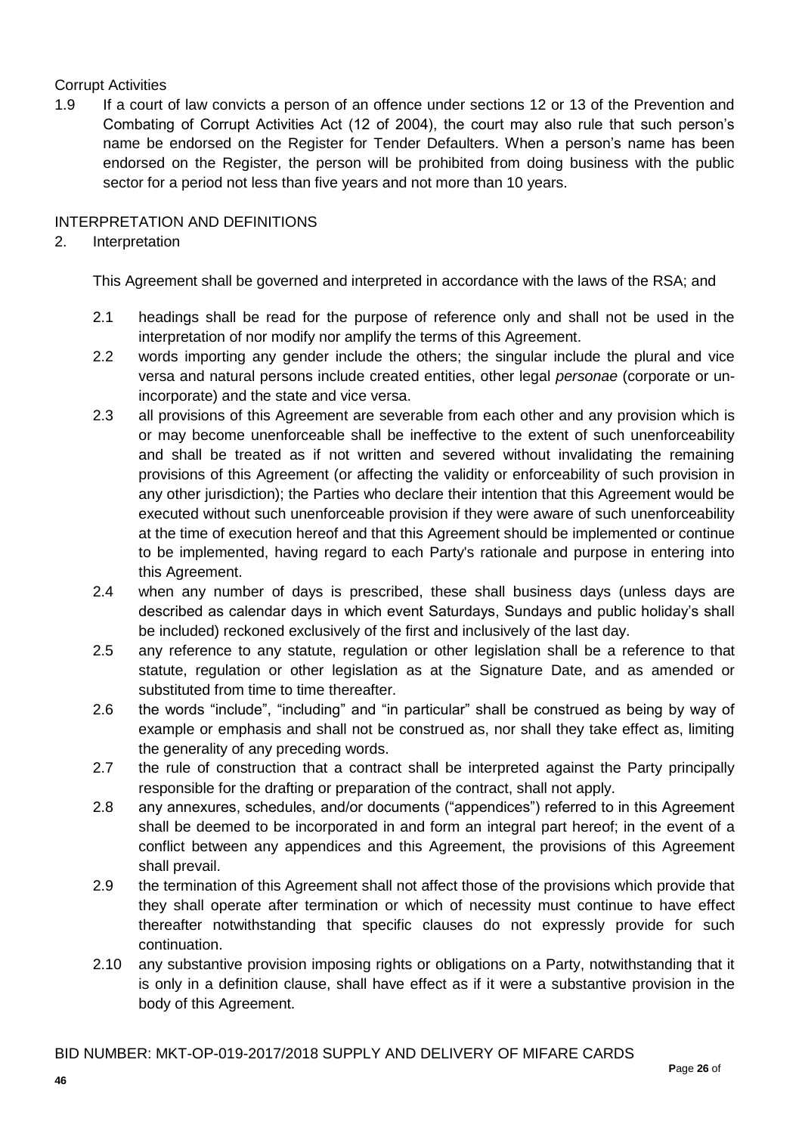## Corrupt Activities

1.9 If a court of law convicts a person of an offence under sections 12 or 13 of the Prevention and Combating of Corrupt Activities Act (12 of 2004), the court may also rule that such person's name be endorsed on the Register for Tender Defaulters. When a person's name has been endorsed on the Register, the person will be prohibited from doing business with the public sector for a period not less than five years and not more than 10 years.

### INTERPRETATION AND DEFINITIONS

### 2. Interpretation

This Agreement shall be governed and interpreted in accordance with the laws of the RSA; and

- 2.1 headings shall be read for the purpose of reference only and shall not be used in the interpretation of nor modify nor amplify the terms of this Agreement.
- 2.2 words importing any gender include the others; the singular include the plural and vice versa and natural persons include created entities, other legal *personae* (corporate or unincorporate) and the state and vice versa.
- 2.3 all provisions of this Agreement are severable from each other and any provision which is or may become unenforceable shall be ineffective to the extent of such unenforceability and shall be treated as if not written and severed without invalidating the remaining provisions of this Agreement (or affecting the validity or enforceability of such provision in any other jurisdiction); the Parties who declare their intention that this Agreement would be executed without such unenforceable provision if they were aware of such unenforceability at the time of execution hereof and that this Agreement should be implemented or continue to be implemented, having regard to each Party's rationale and purpose in entering into this Agreement.
- 2.4 when any number of days is prescribed, these shall business days (unless days are described as calendar days in which event Saturdays, Sundays and public holiday's shall be included) reckoned exclusively of the first and inclusively of the last day.
- 2.5 any reference to any statute, regulation or other legislation shall be a reference to that statute, regulation or other legislation as at the Signature Date, and as amended or substituted from time to time thereafter.
- 2.6 the words "include", "including" and "in particular" shall be construed as being by way of example or emphasis and shall not be construed as, nor shall they take effect as, limiting the generality of any preceding words.
- 2.7 the rule of construction that a contract shall be interpreted against the Party principally responsible for the drafting or preparation of the contract, shall not apply.
- 2.8 any annexures, schedules, and/or documents ("appendices") referred to in this Agreement shall be deemed to be incorporated in and form an integral part hereof; in the event of a conflict between any appendices and this Agreement, the provisions of this Agreement shall prevail.
- 2.9 the termination of this Agreement shall not affect those of the provisions which provide that they shall operate after termination or which of necessity must continue to have effect thereafter notwithstanding that specific clauses do not expressly provide for such continuation.
- 2.10 any substantive provision imposing rights or obligations on a Party, notwithstanding that it is only in a definition clause, shall have effect as if it were a substantive provision in the body of this Agreement.

BID NUMBER: MKT-OP-019-2017/2018 SUPPLY AND DELIVERY OF MIFARE CARDS **P**age **26** of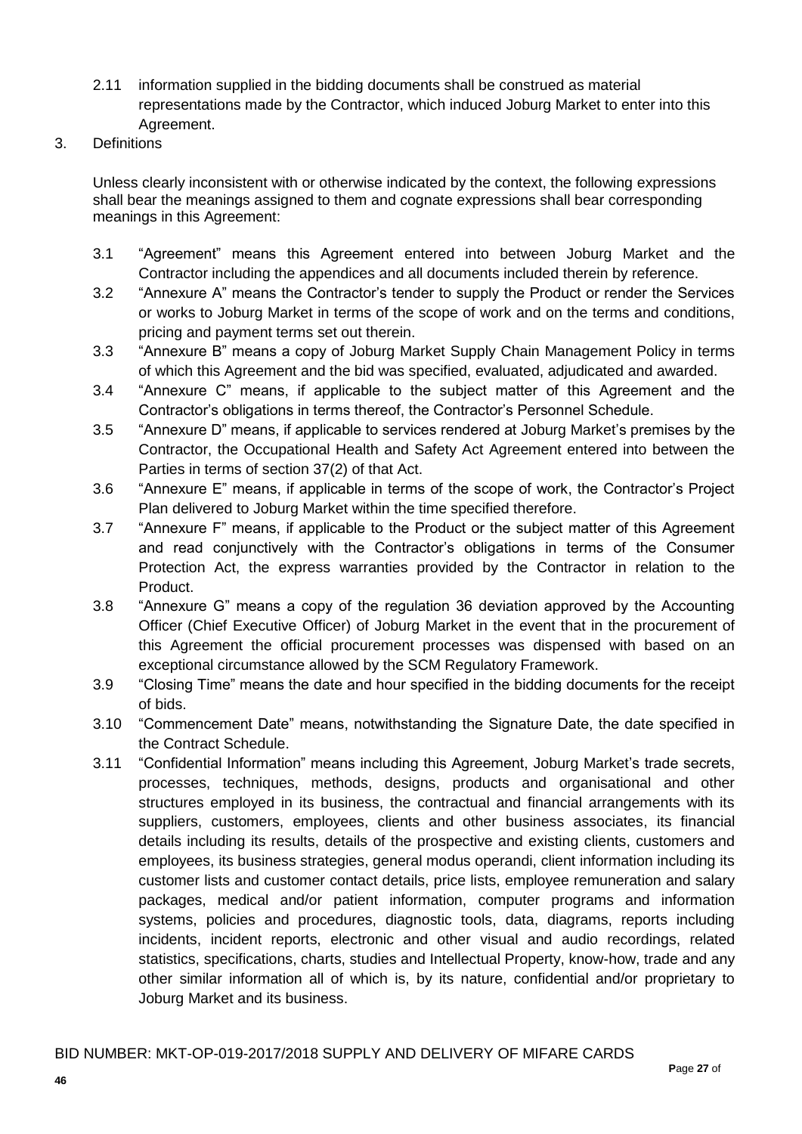- 2.11 information supplied in the bidding documents shall be construed as material representations made by the Contractor, which induced Joburg Market to enter into this Agreement.
- 3. Definitions

Unless clearly inconsistent with or otherwise indicated by the context, the following expressions shall bear the meanings assigned to them and cognate expressions shall bear corresponding meanings in this Agreement:

- 3.1 "Agreement" means this Agreement entered into between Joburg Market and the Contractor including the appendices and all documents included therein by reference.
- 3.2 "Annexure A" means the Contractor's tender to supply the Product or render the Services or works to Joburg Market in terms of the scope of work and on the terms and conditions, pricing and payment terms set out therein.
- 3.3 "Annexure B" means a copy of Joburg Market Supply Chain Management Policy in terms of which this Agreement and the bid was specified, evaluated, adjudicated and awarded.
- 3.4 "Annexure C" means, if applicable to the subject matter of this Agreement and the Contractor's obligations in terms thereof, the Contractor's Personnel Schedule.
- 3.5 "Annexure D" means, if applicable to services rendered at Joburg Market's premises by the Contractor, the Occupational Health and Safety Act Agreement entered into between the Parties in terms of section 37(2) of that Act.
- 3.6 "Annexure E" means, if applicable in terms of the scope of work, the Contractor's Project Plan delivered to Joburg Market within the time specified therefore.
- 3.7 "Annexure F" means, if applicable to the Product or the subject matter of this Agreement and read conjunctively with the Contractor's obligations in terms of the Consumer Protection Act, the express warranties provided by the Contractor in relation to the Product.
- 3.8 "Annexure G" means a copy of the regulation 36 deviation approved by the Accounting Officer (Chief Executive Officer) of Joburg Market in the event that in the procurement of this Agreement the official procurement processes was dispensed with based on an exceptional circumstance allowed by the SCM Regulatory Framework.
- 3.9 "Closing Time" means the date and hour specified in the bidding documents for the receipt of bids.
- 3.10 "Commencement Date" means, notwithstanding the Signature Date, the date specified in the Contract Schedule.
- 3.11 "Confidential Information" means including this Agreement, Joburg Market's trade secrets, processes, techniques, methods, designs, products and organisational and other structures employed in its business, the contractual and financial arrangements with its suppliers, customers, employees, clients and other business associates, its financial details including its results, details of the prospective and existing clients, customers and employees, its business strategies, general modus operandi, client information including its customer lists and customer contact details, price lists, employee remuneration and salary packages, medical and/or patient information, computer programs and information systems, policies and procedures, diagnostic tools, data, diagrams, reports including incidents, incident reports, electronic and other visual and audio recordings, related statistics, specifications, charts, studies and Intellectual Property, know-how, trade and any other similar information all of which is, by its nature, confidential and/or proprietary to Joburg Market and its business.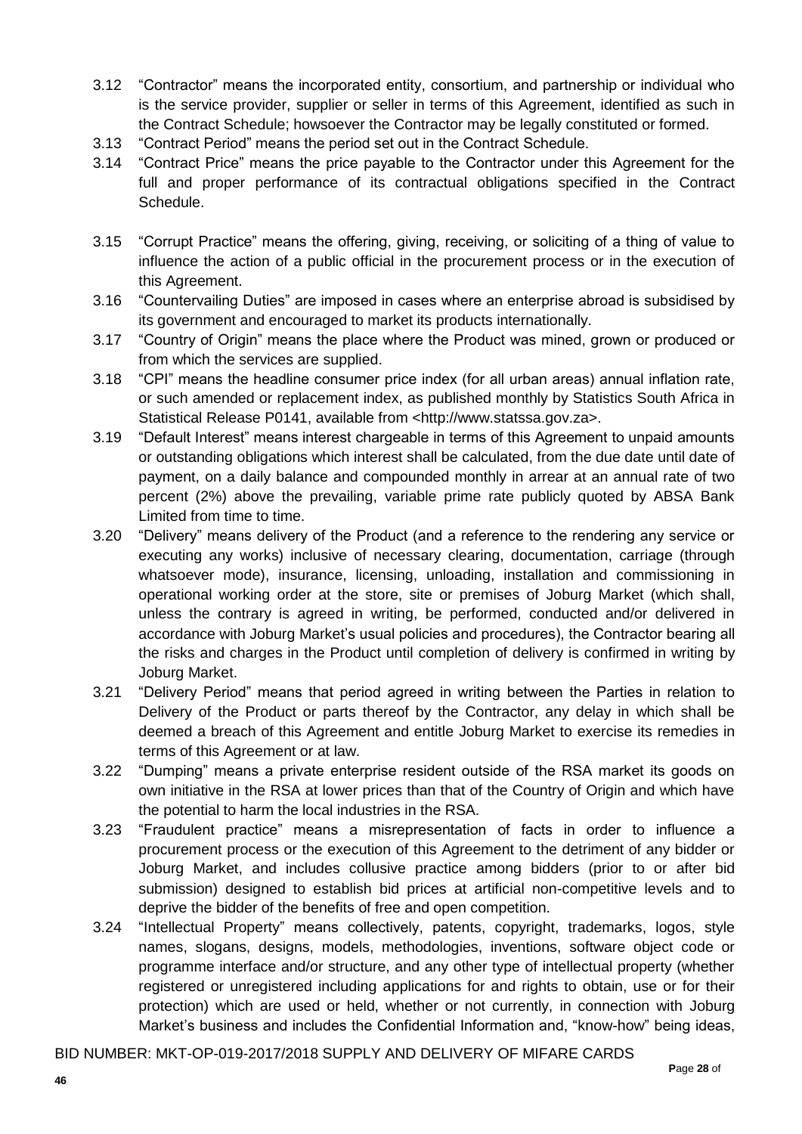- 3.12 "Contractor" means the incorporated entity, consortium, and partnership or individual who is the service provider, supplier or seller in terms of this Agreement, identified as such in the Contract Schedule; howsoever the Contractor may be legally constituted or formed.
- 3.13 "Contract Period" means the period set out in the Contract Schedule.
- 3.14 "Contract Price" means the price payable to the Contractor under this Agreement for the full and proper performance of its contractual obligations specified in the Contract Schedule.
- 3.15 "Corrupt Practice" means the offering, giving, receiving, or soliciting of a thing of value to influence the action of a public official in the procurement process or in the execution of this Agreement.
- 3.16 "Countervailing Duties" are imposed in cases where an enterprise abroad is subsidised by its government and encouraged to market its products internationally.
- 3.17 "Country of Origin" means the place where the Product was mined, grown or produced or from which the services are supplied.
- 3.18 "CPI" means the headline consumer price index (for all urban areas) annual inflation rate, or such amended or replacement index, as published monthly by Statistics South Africa in Statistical Release P0141, available from <http://www.statssa.gov.za>.
- 3.19 "Default Interest" means interest chargeable in terms of this Agreement to unpaid amounts or outstanding obligations which interest shall be calculated, from the due date until date of payment, on a daily balance and compounded monthly in arrear at an annual rate of two percent (2%) above the prevailing, variable prime rate publicly quoted by ABSA Bank Limited from time to time.
- 3.20 "Delivery" means delivery of the Product (and a reference to the rendering any service or executing any works) inclusive of necessary clearing, documentation, carriage (through whatsoever mode), insurance, licensing, unloading, installation and commissioning in operational working order at the store, site or premises of Joburg Market (which shall, unless the contrary is agreed in writing, be performed, conducted and/or delivered in accordance with Joburg Market's usual policies and procedures), the Contractor bearing all the risks and charges in the Product until completion of delivery is confirmed in writing by Joburg Market.
- 3.21 "Delivery Period" means that period agreed in writing between the Parties in relation to Delivery of the Product or parts thereof by the Contractor, any delay in which shall be deemed a breach of this Agreement and entitle Joburg Market to exercise its remedies in terms of this Agreement or at law.
- 3.22 "Dumping" means a private enterprise resident outside of the RSA market its goods on own initiative in the RSA at lower prices than that of the Country of Origin and which have the potential to harm the local industries in the RSA.
- 3.23 "Fraudulent practice" means a misrepresentation of facts in order to influence a procurement process or the execution of this Agreement to the detriment of any bidder or Joburg Market, and includes collusive practice among bidders (prior to or after bid submission) designed to establish bid prices at artificial non-competitive levels and to deprive the bidder of the benefits of free and open competition.
- 3.24 "Intellectual Property" means collectively, patents, copyright, trademarks, logos, style names, slogans, designs, models, methodologies, inventions, software object code or programme interface and/or structure, and any other type of intellectual property (whether registered or unregistered including applications for and rights to obtain, use or for their protection) which are used or held, whether or not currently, in connection with Joburg Market's business and includes the Confidential Information and, "know-how" being ideas,

BID NUMBER: MKT-OP-019-2017/2018 SUPPLY AND DELIVERY OF MIFARE CARDS **P**age **28** of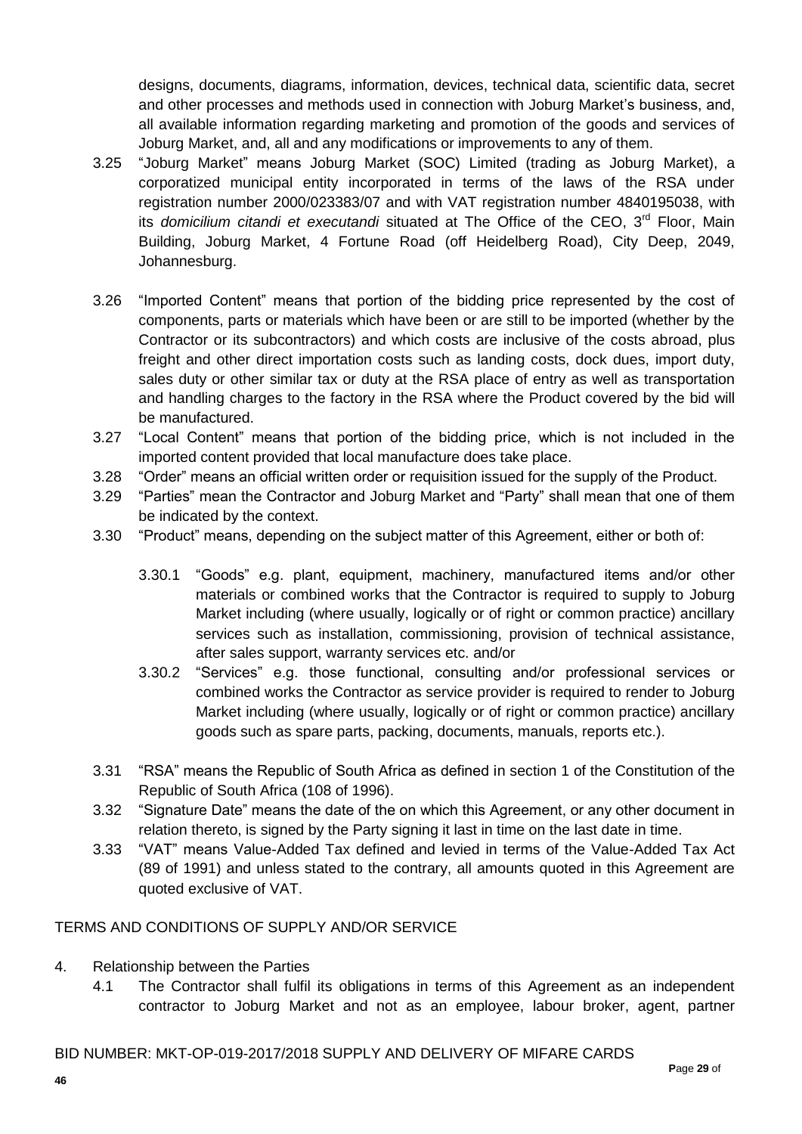designs, documents, diagrams, information, devices, technical data, scientific data, secret and other processes and methods used in connection with Joburg Market's business, and, all available information regarding marketing and promotion of the goods and services of Joburg Market, and, all and any modifications or improvements to any of them.

- 3.25 "Joburg Market" means Joburg Market (SOC) Limited (trading as Joburg Market), a corporatized municipal entity incorporated in terms of the laws of the RSA under registration number 2000/023383/07 and with VAT registration number 4840195038, with its *domicilium citandi et executandi* situated at The Office of the CEO, 3<sup>rd</sup> Floor, Main Building, Joburg Market, 4 Fortune Road (off Heidelberg Road), City Deep, 2049, Johannesburg.
- 3.26 "Imported Content" means that portion of the bidding price represented by the cost of components, parts or materials which have been or are still to be imported (whether by the Contractor or its subcontractors) and which costs are inclusive of the costs abroad, plus freight and other direct importation costs such as landing costs, dock dues, import duty, sales duty or other similar tax or duty at the RSA place of entry as well as transportation and handling charges to the factory in the RSA where the Product covered by the bid will be manufactured.
- 3.27 "Local Content" means that portion of the bidding price, which is not included in the imported content provided that local manufacture does take place.
- 3.28 "Order" means an official written order or requisition issued for the supply of the Product.
- 3.29 "Parties" mean the Contractor and Joburg Market and "Party" shall mean that one of them be indicated by the context.
- 3.30 "Product" means, depending on the subject matter of this Agreement, either or both of:
	- 3.30.1 "Goods" e.g. plant, equipment, machinery, manufactured items and/or other materials or combined works that the Contractor is required to supply to Joburg Market including (where usually, logically or of right or common practice) ancillary services such as installation, commissioning, provision of technical assistance, after sales support, warranty services etc. and/or
	- 3.30.2 "Services" e.g. those functional, consulting and/or professional services or combined works the Contractor as service provider is required to render to Joburg Market including (where usually, logically or of right or common practice) ancillary goods such as spare parts, packing, documents, manuals, reports etc.).
- 3.31 "RSA" means the Republic of South Africa as defined in section 1 of the Constitution of the Republic of South Africa (108 of 1996).
- 3.32 "Signature Date" means the date of the on which this Agreement, or any other document in relation thereto, is signed by the Party signing it last in time on the last date in time.
- 3.33 "VAT" means Value-Added Tax defined and levied in terms of the Value-Added Tax Act (89 of 1991) and unless stated to the contrary, all amounts quoted in this Agreement are quoted exclusive of VAT.

### TERMS AND CONDITIONS OF SUPPLY AND/OR SERVICE

- 4. Relationship between the Parties
	- 4.1 The Contractor shall fulfil its obligations in terms of this Agreement as an independent contractor to Joburg Market and not as an employee, labour broker, agent, partner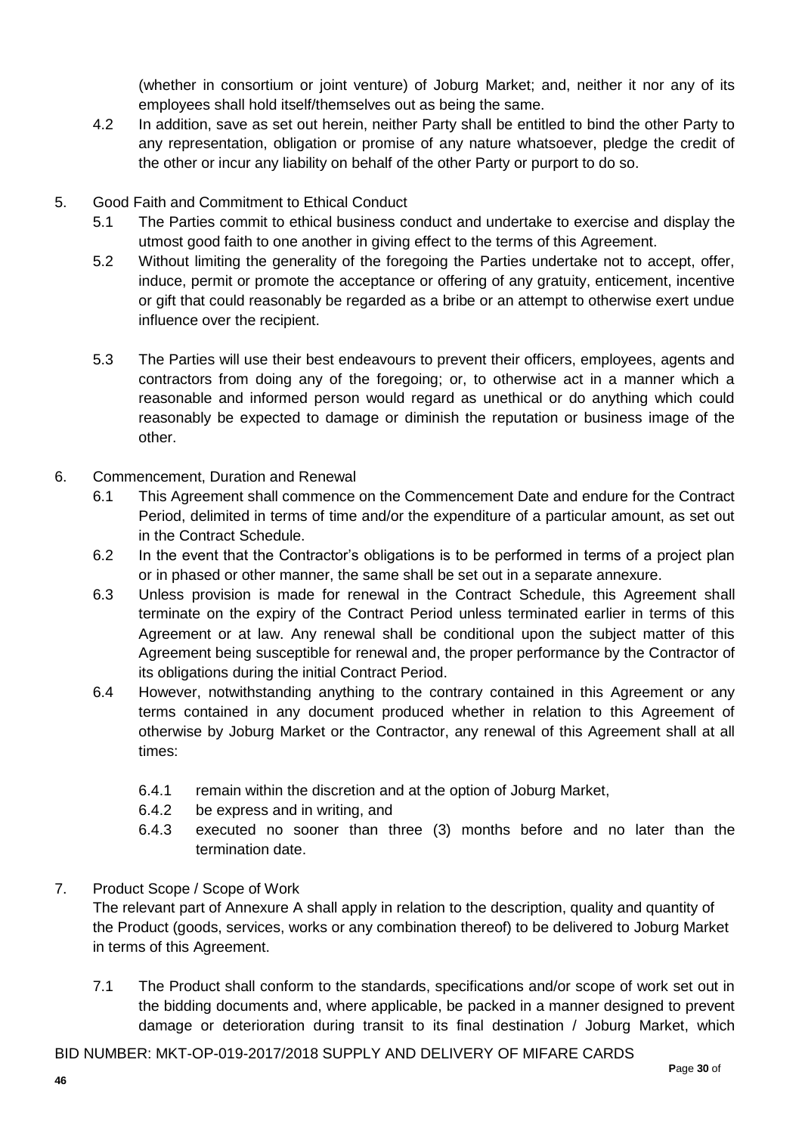(whether in consortium or joint venture) of Joburg Market; and, neither it nor any of its employees shall hold itself/themselves out as being the same.

- 4.2 In addition, save as set out herein, neither Party shall be entitled to bind the other Party to any representation, obligation or promise of any nature whatsoever, pledge the credit of the other or incur any liability on behalf of the other Party or purport to do so.
- 5. Good Faith and Commitment to Ethical Conduct
	- 5.1 The Parties commit to ethical business conduct and undertake to exercise and display the utmost good faith to one another in giving effect to the terms of this Agreement.
	- 5.2 Without limiting the generality of the foregoing the Parties undertake not to accept, offer, induce, permit or promote the acceptance or offering of any gratuity, enticement, incentive or gift that could reasonably be regarded as a bribe or an attempt to otherwise exert undue influence over the recipient.
	- 5.3 The Parties will use their best endeavours to prevent their officers, employees, agents and contractors from doing any of the foregoing; or, to otherwise act in a manner which a reasonable and informed person would regard as unethical or do anything which could reasonably be expected to damage or diminish the reputation or business image of the other.
- 6. Commencement, Duration and Renewal
	- 6.1 This Agreement shall commence on the Commencement Date and endure for the Contract Period, delimited in terms of time and/or the expenditure of a particular amount, as set out in the Contract Schedule.
	- 6.2 In the event that the Contractor's obligations is to be performed in terms of a project plan or in phased or other manner, the same shall be set out in a separate annexure.
	- 6.3 Unless provision is made for renewal in the Contract Schedule, this Agreement shall terminate on the expiry of the Contract Period unless terminated earlier in terms of this Agreement or at law. Any renewal shall be conditional upon the subject matter of this Agreement being susceptible for renewal and, the proper performance by the Contractor of its obligations during the initial Contract Period.
	- 6.4 However, notwithstanding anything to the contrary contained in this Agreement or any terms contained in any document produced whether in relation to this Agreement of otherwise by Joburg Market or the Contractor, any renewal of this Agreement shall at all times:
		- 6.4.1 remain within the discretion and at the option of Joburg Market,
		- 6.4.2 be express and in writing, and
		- 6.4.3 executed no sooner than three (3) months before and no later than the termination date.

### 7. Product Scope / Scope of Work

The relevant part of Annexure A shall apply in relation to the description, quality and quantity of the Product (goods, services, works or any combination thereof) to be delivered to Joburg Market in terms of this Agreement.

7.1 The Product shall conform to the standards, specifications and/or scope of work set out in the bidding documents and, where applicable, be packed in a manner designed to prevent damage or deterioration during transit to its final destination / Joburg Market, which

BID NUMBER: MKT-OP-019-2017/2018 SUPPLY AND DELIVERY OF MIFARE CARDS **P**age **30** of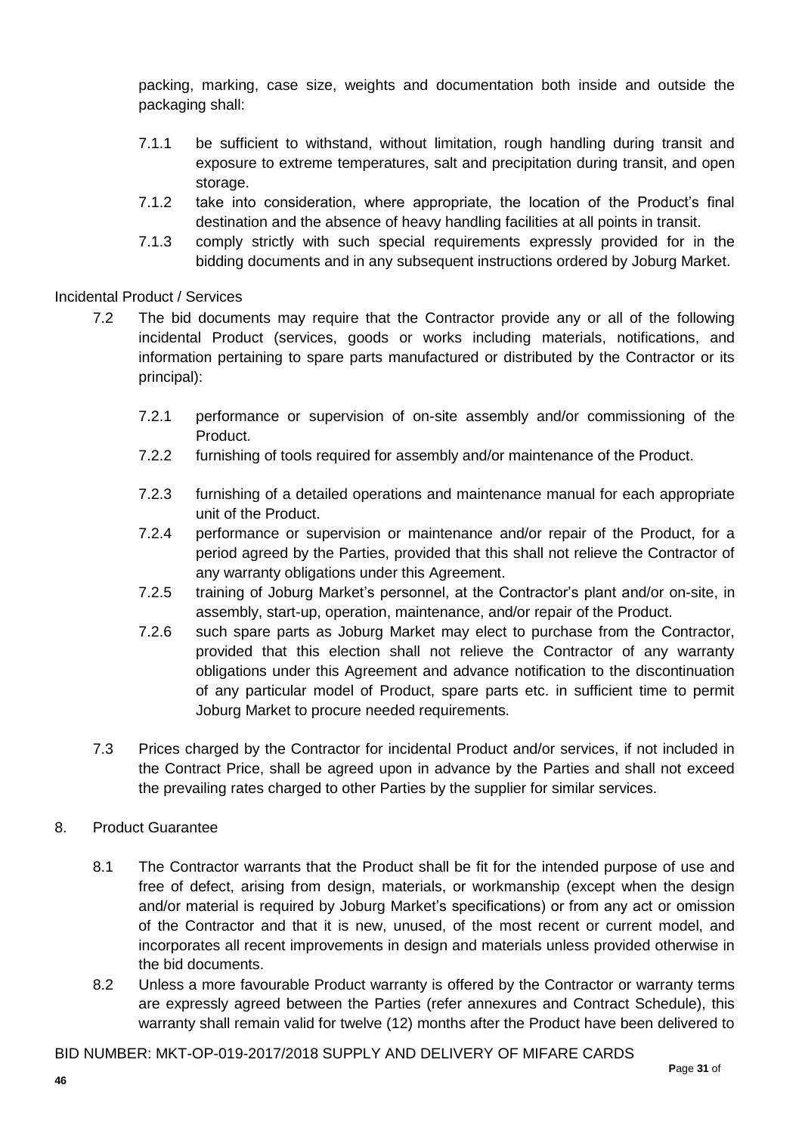packing, marking, case size, weights and documentation both inside and outside the packaging shall:

- 7.1.1 be sufficient to withstand, without limitation, rough handling during transit and exposure to extreme temperatures, salt and precipitation during transit, and open storage.
- 7.1.2 take into consideration, where appropriate, the location of the Product's final destination and the absence of heavy handling facilities at all points in transit.
- 7.1.3 comply strictly with such special requirements expressly provided for in the bidding documents and in any subsequent instructions ordered by Joburg Market.

Incidental Product / Services

- 7.2 The bid documents may require that the Contractor provide any or all of the following incidental Product (services, goods or works including materials, notifications, and information pertaining to spare parts manufactured or distributed by the Contractor or its principal):
	- 7.2.1 performance or supervision of on-site assembly and/or commissioning of the Product.
	- 7.2.2 furnishing of tools required for assembly and/or maintenance of the Product.
	- 7.2.3 furnishing of a detailed operations and maintenance manual for each appropriate unit of the Product.
	- 7.2.4 performance or supervision or maintenance and/or repair of the Product, for a period agreed by the Parties, provided that this shall not relieve the Contractor of any warranty obligations under this Agreement.
	- 7.2.5 training of Joburg Market's personnel, at the Contractor's plant and/or on-site, in assembly, start-up, operation, maintenance, and/or repair of the Product.
	- 7.2.6 such spare parts as Joburg Market may elect to purchase from the Contractor, provided that this election shall not relieve the Contractor of any warranty obligations under this Agreement and advance notification to the discontinuation of any particular model of Product, spare parts etc. in sufficient time to permit Joburg Market to procure needed requirements.
- 7.3 Prices charged by the Contractor for incidental Product and/or services, if not included in the Contract Price, shall be agreed upon in advance by the Parties and shall not exceed the prevailing rates charged to other Parties by the supplier for similar services.

### 8. Product Guarantee

- 8.1 The Contractor warrants that the Product shall be fit for the intended purpose of use and free of defect, arising from design, materials, or workmanship (except when the design and/or material is required by Joburg Market's specifications) or from any act or omission of the Contractor and that it is new, unused, of the most recent or current model, and incorporates all recent improvements in design and materials unless provided otherwise in the bid documents.
- 8.2 Unless a more favourable Product warranty is offered by the Contractor or warranty terms are expressly agreed between the Parties (refer annexures and Contract Schedule), this warranty shall remain valid for twelve (12) months after the Product have been delivered to

BID NUMBER: MKT-OP-019-2017/2018 SUPPLY AND DELIVERY OF MIFARE CARDS **P**age **31** of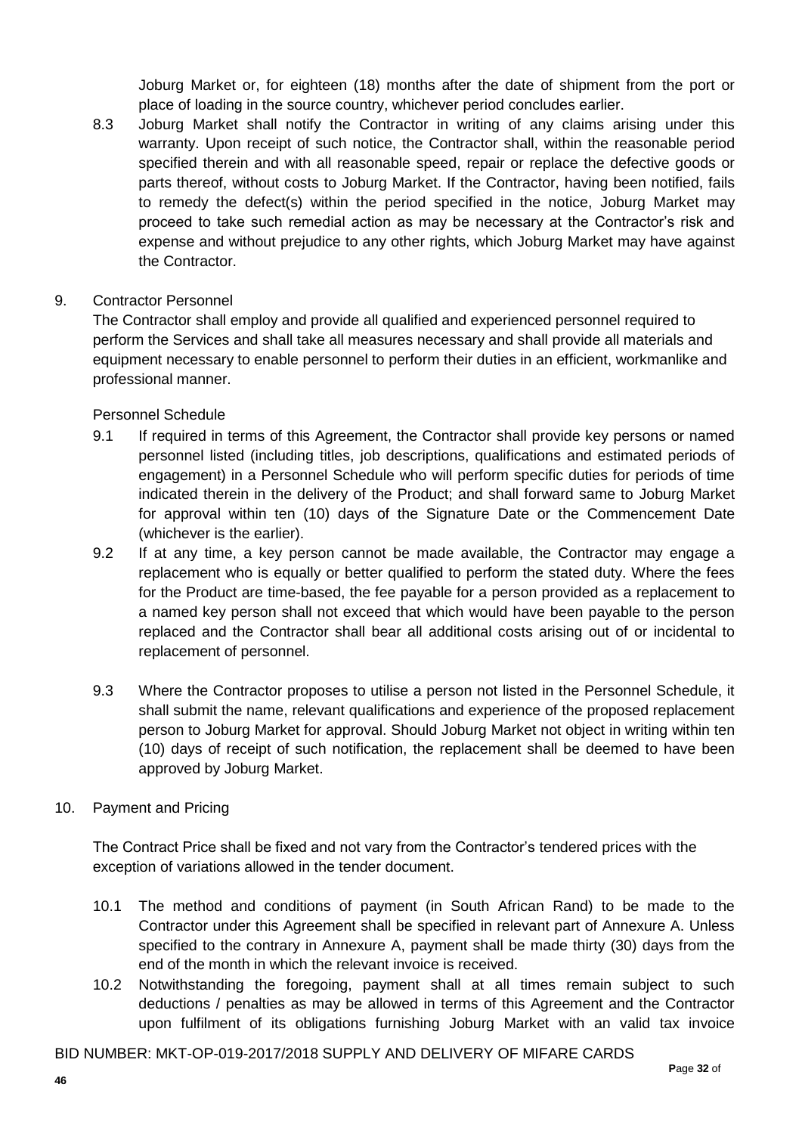Joburg Market or, for eighteen (18) months after the date of shipment from the port or place of loading in the source country, whichever period concludes earlier.

- 8.3 Joburg Market shall notify the Contractor in writing of any claims arising under this warranty. Upon receipt of such notice, the Contractor shall, within the reasonable period specified therein and with all reasonable speed, repair or replace the defective goods or parts thereof, without costs to Joburg Market. If the Contractor, having been notified, fails to remedy the defect(s) within the period specified in the notice, Joburg Market may proceed to take such remedial action as may be necessary at the Contractor's risk and expense and without prejudice to any other rights, which Joburg Market may have against the Contractor.
- 9. Contractor Personnel

The Contractor shall employ and provide all qualified and experienced personnel required to perform the Services and shall take all measures necessary and shall provide all materials and equipment necessary to enable personnel to perform their duties in an efficient, workmanlike and professional manner.

Personnel Schedule

- 9.1 If required in terms of this Agreement, the Contractor shall provide key persons or named personnel listed (including titles, job descriptions, qualifications and estimated periods of engagement) in a Personnel Schedule who will perform specific duties for periods of time indicated therein in the delivery of the Product; and shall forward same to Joburg Market for approval within ten (10) days of the Signature Date or the Commencement Date (whichever is the earlier).
- 9.2 If at any time, a key person cannot be made available, the Contractor may engage a replacement who is equally or better qualified to perform the stated duty. Where the fees for the Product are time-based, the fee payable for a person provided as a replacement to a named key person shall not exceed that which would have been payable to the person replaced and the Contractor shall bear all additional costs arising out of or incidental to replacement of personnel.
- 9.3 Where the Contractor proposes to utilise a person not listed in the Personnel Schedule, it shall submit the name, relevant qualifications and experience of the proposed replacement person to Joburg Market for approval. Should Joburg Market not object in writing within ten (10) days of receipt of such notification, the replacement shall be deemed to have been approved by Joburg Market.
- 10. Payment and Pricing

The Contract Price shall be fixed and not vary from the Contractor's tendered prices with the exception of variations allowed in the tender document.

- 10.1 The method and conditions of payment (in South African Rand) to be made to the Contractor under this Agreement shall be specified in relevant part of Annexure A. Unless specified to the contrary in Annexure A, payment shall be made thirty (30) days from the end of the month in which the relevant invoice is received.
- 10.2 Notwithstanding the foregoing, payment shall at all times remain subject to such deductions / penalties as may be allowed in terms of this Agreement and the Contractor upon fulfilment of its obligations furnishing Joburg Market with an valid tax invoice

BID NUMBER: MKT-OP-019-2017/2018 SUPPLY AND DELIVERY OF MIFARE CARDS **P**age **32** of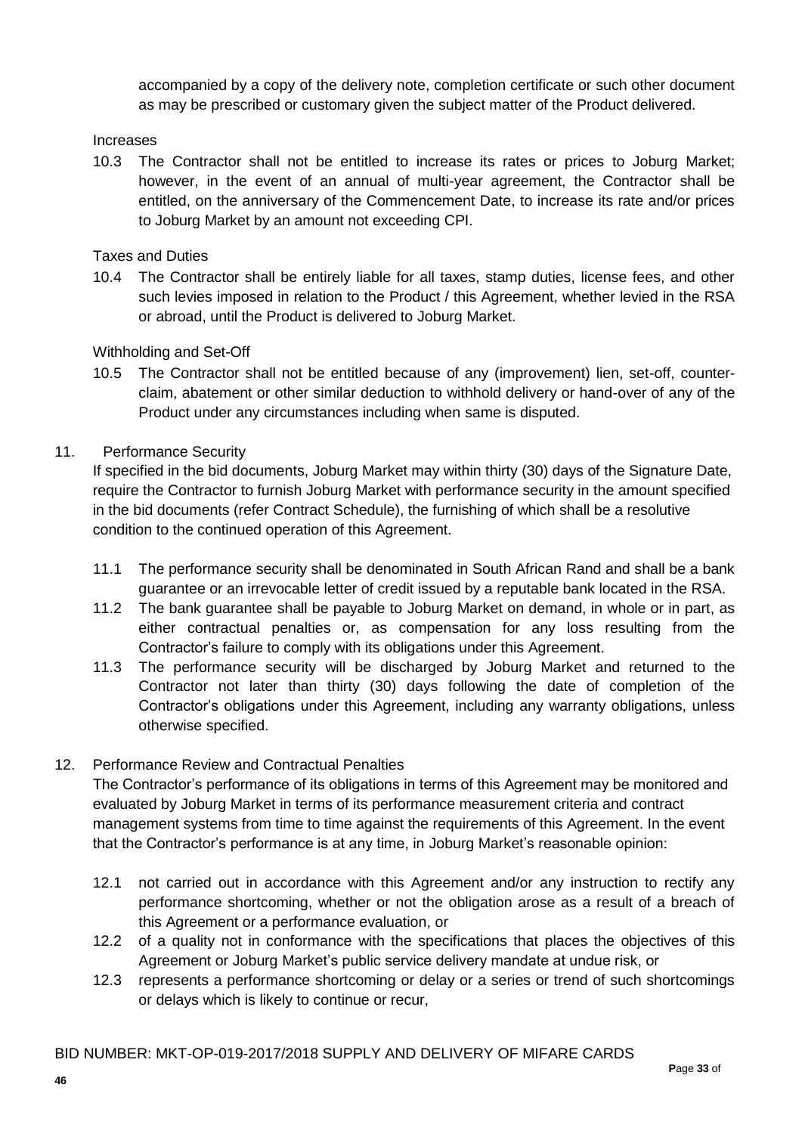accompanied by a copy of the delivery note, completion certificate or such other document as may be prescribed or customary given the subject matter of the Product delivered.

#### Increases

10.3 The Contractor shall not be entitled to increase its rates or prices to Joburg Market; however, in the event of an annual of multi-year agreement, the Contractor shall be entitled, on the anniversary of the Commencement Date, to increase its rate and/or prices to Joburg Market by an amount not exceeding CPI.

Taxes and Duties

10.4 The Contractor shall be entirely liable for all taxes, stamp duties, license fees, and other such levies imposed in relation to the Product / this Agreement, whether levied in the RSA or abroad, until the Product is delivered to Joburg Market.

#### Withholding and Set-Off

10.5 The Contractor shall not be entitled because of any (improvement) lien, set-off, counterclaim, abatement or other similar deduction to withhold delivery or hand-over of any of the Product under any circumstances including when same is disputed.

#### 11. Performance Security

If specified in the bid documents, Joburg Market may within thirty (30) days of the Signature Date, require the Contractor to furnish Joburg Market with performance security in the amount specified in the bid documents (refer Contract Schedule), the furnishing of which shall be a resolutive condition to the continued operation of this Agreement.

- 11.1 The performance security shall be denominated in South African Rand and shall be a bank guarantee or an irrevocable letter of credit issued by a reputable bank located in the RSA.
- 11.2 The bank guarantee shall be payable to Joburg Market on demand, in whole or in part, as either contractual penalties or, as compensation for any loss resulting from the Contractor's failure to comply with its obligations under this Agreement.
- 11.3 The performance security will be discharged by Joburg Market and returned to the Contractor not later than thirty (30) days following the date of completion of the Contractor's obligations under this Agreement, including any warranty obligations, unless otherwise specified.

#### 12. Performance Review and Contractual Penalties

The Contractor's performance of its obligations in terms of this Agreement may be monitored and evaluated by Joburg Market in terms of its performance measurement criteria and contract management systems from time to time against the requirements of this Agreement. In the event that the Contractor's performance is at any time, in Joburg Market's reasonable opinion:

- 12.1 not carried out in accordance with this Agreement and/or any instruction to rectify any performance shortcoming, whether or not the obligation arose as a result of a breach of this Agreement or a performance evaluation, or
- 12.2 of a quality not in conformance with the specifications that places the objectives of this Agreement or Joburg Market's public service delivery mandate at undue risk, or
- 12.3 represents a performance shortcoming or delay or a series or trend of such shortcomings or delays which is likely to continue or recur,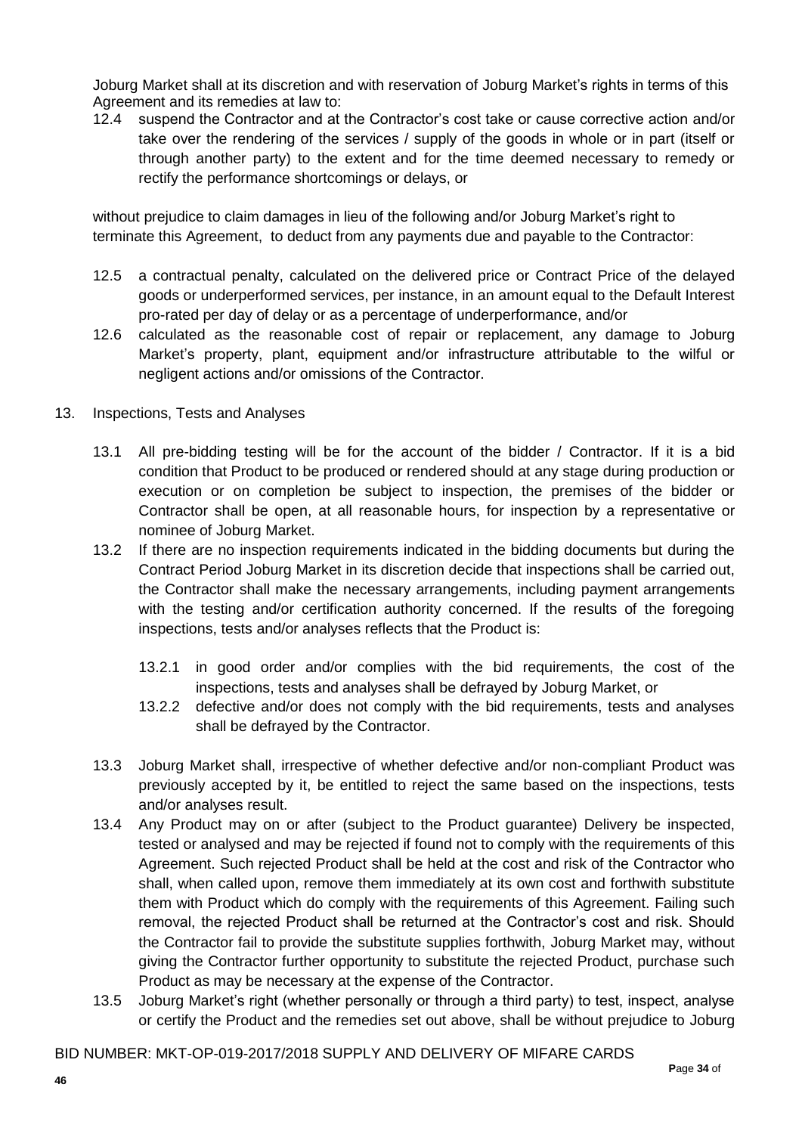Joburg Market shall at its discretion and with reservation of Joburg Market's rights in terms of this Agreement and its remedies at law to:

12.4 suspend the Contractor and at the Contractor's cost take or cause corrective action and/or take over the rendering of the services / supply of the goods in whole or in part (itself or through another party) to the extent and for the time deemed necessary to remedy or rectify the performance shortcomings or delays, or

without prejudice to claim damages in lieu of the following and/or Joburg Market's right to terminate this Agreement, to deduct from any payments due and payable to the Contractor:

- 12.5 a contractual penalty, calculated on the delivered price or Contract Price of the delayed goods or underperformed services, per instance, in an amount equal to the Default Interest pro-rated per day of delay or as a percentage of underperformance, and/or
- 12.6 calculated as the reasonable cost of repair or replacement, any damage to Joburg Market's property, plant, equipment and/or infrastructure attributable to the wilful or negligent actions and/or omissions of the Contractor.
- 13. Inspections, Tests and Analyses
	- 13.1 All pre-bidding testing will be for the account of the bidder / Contractor. If it is a bid condition that Product to be produced or rendered should at any stage during production or execution or on completion be subject to inspection, the premises of the bidder or Contractor shall be open, at all reasonable hours, for inspection by a representative or nominee of Joburg Market.
	- 13.2 If there are no inspection requirements indicated in the bidding documents but during the Contract Period Joburg Market in its discretion decide that inspections shall be carried out, the Contractor shall make the necessary arrangements, including payment arrangements with the testing and/or certification authority concerned. If the results of the foregoing inspections, tests and/or analyses reflects that the Product is:
		- 13.2.1 in good order and/or complies with the bid requirements, the cost of the inspections, tests and analyses shall be defrayed by Joburg Market, or
		- 13.2.2 defective and/or does not comply with the bid requirements, tests and analyses shall be defrayed by the Contractor.
	- 13.3 Joburg Market shall, irrespective of whether defective and/or non-compliant Product was previously accepted by it, be entitled to reject the same based on the inspections, tests and/or analyses result.
	- 13.4 Any Product may on or after (subject to the Product guarantee) Delivery be inspected, tested or analysed and may be rejected if found not to comply with the requirements of this Agreement. Such rejected Product shall be held at the cost and risk of the Contractor who shall, when called upon, remove them immediately at its own cost and forthwith substitute them with Product which do comply with the requirements of this Agreement. Failing such removal, the rejected Product shall be returned at the Contractor's cost and risk. Should the Contractor fail to provide the substitute supplies forthwith, Joburg Market may, without giving the Contractor further opportunity to substitute the rejected Product, purchase such Product as may be necessary at the expense of the Contractor.
	- 13.5 Joburg Market's right (whether personally or through a third party) to test, inspect, analyse or certify the Product and the remedies set out above, shall be without prejudice to Joburg

BID NUMBER: MKT-OP-019-2017/2018 SUPPLY AND DELIVERY OF MIFARE CARDS **P**age **34** of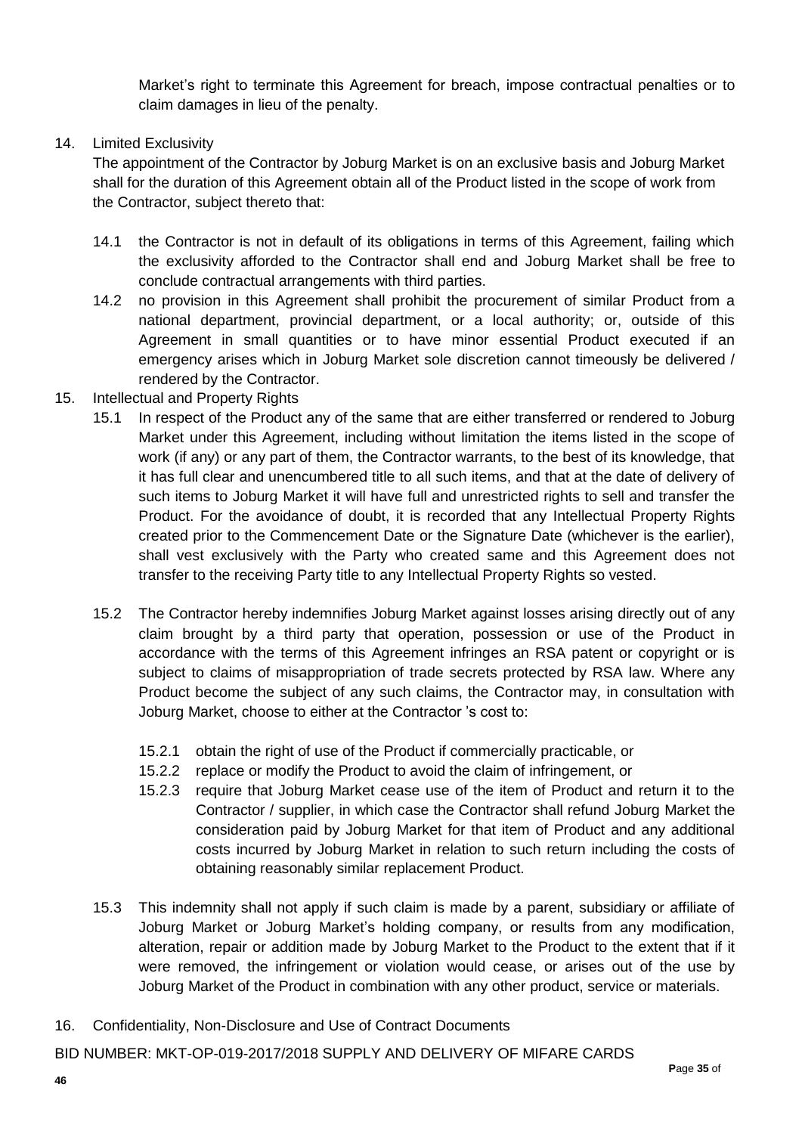Market's right to terminate this Agreement for breach, impose contractual penalties or to claim damages in lieu of the penalty.

### 14. Limited Exclusivity

The appointment of the Contractor by Joburg Market is on an exclusive basis and Joburg Market shall for the duration of this Agreement obtain all of the Product listed in the scope of work from the Contractor, subject thereto that:

- 14.1 the Contractor is not in default of its obligations in terms of this Agreement, failing which the exclusivity afforded to the Contractor shall end and Joburg Market shall be free to conclude contractual arrangements with third parties.
- 14.2 no provision in this Agreement shall prohibit the procurement of similar Product from a national department, provincial department, or a local authority; or, outside of this Agreement in small quantities or to have minor essential Product executed if an emergency arises which in Joburg Market sole discretion cannot timeously be delivered / rendered by the Contractor.
- 15. Intellectual and Property Rights
	- 15.1 In respect of the Product any of the same that are either transferred or rendered to Joburg Market under this Agreement, including without limitation the items listed in the scope of work (if any) or any part of them, the Contractor warrants, to the best of its knowledge, that it has full clear and unencumbered title to all such items, and that at the date of delivery of such items to Joburg Market it will have full and unrestricted rights to sell and transfer the Product. For the avoidance of doubt, it is recorded that any Intellectual Property Rights created prior to the Commencement Date or the Signature Date (whichever is the earlier), shall vest exclusively with the Party who created same and this Agreement does not transfer to the receiving Party title to any Intellectual Property Rights so vested.
	- 15.2 The Contractor hereby indemnifies Joburg Market against losses arising directly out of any claim brought by a third party that operation, possession or use of the Product in accordance with the terms of this Agreement infringes an RSA patent or copyright or is subject to claims of misappropriation of trade secrets protected by RSA law. Where any Product become the subject of any such claims, the Contractor may, in consultation with Joburg Market, choose to either at the Contractor 's cost to:
		- 15.2.1 obtain the right of use of the Product if commercially practicable, or
		- 15.2.2 replace or modify the Product to avoid the claim of infringement, or
		- 15.2.3 require that Joburg Market cease use of the item of Product and return it to the Contractor / supplier, in which case the Contractor shall refund Joburg Market the consideration paid by Joburg Market for that item of Product and any additional costs incurred by Joburg Market in relation to such return including the costs of obtaining reasonably similar replacement Product.
	- 15.3 This indemnity shall not apply if such claim is made by a parent, subsidiary or affiliate of Joburg Market or Joburg Market's holding company, or results from any modification, alteration, repair or addition made by Joburg Market to the Product to the extent that if it were removed, the infringement or violation would cease, or arises out of the use by Joburg Market of the Product in combination with any other product, service or materials.
- 16. Confidentiality, Non-Disclosure and Use of Contract Documents

BID NUMBER: MKT-OP-019-2017/2018 SUPPLY AND DELIVERY OF MIFARE CARDS **P**age **35** of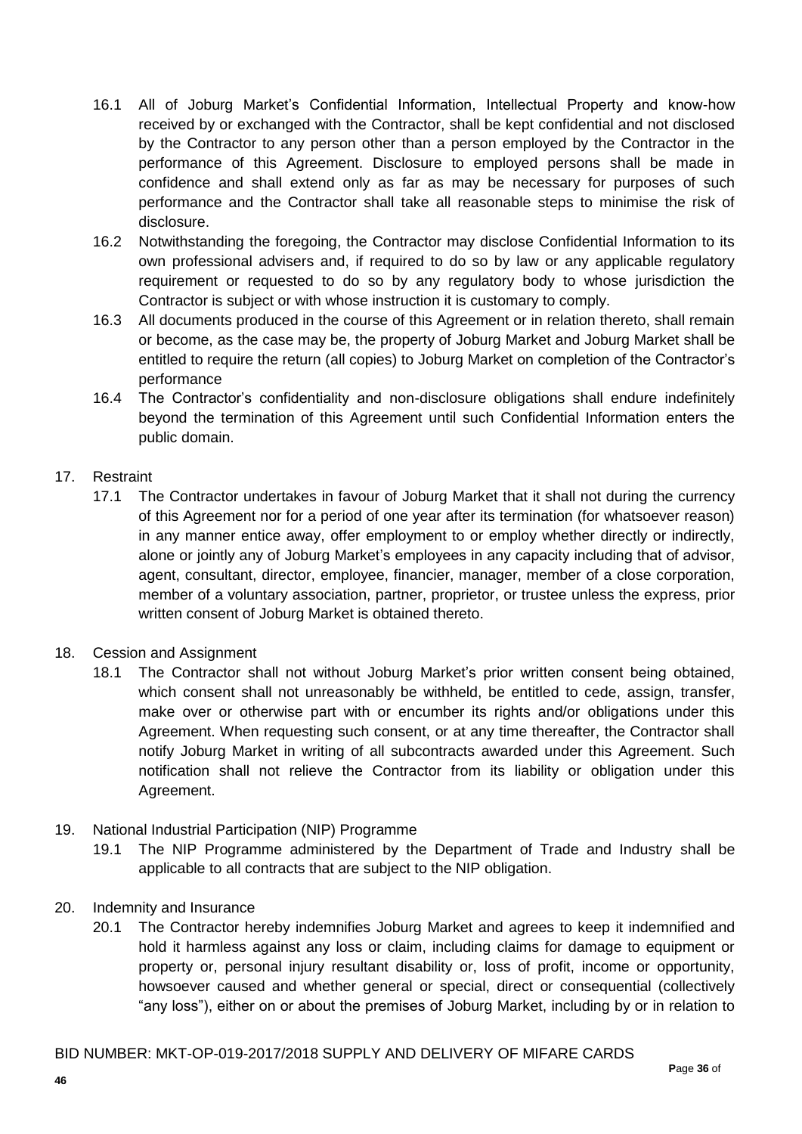- 16.1 All of Joburg Market's Confidential Information, Intellectual Property and know-how received by or exchanged with the Contractor, shall be kept confidential and not disclosed by the Contractor to any person other than a person employed by the Contractor in the performance of this Agreement. Disclosure to employed persons shall be made in confidence and shall extend only as far as may be necessary for purposes of such performance and the Contractor shall take all reasonable steps to minimise the risk of disclosure.
- 16.2 Notwithstanding the foregoing, the Contractor may disclose Confidential Information to its own professional advisers and, if required to do so by law or any applicable regulatory requirement or requested to do so by any regulatory body to whose jurisdiction the Contractor is subject or with whose instruction it is customary to comply.
- 16.3 All documents produced in the course of this Agreement or in relation thereto, shall remain or become, as the case may be, the property of Joburg Market and Joburg Market shall be entitled to require the return (all copies) to Joburg Market on completion of the Contractor's performance
- 16.4 The Contractor's confidentiality and non-disclosure obligations shall endure indefinitely beyond the termination of this Agreement until such Confidential Information enters the public domain.

## 17. Restraint

- 17.1 The Contractor undertakes in favour of Joburg Market that it shall not during the currency of this Agreement nor for a period of one year after its termination (for whatsoever reason) in any manner entice away, offer employment to or employ whether directly or indirectly, alone or jointly any of Joburg Market's employees in any capacity including that of advisor, agent, consultant, director, employee, financier, manager, member of a close corporation, member of a voluntary association, partner, proprietor, or trustee unless the express, prior written consent of Joburg Market is obtained thereto.
- 18. Cession and Assignment
	- 18.1 The Contractor shall not without Joburg Market's prior written consent being obtained, which consent shall not unreasonably be withheld, be entitled to cede, assign, transfer, make over or otherwise part with or encumber its rights and/or obligations under this Agreement. When requesting such consent, or at any time thereafter, the Contractor shall notify Joburg Market in writing of all subcontracts awarded under this Agreement. Such notification shall not relieve the Contractor from its liability or obligation under this Agreement.
- 19. National Industrial Participation (NIP) Programme
	- 19.1 The NIP Programme administered by the Department of Trade and Industry shall be applicable to all contracts that are subject to the NIP obligation.
- 20. Indemnity and Insurance
	- 20.1 The Contractor hereby indemnifies Joburg Market and agrees to keep it indemnified and hold it harmless against any loss or claim, including claims for damage to equipment or property or, personal injury resultant disability or, loss of profit, income or opportunity, howsoever caused and whether general or special, direct or consequential (collectively "any loss"), either on or about the premises of Joburg Market, including by or in relation to

#### BID NUMBER: MKT-OP-019-2017/2018 SUPPLY AND DELIVERY OF MIFARE CARDS **P**age **36** of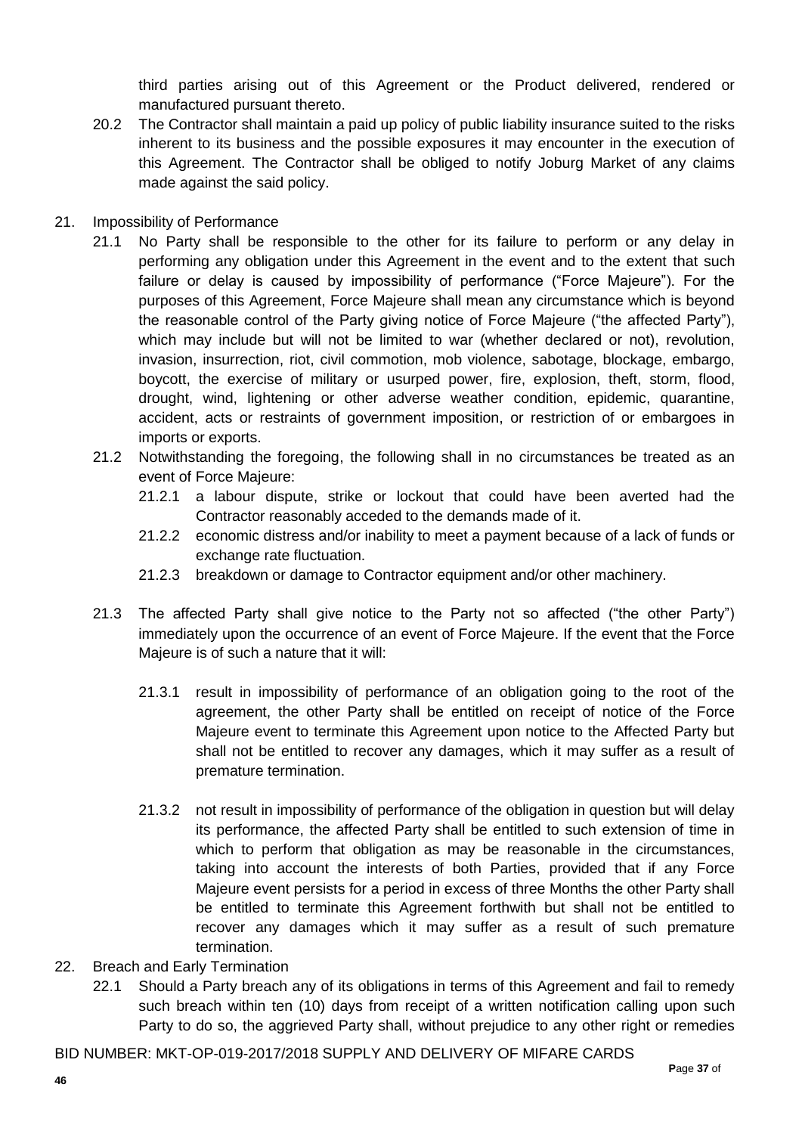third parties arising out of this Agreement or the Product delivered, rendered or manufactured pursuant thereto.

- 20.2 The Contractor shall maintain a paid up policy of public liability insurance suited to the risks inherent to its business and the possible exposures it may encounter in the execution of this Agreement. The Contractor shall be obliged to notify Joburg Market of any claims made against the said policy.
- 21. Impossibility of Performance
	- 21.1 No Party shall be responsible to the other for its failure to perform or any delay in performing any obligation under this Agreement in the event and to the extent that such failure or delay is caused by impossibility of performance ("Force Majeure"). For the purposes of this Agreement, Force Majeure shall mean any circumstance which is beyond the reasonable control of the Party giving notice of Force Majeure ("the affected Party"), which may include but will not be limited to war (whether declared or not), revolution, invasion, insurrection, riot, civil commotion, mob violence, sabotage, blockage, embargo, boycott, the exercise of military or usurped power, fire, explosion, theft, storm, flood, drought, wind, lightening or other adverse weather condition, epidemic, quarantine, accident, acts or restraints of government imposition, or restriction of or embargoes in imports or exports.
	- 21.2 Notwithstanding the foregoing, the following shall in no circumstances be treated as an event of Force Majeure:
		- 21.2.1 a labour dispute, strike or lockout that could have been averted had the Contractor reasonably acceded to the demands made of it.
		- 21.2.2 economic distress and/or inability to meet a payment because of a lack of funds or exchange rate fluctuation.
		- 21.2.3 breakdown or damage to Contractor equipment and/or other machinery.
	- 21.3 The affected Party shall give notice to the Party not so affected ("the other Party") immediately upon the occurrence of an event of Force Majeure. If the event that the Force Majeure is of such a nature that it will:
		- 21.3.1 result in impossibility of performance of an obligation going to the root of the agreement, the other Party shall be entitled on receipt of notice of the Force Majeure event to terminate this Agreement upon notice to the Affected Party but shall not be entitled to recover any damages, which it may suffer as a result of premature termination.
		- 21.3.2 not result in impossibility of performance of the obligation in question but will delay its performance, the affected Party shall be entitled to such extension of time in which to perform that obligation as may be reasonable in the circumstances, taking into account the interests of both Parties, provided that if any Force Majeure event persists for a period in excess of three Months the other Party shall be entitled to terminate this Agreement forthwith but shall not be entitled to recover any damages which it may suffer as a result of such premature termination.
- 22. Breach and Early Termination
	- 22.1 Should a Party breach any of its obligations in terms of this Agreement and fail to remedy such breach within ten (10) days from receipt of a written notification calling upon such Party to do so, the aggrieved Party shall, without prejudice to any other right or remedies

BID NUMBER: MKT-OP-019-2017/2018 SUPPLY AND DELIVERY OF MIFARE CARDS **P**age **37** of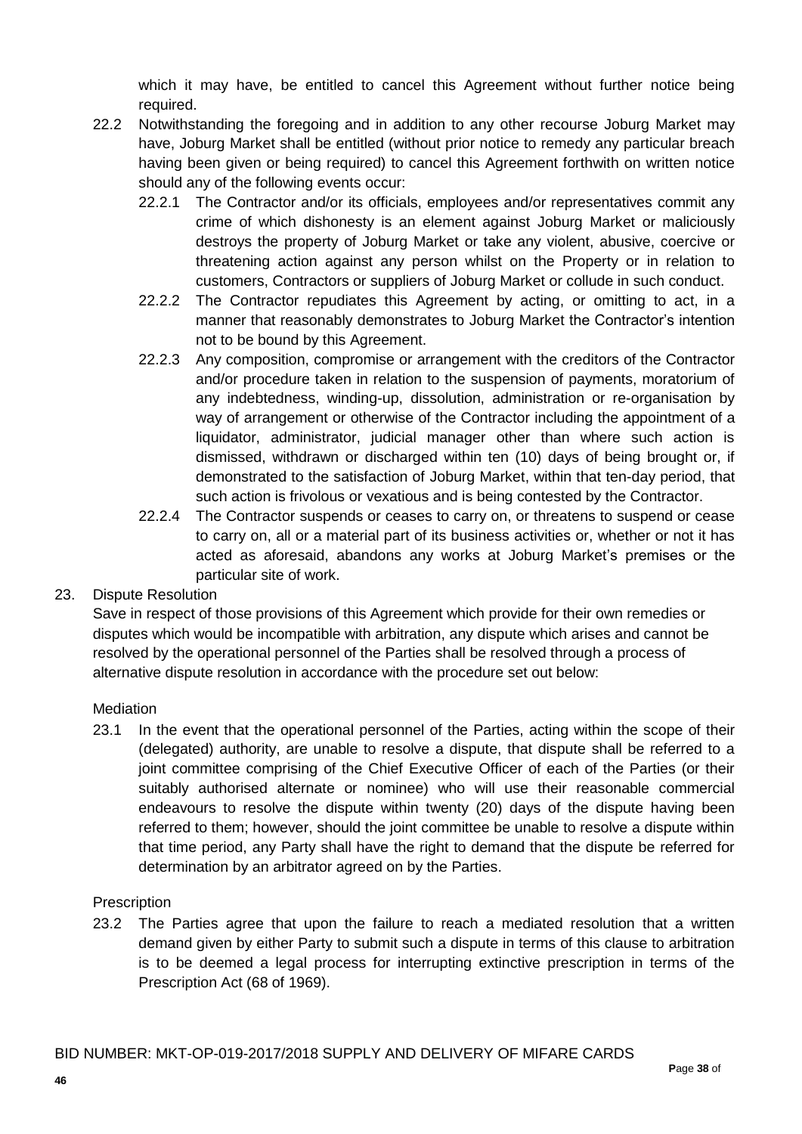which it may have, be entitled to cancel this Agreement without further notice being required.

- 22.2 Notwithstanding the foregoing and in addition to any other recourse Joburg Market may have, Joburg Market shall be entitled (without prior notice to remedy any particular breach having been given or being required) to cancel this Agreement forthwith on written notice should any of the following events occur:
	- 22.2.1 The Contractor and/or its officials, employees and/or representatives commit any crime of which dishonesty is an element against Joburg Market or maliciously destroys the property of Joburg Market or take any violent, abusive, coercive or threatening action against any person whilst on the Property or in relation to customers, Contractors or suppliers of Joburg Market or collude in such conduct.
	- 22.2.2 The Contractor repudiates this Agreement by acting, or omitting to act, in a manner that reasonably demonstrates to Joburg Market the Contractor's intention not to be bound by this Agreement.
	- 22.2.3 Any composition, compromise or arrangement with the creditors of the Contractor and/or procedure taken in relation to the suspension of payments, moratorium of any indebtedness, winding-up, dissolution, administration or re-organisation by way of arrangement or otherwise of the Contractor including the appointment of a liquidator, administrator, judicial manager other than where such action is dismissed, withdrawn or discharged within ten (10) days of being brought or, if demonstrated to the satisfaction of Joburg Market, within that ten-day period, that such action is frivolous or vexatious and is being contested by the Contractor.
	- 22.2.4 The Contractor suspends or ceases to carry on, or threatens to suspend or cease to carry on, all or a material part of its business activities or, whether or not it has acted as aforesaid, abandons any works at Joburg Market's premises or the particular site of work.

23. Dispute Resolution

Save in respect of those provisions of this Agreement which provide for their own remedies or disputes which would be incompatible with arbitration, any dispute which arises and cannot be resolved by the operational personnel of the Parties shall be resolved through a process of alternative dispute resolution in accordance with the procedure set out below:

#### Mediation

23.1 In the event that the operational personnel of the Parties, acting within the scope of their (delegated) authority, are unable to resolve a dispute, that dispute shall be referred to a joint committee comprising of the Chief Executive Officer of each of the Parties (or their suitably authorised alternate or nominee) who will use their reasonable commercial endeavours to resolve the dispute within twenty (20) days of the dispute having been referred to them; however, should the joint committee be unable to resolve a dispute within that time period, any Party shall have the right to demand that the dispute be referred for determination by an arbitrator agreed on by the Parties.

#### **Prescription**

23.2 The Parties agree that upon the failure to reach a mediated resolution that a written demand given by either Party to submit such a dispute in terms of this clause to arbitration is to be deemed a legal process for interrupting extinctive prescription in terms of the Prescription Act (68 of 1969).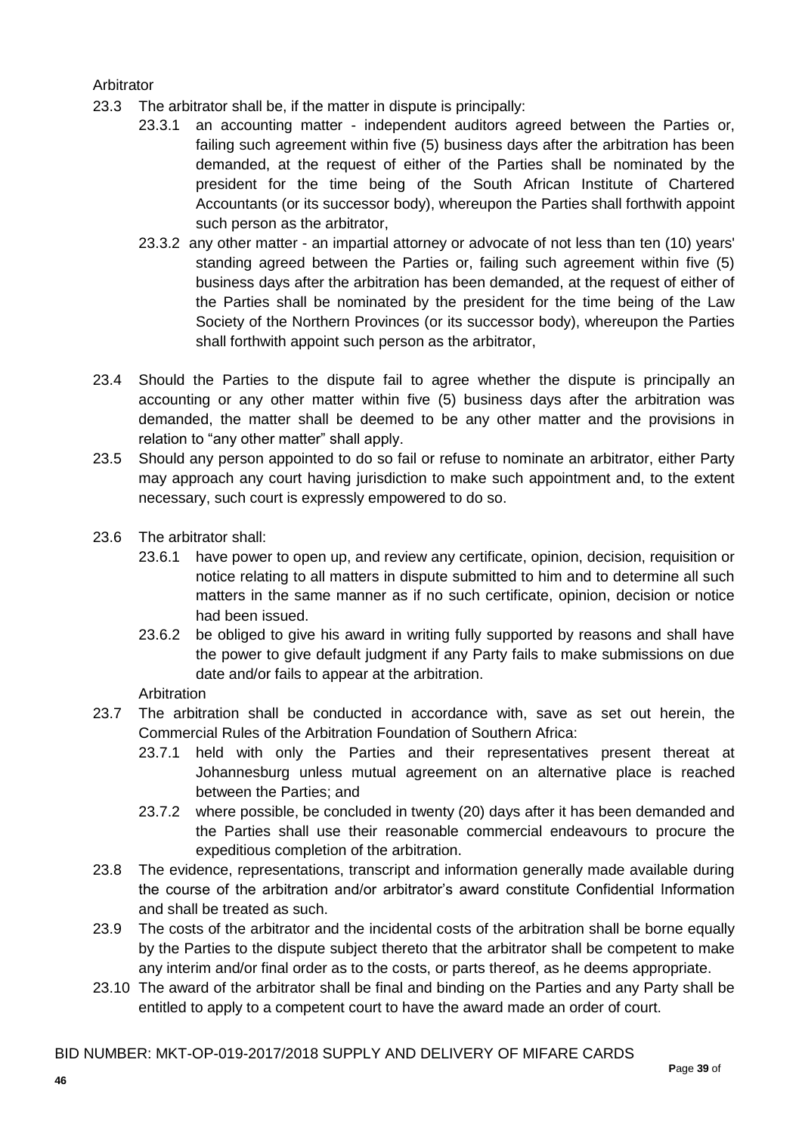### Arbitrator

- 23.3 The arbitrator shall be, if the matter in dispute is principally:
	- 23.3.1 an accounting matter independent auditors agreed between the Parties or, failing such agreement within five (5) business days after the arbitration has been demanded, at the request of either of the Parties shall be nominated by the president for the time being of the South African Institute of Chartered Accountants (or its successor body), whereupon the Parties shall forthwith appoint such person as the arbitrator,
	- 23.3.2 any other matter an impartial attorney or advocate of not less than ten (10) years' standing agreed between the Parties or, failing such agreement within five (5) business days after the arbitration has been demanded, at the request of either of the Parties shall be nominated by the president for the time being of the Law Society of the Northern Provinces (or its successor body), whereupon the Parties shall forthwith appoint such person as the arbitrator,
- 23.4 Should the Parties to the dispute fail to agree whether the dispute is principally an accounting or any other matter within five (5) business days after the arbitration was demanded, the matter shall be deemed to be any other matter and the provisions in relation to "any other matter" shall apply.
- 23.5 Should any person appointed to do so fail or refuse to nominate an arbitrator, either Party may approach any court having jurisdiction to make such appointment and, to the extent necessary, such court is expressly empowered to do so.
- 23.6 The arbitrator shall:
	- 23.6.1 have power to open up, and review any certificate, opinion, decision, requisition or notice relating to all matters in dispute submitted to him and to determine all such matters in the same manner as if no such certificate, opinion, decision or notice had been issued.
	- 23.6.2 be obliged to give his award in writing fully supported by reasons and shall have the power to give default judgment if any Party fails to make submissions on due date and/or fails to appear at the arbitration.

**Arbitration** 

- 23.7 The arbitration shall be conducted in accordance with, save as set out herein, the Commercial Rules of the Arbitration Foundation of Southern Africa:
	- 23.7.1 held with only the Parties and their representatives present thereat at Johannesburg unless mutual agreement on an alternative place is reached between the Parties; and
	- 23.7.2 where possible, be concluded in twenty (20) days after it has been demanded and the Parties shall use their reasonable commercial endeavours to procure the expeditious completion of the arbitration.
- 23.8 The evidence, representations, transcript and information generally made available during the course of the arbitration and/or arbitrator's award constitute Confidential Information and shall be treated as such.
- 23.9 The costs of the arbitrator and the incidental costs of the arbitration shall be borne equally by the Parties to the dispute subject thereto that the arbitrator shall be competent to make any interim and/or final order as to the costs, or parts thereof, as he deems appropriate.
- 23.10 The award of the arbitrator shall be final and binding on the Parties and any Party shall be entitled to apply to a competent court to have the award made an order of court.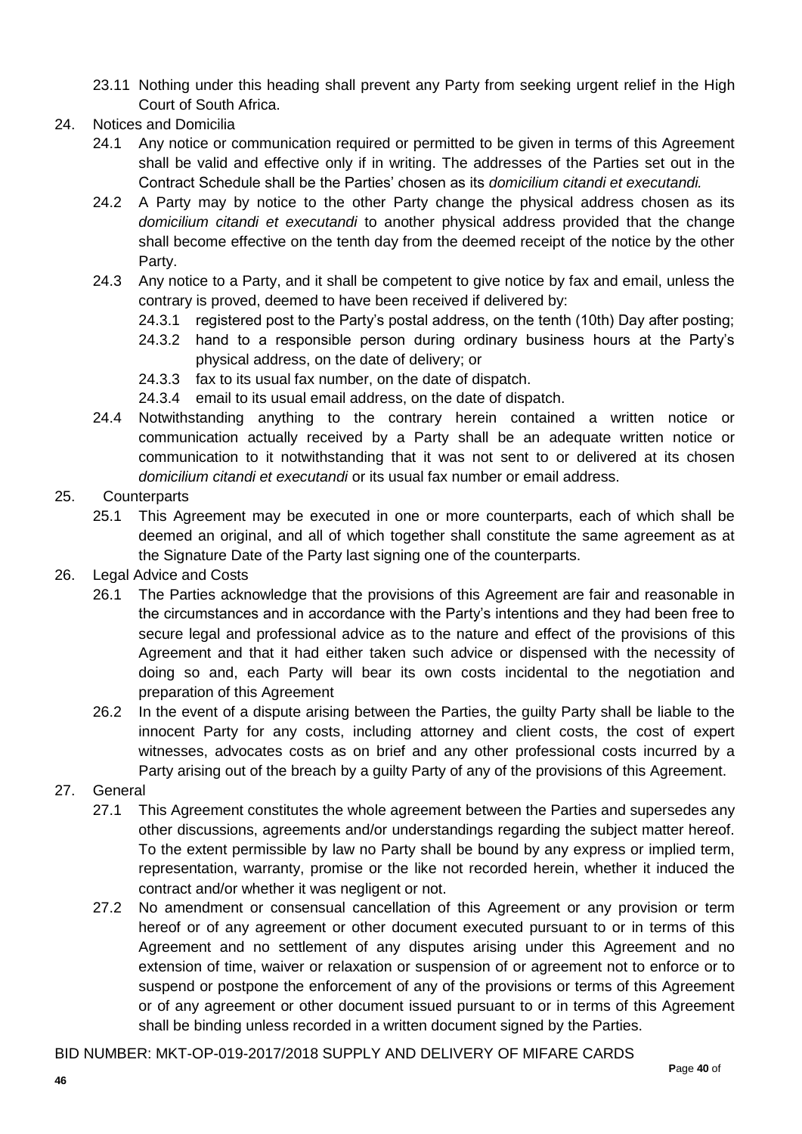- 23.11 Nothing under this heading shall prevent any Party from seeking urgent relief in the High Court of South Africa.
- 24. Notices and Domicilia
	- 24.1 Any notice or communication required or permitted to be given in terms of this Agreement shall be valid and effective only if in writing. The addresses of the Parties set out in the Contract Schedule shall be the Parties' chosen as its *domicilium citandi et executandi.*
	- 24.2 A Party may by notice to the other Party change the physical address chosen as its *domicilium citandi et executandi* to another physical address provided that the change shall become effective on the tenth day from the deemed receipt of the notice by the other Party.
	- 24.3 Any notice to a Party, and it shall be competent to give notice by fax and email, unless the contrary is proved, deemed to have been received if delivered by:
		- 24.3.1 registered post to the Party's postal address, on the tenth (10th) Day after posting;
		- 24.3.2 hand to a responsible person during ordinary business hours at the Party's physical address, on the date of delivery; or
		- 24.3.3 fax to its usual fax number, on the date of dispatch.
		- 24.3.4 email to its usual email address, on the date of dispatch.
	- 24.4 Notwithstanding anything to the contrary herein contained a written notice or communication actually received by a Party shall be an adequate written notice or communication to it notwithstanding that it was not sent to or delivered at its chosen *domicilium citandi et executandi* or its usual fax number or email address.

#### 25. Counterparts

- 25.1 This Agreement may be executed in one or more counterparts, each of which shall be deemed an original, and all of which together shall constitute the same agreement as at the Signature Date of the Party last signing one of the counterparts.
- 26. Legal Advice and Costs
	- 26.1 The Parties acknowledge that the provisions of this Agreement are fair and reasonable in the circumstances and in accordance with the Party's intentions and they had been free to secure legal and professional advice as to the nature and effect of the provisions of this Agreement and that it had either taken such advice or dispensed with the necessity of doing so and, each Party will bear its own costs incidental to the negotiation and preparation of this Agreement
	- 26.2 In the event of a dispute arising between the Parties, the guilty Party shall be liable to the innocent Party for any costs, including attorney and client costs, the cost of expert witnesses, advocates costs as on brief and any other professional costs incurred by a Party arising out of the breach by a guilty Party of any of the provisions of this Agreement.
- 27. General
	- 27.1 This Agreement constitutes the whole agreement between the Parties and supersedes any other discussions, agreements and/or understandings regarding the subject matter hereof. To the extent permissible by law no Party shall be bound by any express or implied term, representation, warranty, promise or the like not recorded herein, whether it induced the contract and/or whether it was negligent or not.
	- 27.2 No amendment or consensual cancellation of this Agreement or any provision or term hereof or of any agreement or other document executed pursuant to or in terms of this Agreement and no settlement of any disputes arising under this Agreement and no extension of time, waiver or relaxation or suspension of or agreement not to enforce or to suspend or postpone the enforcement of any of the provisions or terms of this Agreement or of any agreement or other document issued pursuant to or in terms of this Agreement shall be binding unless recorded in a written document signed by the Parties.

BID NUMBER: MKT-OP-019-2017/2018 SUPPLY AND DELIVERY OF MIFARE CARDS **P**age **40** of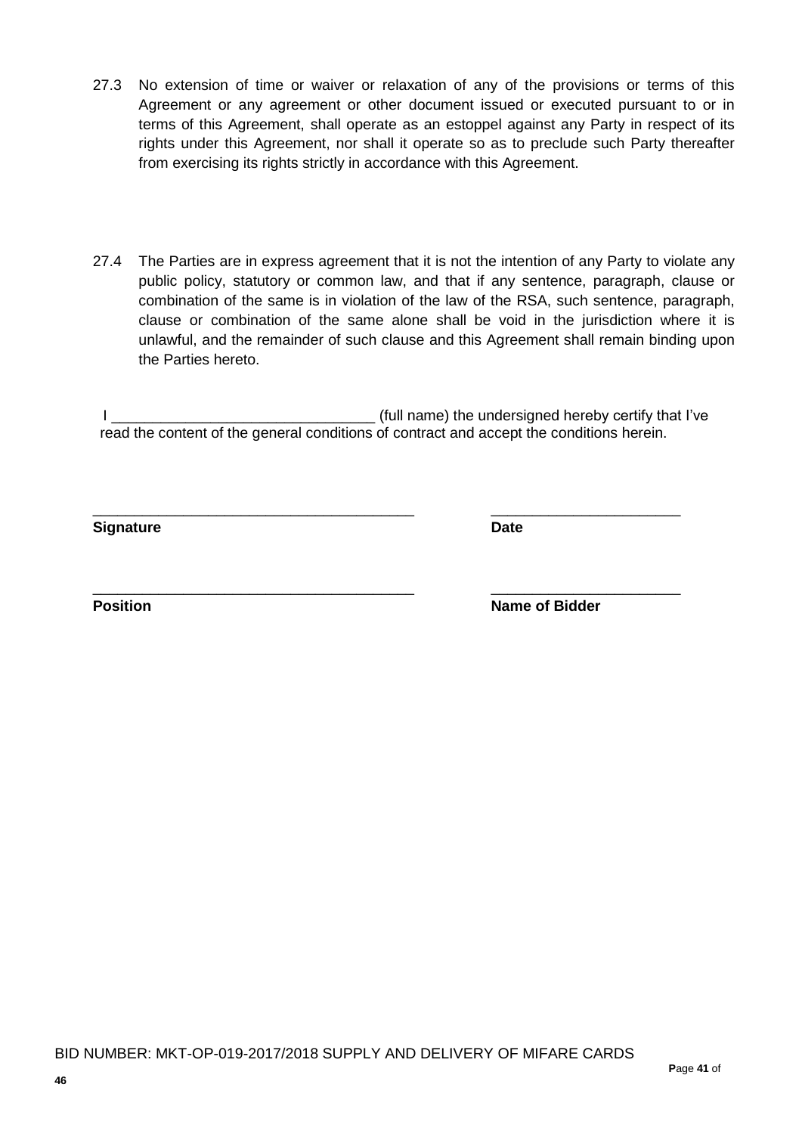- 27.3 No extension of time or waiver or relaxation of any of the provisions or terms of this Agreement or any agreement or other document issued or executed pursuant to or in terms of this Agreement, shall operate as an estoppel against any Party in respect of its rights under this Agreement, nor shall it operate so as to preclude such Party thereafter from exercising its rights strictly in accordance with this Agreement.
- 27.4 The Parties are in express agreement that it is not the intention of any Party to violate any public policy, statutory or common law, and that if any sentence, paragraph, clause or combination of the same is in violation of the law of the RSA, such sentence, paragraph, clause or combination of the same alone shall be void in the jurisdiction where it is unlawful, and the remainder of such clause and this Agreement shall remain binding upon the Parties hereto.

I \_\_\_\_\_\_\_\_\_\_\_\_\_\_\_\_\_\_\_\_\_\_\_\_\_\_\_\_\_\_\_\_ (full name) the undersigned hereby certify that I've read the content of the general conditions of contract and accept the conditions herein.

\_\_\_\_\_\_\_\_\_\_\_\_\_\_\_\_\_\_\_\_\_\_\_\_\_\_\_\_\_\_\_\_\_\_\_\_\_\_\_ \_\_\_\_\_\_\_\_\_\_\_\_\_\_\_\_\_\_\_\_\_\_\_

\_\_\_\_\_\_\_\_\_\_\_\_\_\_\_\_\_\_\_\_\_\_\_\_\_\_\_\_\_\_\_\_\_\_\_\_\_\_\_ \_\_\_\_\_\_\_\_\_\_\_\_\_\_\_\_\_\_\_\_\_\_\_

**Signature Date**

**Position Name of Bidder**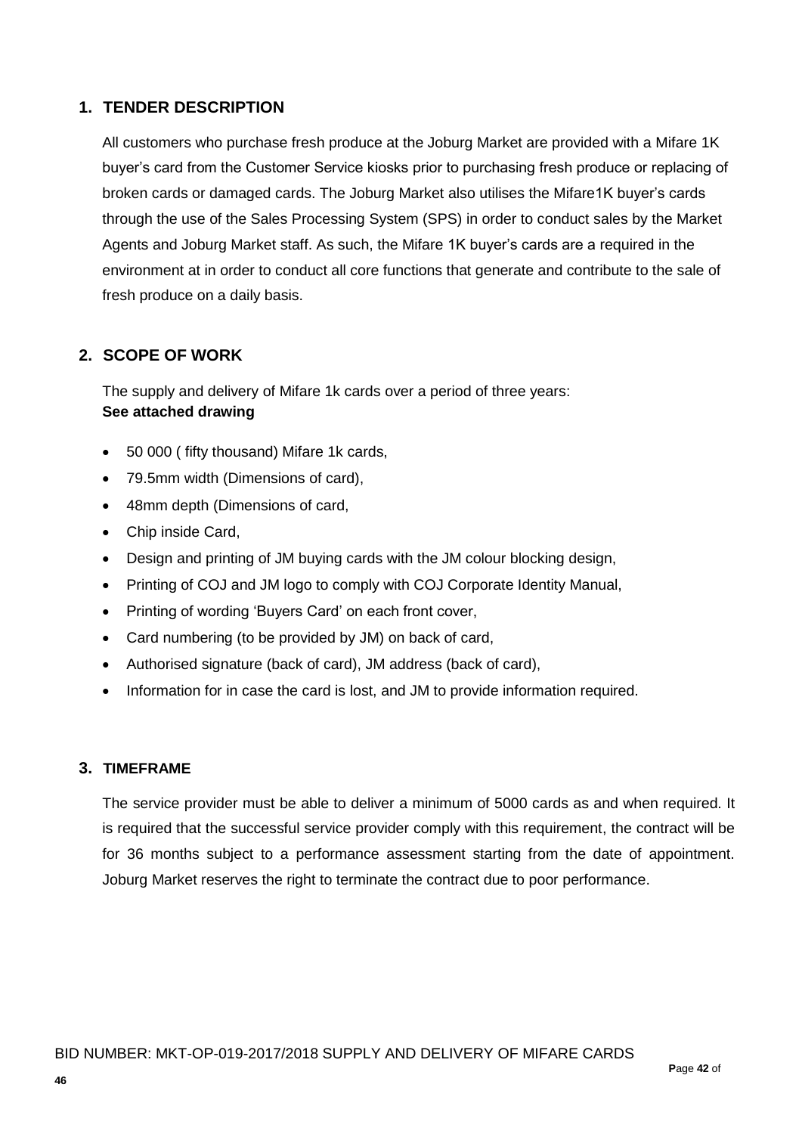## **1. TENDER DESCRIPTION**

All customers who purchase fresh produce at the Joburg Market are provided with a Mifare 1K buyer's card from the Customer Service kiosks prior to purchasing fresh produce or replacing of broken cards or damaged cards. The Joburg Market also utilises the Mifare1K buyer's cards through the use of the Sales Processing System (SPS) in order to conduct sales by the Market Agents and Joburg Market staff. As such, the Mifare 1K buyer's cards are a required in the environment at in order to conduct all core functions that generate and contribute to the sale of fresh produce on a daily basis.

## **2. SCOPE OF WORK**

The supply and delivery of Mifare 1k cards over a period of three years: **See attached drawing**

- 50 000 ( fifty thousand) Mifare 1k cards,
- 79.5mm width (Dimensions of card),
- 48mm depth (Dimensions of card,
- Chip inside Card,
- Design and printing of JM buying cards with the JM colour blocking design,
- Printing of COJ and JM logo to comply with COJ Corporate Identity Manual.
- Printing of wording 'Buyers Card' on each front cover,
- Card numbering (to be provided by JM) on back of card,
- Authorised signature (back of card), JM address (back of card),
- Information for in case the card is lost, and JM to provide information required.

### **3. TIMEFRAME**

The service provider must be able to deliver a minimum of 5000 cards as and when required. It is required that the successful service provider comply with this requirement, the contract will be for 36 months subject to a performance assessment starting from the date of appointment. Joburg Market reserves the right to terminate the contract due to poor performance.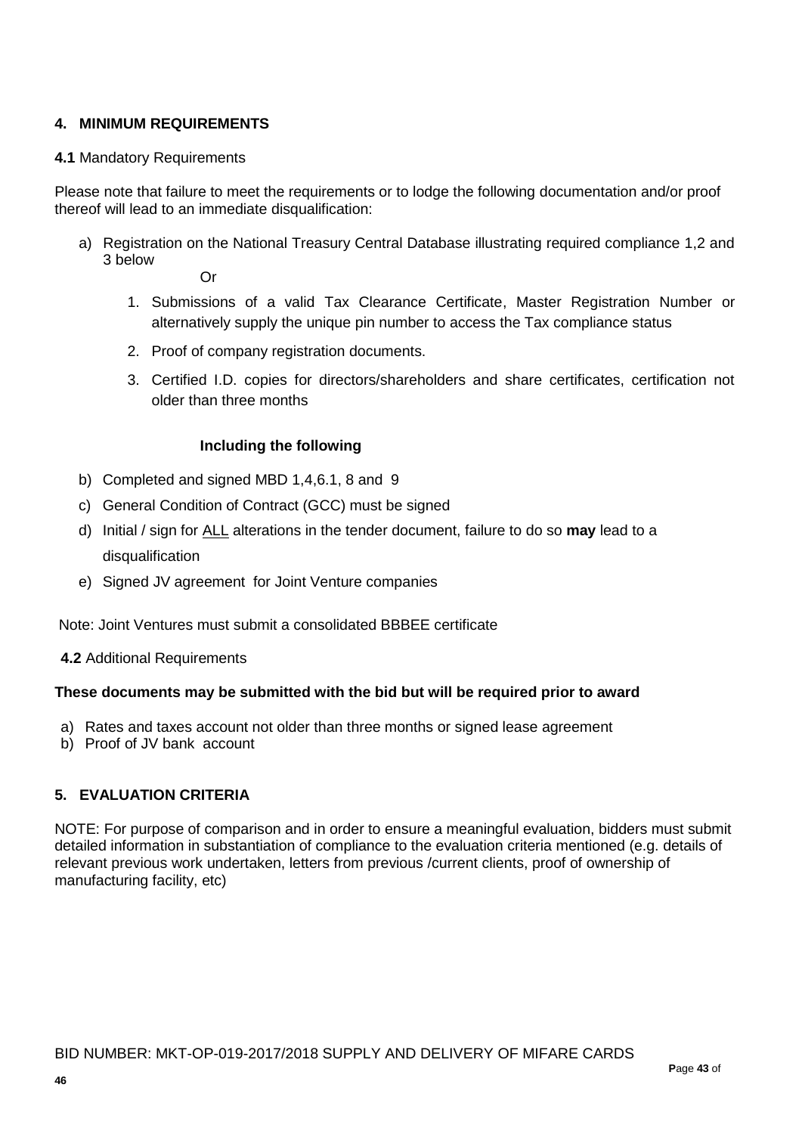### **4. MINIMUM REQUIREMENTS**

#### **4.1** Mandatory Requirements

Please note that failure to meet the requirements or to lodge the following documentation and/or proof thereof will lead to an immediate disqualification:

a) Registration on the National Treasury Central Database illustrating required compliance 1,2 and 3 below

Or

- 1. Submissions of a valid Tax Clearance Certificate, Master Registration Number or alternatively supply the unique pin number to access the Tax compliance status
- 2. Proof of company registration documents.
- 3. Certified I.D. copies for directors/shareholders and share certificates, certification not older than three months

#### **Including the following**

- b) Completed and signed MBD 1,4,6.1, 8 and 9
- c) General Condition of Contract (GCC) must be signed
- d) Initial / sign for ALL alterations in the tender document, failure to do so **may** lead to a disqualification
- e) Signed JV agreement for Joint Venture companies

Note: Joint Ventures must submit a consolidated BBBEE certificate

**4.2** Additional Requirements

#### **These documents may be submitted with the bid but will be required prior to award**

- a) Rates and taxes account not older than three months or signed lease agreement
- b) Proof of JV bank account

### **5. EVALUATION CRITERIA**

NOTE: For purpose of comparison and in order to ensure a meaningful evaluation, bidders must submit detailed information in substantiation of compliance to the evaluation criteria mentioned (e.g. details of relevant previous work undertaken, letters from previous /current clients, proof of ownership of manufacturing facility, etc)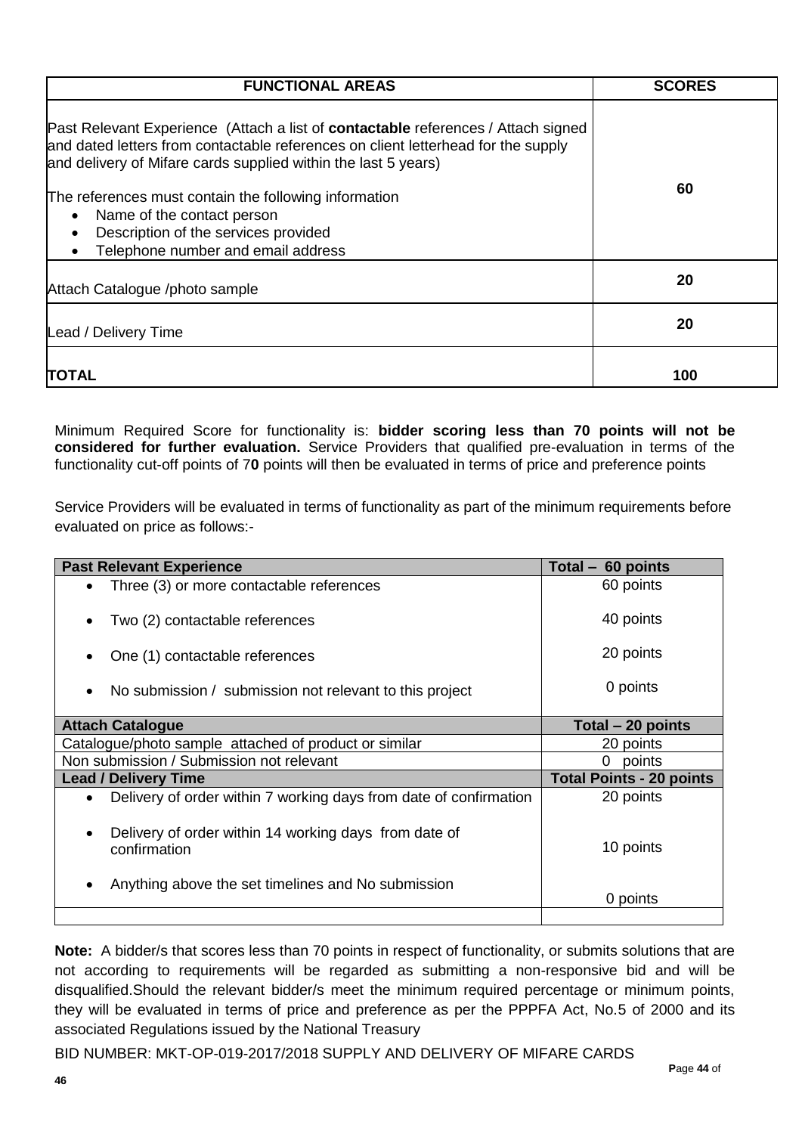| <b>FUNCTIONAL AREAS</b>                                                                                                                                                                                                                                                                                                                                                                                                           | <b>SCORES</b> |
|-----------------------------------------------------------------------------------------------------------------------------------------------------------------------------------------------------------------------------------------------------------------------------------------------------------------------------------------------------------------------------------------------------------------------------------|---------------|
| Past Relevant Experience (Attach a list of <b>contactable</b> references / Attach signed<br>and dated letters from contactable references on client letterhead for the supply<br>and delivery of Mifare cards supplied within the last 5 years)<br>The references must contain the following information<br>Name of the contact person<br>Description of the services provided<br>Telephone number and email address<br>$\bullet$ | 60            |
| Attach Catalogue /photo sample                                                                                                                                                                                                                                                                                                                                                                                                    | 20            |
| Lead / Delivery Time                                                                                                                                                                                                                                                                                                                                                                                                              | 20            |
| <b>TOTAL</b>                                                                                                                                                                                                                                                                                                                                                                                                                      | 100           |

Minimum Required Score for functionality is: **bidder scoring less than 70 points will not be considered for further evaluation.** Service Providers that qualified pre-evaluation in terms of the functionality cut-off points of 7**0** points will then be evaluated in terms of price and preference points

Service Providers will be evaluated in terms of functionality as part of the minimum requirements before evaluated on price as follows:-

| <b>Past Relevant Experience</b>                                                | Total $-60$ points              |
|--------------------------------------------------------------------------------|---------------------------------|
| Three (3) or more contactable references                                       | 60 points                       |
| Two (2) contactable references                                                 | 40 points                       |
| One (1) contactable references                                                 | 20 points                       |
| No submission / submission not relevant to this project                        | 0 points                        |
| <b>Attach Catalogue</b>                                                        | Total - 20 points               |
| Catalogue/photo sample attached of product or similar                          | 20 points                       |
| Non submission / Submission not relevant                                       | $\mathbf{0}$<br>points          |
| <b>Lead / Delivery Time</b>                                                    | <b>Total Points - 20 points</b> |
| Delivery of order within 7 working days from date of confirmation<br>$\bullet$ | 20 points                       |
| Delivery of order within 14 working days from date of<br>confirmation          | 10 points                       |
| Anything above the set timelines and No submission                             | 0 points                        |
|                                                                                |                                 |

**Note:** A bidder/s that scores less than 70 points in respect of functionality, or submits solutions that are not according to requirements will be regarded as submitting a non-responsive bid and will be disqualified.Should the relevant bidder/s meet the minimum required percentage or minimum points, they will be evaluated in terms of price and preference as per the PPPFA Act, No.5 of 2000 and its associated Regulations issued by the National Treasury

BID NUMBER: MKT-OP-019-2017/2018 SUPPLY AND DELIVERY OF MIFARE CARDS **P**age **44** of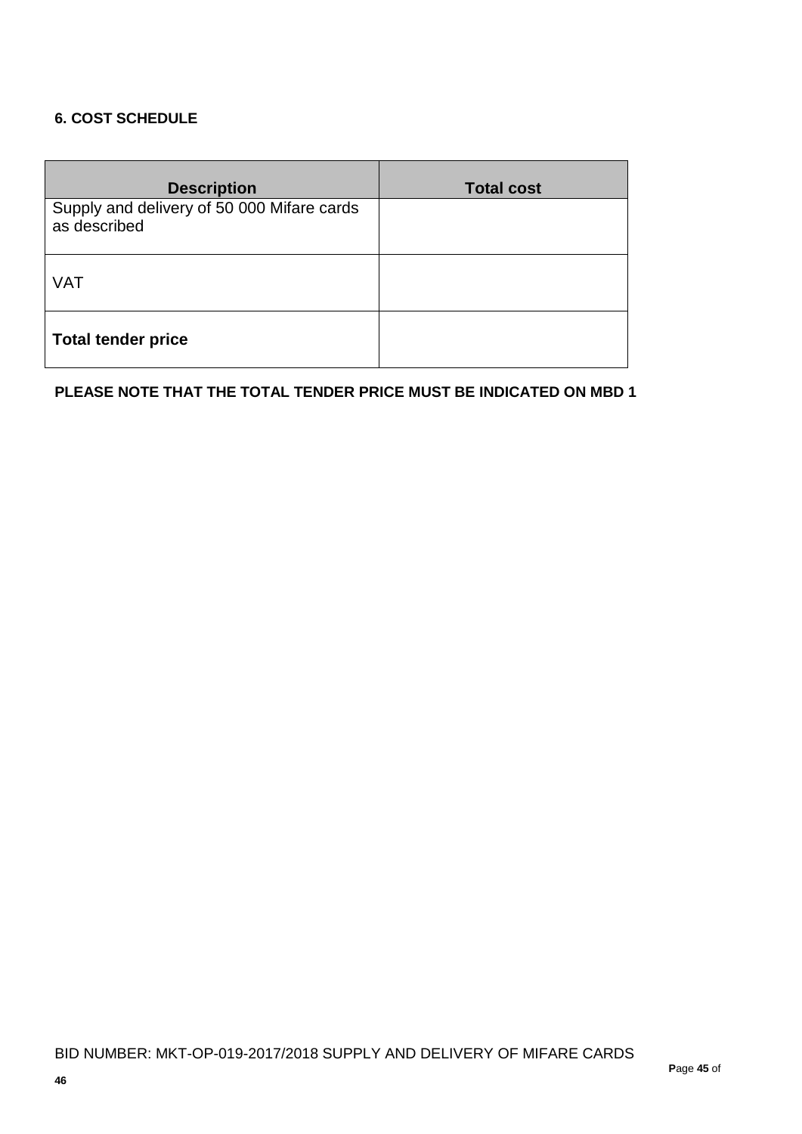## **6. COST SCHEDULE**

| <b>Description</b>                                         | <b>Total cost</b> |
|------------------------------------------------------------|-------------------|
| Supply and delivery of 50 000 Mifare cards<br>as described |                   |
| <b>VAT</b>                                                 |                   |
| <b>Total tender price</b>                                  |                   |

### **PLEASE NOTE THAT THE TOTAL TENDER PRICE MUST BE INDICATED ON MBD 1**